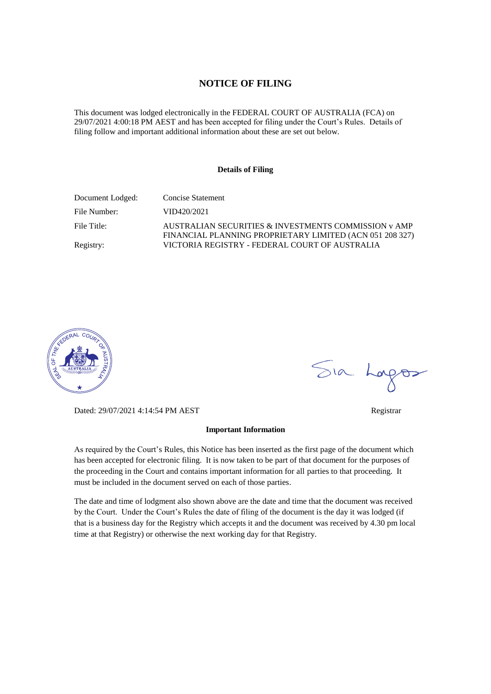#### **NOTICE OF FILING**

This document was lodged electronically in the FEDERAL COURT OF AUSTRALIA (FCA) on 29/07/2021 4:00:18 PM AEST and has been accepted for filing under the Court's Rules. Details of filing follow and important additional information about these are set out below.

#### **Details of Filing**

| Document Lodged: | Concise Statement                                                                                                |
|------------------|------------------------------------------------------------------------------------------------------------------|
| File Number:     | VID420/2021                                                                                                      |
| File Title:      | AUSTRALIAN SECURITIES & INVESTMENTS COMMISSION v AMP<br>FINANCIAL PLANNING PROPRIETARY LIMITED (ACN 051 208 327) |
| Registry:        | VICTORIA REGISTRY - FEDERAL COURT OF AUSTRALIA                                                                   |



Dated: 29/07/2021 4:14:54 PM AEST Registrar

#### **Important Information**

As required by the Court's Rules, this Notice has been inserted as the first page of the document which has been accepted for electronic filing. It is now taken to be part of that document for the purposes of the proceeding in the Court and contains important information for all parties to that proceeding. It must be included in the document served on each of those parties.

The date and time of lodgment also shown above are the date and time that the document was received by the Court. Under the Court's Rules the date of filing of the document is the day it was lodged (if that is a business day for the Registry which accepts it and the document was received by 4.30 pm local time at that Registry) or otherwise the next working day for that Registry.

Sia Logos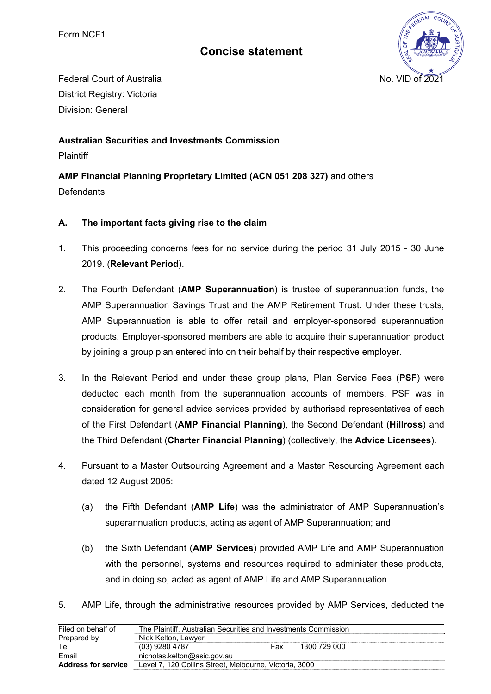# **Concise statement**



Federal Court of Australia No. VID of 2021 District Registry: Victoria Division: General

### **Australian Securities and Investments Commission**

**Plaintiff** 

## **AMP Financial Planning Proprietary Limited (ACN 051 208 327)** and others

**Defendants** 

### **A. The important facts giving rise to the claim**

- 1. This proceeding concerns fees for no service during the period 31 July 2015 30 June 2019. (**Relevant Period**).
- 2. The Fourth Defendant (**AMP Superannuation**) is trustee of superannuation funds, the AMP Superannuation Savings Trust and the AMP Retirement Trust. Under these trusts, AMP Superannuation is able to offer retail and employer-sponsored superannuation products. Employer-sponsored members are able to acquire their superannuation product by joining a group plan entered into on their behalf by their respective employer.
- 3. In the Relevant Period and under these group plans, Plan Service Fees (**PSF**) were deducted each month from the superannuation accounts of members. PSF was in consideration for general advice services provided by authorised representatives of each of the First Defendant (**AMP Financial Planning**), the Second Defendant (**Hillross**) and the Third Defendant (**Charter Financial Planning**) (collectively, the **Advice Licensees**).
- 4. Pursuant to a Master Outsourcing Agreement and a Master Resourcing Agreement each dated 12 August 2005:
	- (a) the Fifth Defendant (**AMP Life**) was the administrator of AMP Superannuation's superannuation products, acting as agent of AMP Superannuation; and
	- (b) the Sixth Defendant (**AMP Services**) provided AMP Life and AMP Superannuation with the personnel, systems and resources required to administer these products, and in doing so, acted as agent of AMP Life and AMP Superannuation.
- 5. AMP Life, through the administrative resources provided by AMP Services, deducted the

| Filed on behalf of         | The Plaintiff, Australian Securities and Investments Commission |     |              |  |  |
|----------------------------|-----------------------------------------------------------------|-----|--------------|--|--|
| Prepared by                | Nick Kelton, Lawyer                                             |     |              |  |  |
| Tel                        | (03) 9280 4787                                                  | Fax | 1300 729 000 |  |  |
| Email                      | nicholas.kelton@asic.gov.au                                     |     |              |  |  |
| <b>Address for service</b> | Level 7, 120 Collins Street, Melbourne, Victoria, 3000          |     |              |  |  |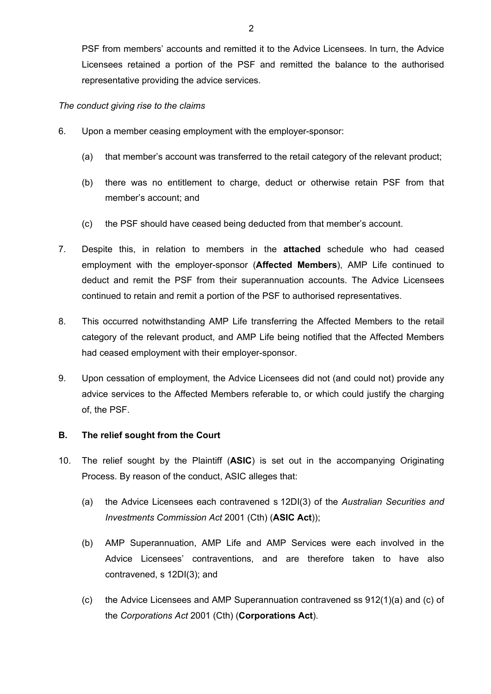PSF from members' accounts and remitted it to the Advice Licensees. In turn, the Advice Licensees retained a portion of the PSF and remitted the balance to the authorised representative providing the advice services.

#### *The conduct giving rise to the claims*

- 6. Upon a member ceasing employment with the employer-sponsor:
	- (a) that member's account was transferred to the retail category of the relevant product;
	- (b) there was no entitlement to charge, deduct or otherwise retain PSF from that member's account; and
	- (c) the PSF should have ceased being deducted from that member's account.
- 7. Despite this, in relation to members in the **attached** schedule who had ceased employment with the employer-sponsor (**Affected Members**), AMP Life continued to deduct and remit the PSF from their superannuation accounts. The Advice Licensees continued to retain and remit a portion of the PSF to authorised representatives.
- 8. This occurred notwithstanding AMP Life transferring the Affected Members to the retail category of the relevant product, and AMP Life being notified that the Affected Members had ceased employment with their employer-sponsor.
- 9. Upon cessation of employment, the Advice Licensees did not (and could not) provide any advice services to the Affected Members referable to, or which could justify the charging of, the PSF.

### **B. The relief sought from the Court**

- 10. The relief sought by the Plaintiff (**ASIC**) is set out in the accompanying Originating Process. By reason of the conduct, ASIC alleges that:
	- (a) the Advice Licensees each contravened s 12DI(3) of the *Australian Securities and Investments Commission Act* 2001 (Cth) (**ASIC Act**));
	- (b) AMP Superannuation, AMP Life and AMP Services were each involved in the Advice Licensees' contraventions, and are therefore taken to have also contravened, s 12DI(3); and
	- (c) the Advice Licensees and AMP Superannuation contravened ss 912(1)(a) and (c) of the *Corporations Act* 2001 (Cth) (**Corporations Act**).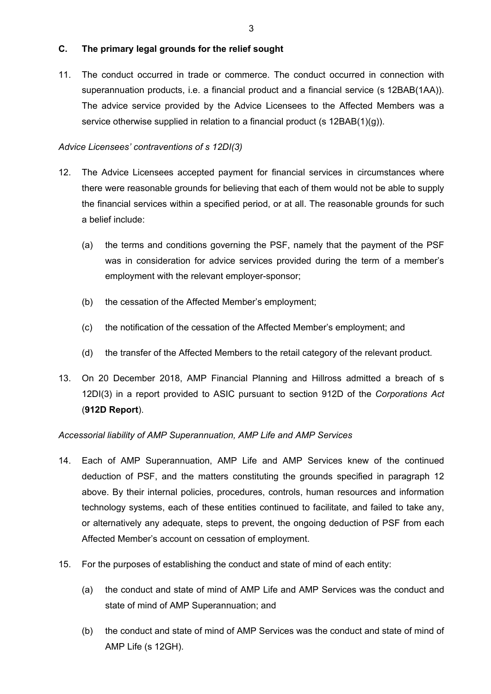### **C. The primary legal grounds for the relief sought**

11. The conduct occurred in trade or commerce. The conduct occurred in connection with superannuation products, i.e. a financial product and a financial service (s 12BAB(1AA)). The advice service provided by the Advice Licensees to the Affected Members was a service otherwise supplied in relation to a financial product (s  $12BAB(1)(g)$ ).

### *Advice Licensees' contraventions of s 12DI(3)*

- 12. The Advice Licensees accepted payment for financial services in circumstances where there were reasonable grounds for believing that each of them would not be able to supply the financial services within a specified period, or at all. The reasonable grounds for such a belief include:
	- (a) the terms and conditions governing the PSF, namely that the payment of the PSF was in consideration for advice services provided during the term of a member's employment with the relevant employer-sponsor;
	- (b) the cessation of the Affected Member's employment;
	- (c) the notification of the cessation of the Affected Member's employment; and
	- (d) the transfer of the Affected Members to the retail category of the relevant product.
- 13. On 20 December 2018, AMP Financial Planning and Hillross admitted a breach of s 12DI(3) in a report provided to ASIC pursuant to section 912D of the *Corporations Act* (**912D Report**).

### *Accessorial liability of AMP Superannuation, AMP Life and AMP Services*

- 14. Each of AMP Superannuation, AMP Life and AMP Services knew of the continued deduction of PSF, and the matters constituting the grounds specified in paragraph 12 above. By their internal policies, procedures, controls, human resources and information technology systems, each of these entities continued to facilitate, and failed to take any, or alternatively any adequate, steps to prevent, the ongoing deduction of PSF from each Affected Member's account on cessation of employment.
- 15. For the purposes of establishing the conduct and state of mind of each entity:
	- (a) the conduct and state of mind of AMP Life and AMP Services was the conduct and state of mind of AMP Superannuation; and
	- (b) the conduct and state of mind of AMP Services was the conduct and state of mind of AMP Life (s 12GH).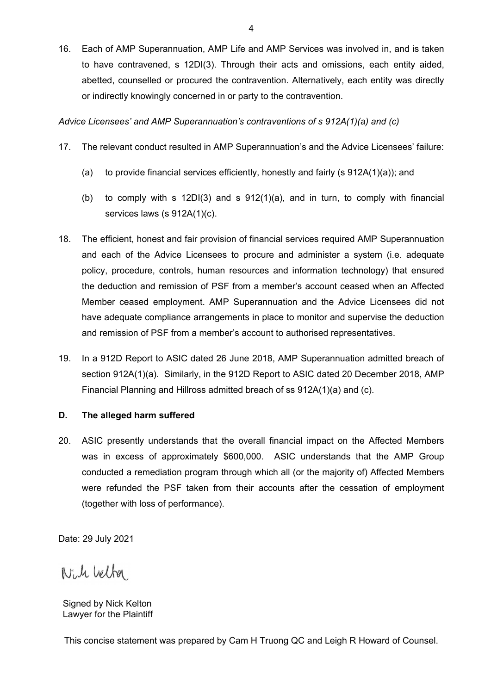16. Each of AMP Superannuation, AMP Life and AMP Services was involved in, and is taken to have contravened, s 12DI(3). Through their acts and omissions, each entity aided, abetted, counselled or procured the contravention. Alternatively, each entity was directly or indirectly knowingly concerned in or party to the contravention.

*Advice Licensees' and AMP Superannuation's contraventions of s 912A(1)(a) and (c)* 

- 17. The relevant conduct resulted in AMP Superannuation's and the Advice Licensees' failure:
	- (a) to provide financial services efficiently, honestly and fairly (s  $912A(1)(a)$ ); and
	- (b) to comply with s  $12D(3)$  and s  $912(1)(a)$ , and in turn, to comply with financial services laws (s 912A(1)(c).
- 18. The efficient, honest and fair provision of financial services required AMP Superannuation and each of the Advice Licensees to procure and administer a system (i.e. adequate policy, procedure, controls, human resources and information technology) that ensured the deduction and remission of PSF from a member's account ceased when an Affected Member ceased employment. AMP Superannuation and the Advice Licensees did not have adequate compliance arrangements in place to monitor and supervise the deduction and remission of PSF from a member's account to authorised representatives.
- 19. In a 912D Report to ASIC dated 26 June 2018, AMP Superannuation admitted breach of section 912A(1)(a). Similarly, in the 912D Report to ASIC dated 20 December 2018, AMP Financial Planning and Hillross admitted breach of ss 912A(1)(a) and (c).

### **D. The alleged harm suffered**

20. ASIC presently understands that the overall financial impact on the Affected Members was in excess of approximately \$600,000. ASIC understands that the AMP Group conducted a remediation program through which all (or the majority of) Affected Members were refunded the PSF taken from their accounts after the cessation of employment (together with loss of performance).

Date: 29 July 2021

Will belfor

This concise statement was prepared by Cam H Truong QC and Leigh R Howard of Counsel.

Signed by Nick Kelton Lawyer for the Plaintiff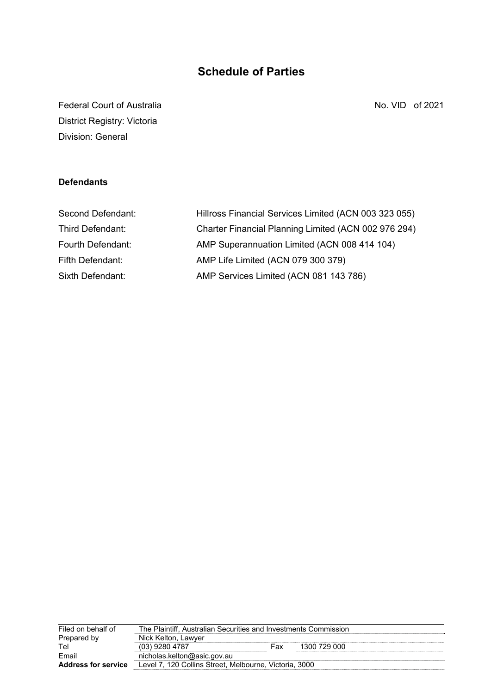# **Schedule of Parties**

Federal Court of Australia No. 8 and 2021 District Registry: Victoria Division: General

### **Defendants**

| Hillross Financial Services Limited (ACN 003 323 055) |
|-------------------------------------------------------|
| Charter Financial Planning Limited (ACN 002 976 294)  |
| AMP Superannuation Limited (ACN 008 414 104)          |
| AMP Life Limited (ACN 079 300 379)                    |
| AMP Services Limited (ACN 081 143 786)                |
|                                                       |

| The Plaintiff, Australian Securities and Investments Commission |     |                                                        |  |  |
|-----------------------------------------------------------------|-----|--------------------------------------------------------|--|--|
| Nick Kelton, Lawyer                                             |     |                                                        |  |  |
| (03) 9280 4787                                                  | Fax | 1300 729 000                                           |  |  |
| nicholas.kelton@asic.gov.au                                     |     |                                                        |  |  |
|                                                                 |     |                                                        |  |  |
|                                                                 |     | Level 7, 120 Collins Street, Melbourne, Victoria, 3000 |  |  |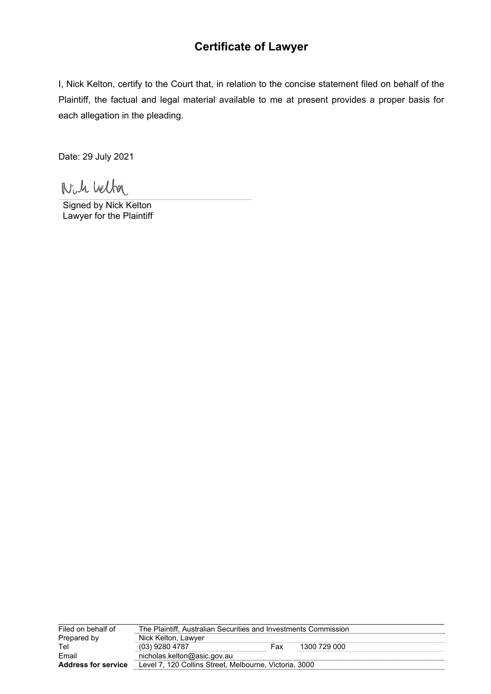# **Certificate of Lawyer**

I, Nick Kelton, certify to the Court that, in relation to the concise statement filed on behalf of the Plaintiff, the factual and legal material available to me at present provides a proper basis for each allegation in the pleading.

Date: 29 July 2021

Nich belfor

Signed by Nick Kelton Lawyer for the Plaintiff

| Filed on behalf of         | The Plaintiff, Australian Securities and Investments Commission |     |              |  |  |
|----------------------------|-----------------------------------------------------------------|-----|--------------|--|--|
| Prepared by                | Nick Kelton, Lawyer                                             |     |              |  |  |
| Tel                        | (03) 9280 4787                                                  | Fax | 1300 729 000 |  |  |
| Email                      | nicholas.kelton@asic.gov.au                                     |     |              |  |  |
| <b>Address for service</b> | Level 7, 120 Collins Street, Melbourne, Victoria, 3000          |     |              |  |  |
|                            |                                                                 |     |              |  |  |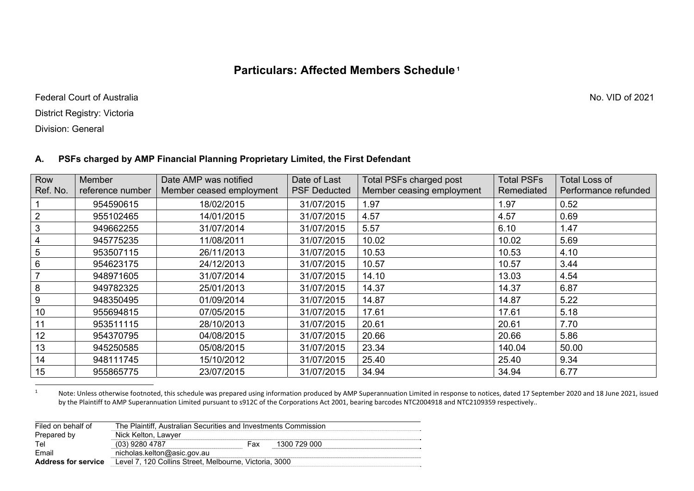## **Particulars: Affected Members Schedule 1**

Federal Court of Australia No. VID of 2021

District Registry: Victoria

Division: General

#### **A. PSFs charged by AMP Financial Planning Proprietary Limited, the First Defendant**

| Row<br>Ref. No. | <b>Member</b><br>reference number | Date AMP was notified<br>Member ceased employment | Date of Last<br><b>PSF Deducted</b> | <b>Total PSFs charged post</b><br>Member ceasing employment | <b>Total PSFs</b><br>Remediated | <b>Total Loss of</b><br>Performance refunded |
|-----------------|-----------------------------------|---------------------------------------------------|-------------------------------------|-------------------------------------------------------------|---------------------------------|----------------------------------------------|
|                 | 954590615                         | 18/02/2015                                        | 31/07/2015                          | 1.97                                                        | 1.97                            | 0.52                                         |
| 2               | 955102465                         | 14/01/2015                                        | 31/07/2015                          | 4.57                                                        | 4.57                            | 0.69                                         |
| 3               | 949662255                         | 31/07/2014                                        | 31/07/2015                          | 5.57                                                        | 6.10                            | 1.47                                         |
| $\overline{4}$  | 945775235                         | 11/08/2011                                        | 31/07/2015                          | 10.02                                                       | 10.02                           | 5.69                                         |
| $5\phantom{.0}$ | 953507115                         | 26/11/2013                                        | 31/07/2015                          | 10.53                                                       | 10.53                           | 4.10                                         |
| 6               | 954623175                         | 24/12/2013                                        | 31/07/2015                          | 10.57                                                       | 10.57                           | 3.44                                         |
| $\overline{7}$  | 948971605                         | 31/07/2014                                        | 31/07/2015                          | 14.10                                                       | 13.03                           | 4.54                                         |
| 8               | 949782325                         | 25/01/2013                                        | 31/07/2015                          | 14.37                                                       | 14.37                           | 6.87                                         |
| 9               | 948350495                         | 01/09/2014                                        | 31/07/2015                          | 14.87                                                       | 14.87                           | 5.22                                         |
| 10              | 955694815                         | 07/05/2015                                        | 31/07/2015                          | 17.61                                                       | 17.61                           | 5.18                                         |
| 11              | 953511115                         | 28/10/2013                                        | 31/07/2015                          | 20.61                                                       | 20.61                           | 7.70                                         |
| 12              | 954370795                         | 04/08/2015                                        | 31/07/2015                          | 20.66                                                       | 20.66                           | 5.86                                         |
| 13              | 945250585                         | 05/08/2015                                        | 31/07/2015                          | 23.34                                                       | 140.04                          | 50.00                                        |
| 14              | 948111745                         | 15/10/2012                                        | 31/07/2015                          | 25.40                                                       | 25.40                           | 9.34                                         |
| 15              | 955865775                         | 23/07/2015                                        | 31/07/2015                          | 34.94                                                       | 34.94                           | 6.77                                         |

1Note: Unless otherwise footnoted, this schedule was prepared using information produced by AMP Superannuation Limited in response to notices, dated 17 September 2020 and 18 June 2021, issued by the Plaintiff to AMP Superannuation Limited pursuant to s912C of the Corporations Act 2001, bearing barcodes NTC2004918 and NTC2109359 respectively..

| Filed on behalf of         | The Plaintiff. Australian Securities and Investments Commission |     |              |
|----------------------------|-----------------------------------------------------------------|-----|--------------|
| Prepared by                | Nick Kelton, Lawyer                                             |     |              |
| Tel                        | (03) 9280 4787                                                  | Fax | 1300 729 000 |
| Email                      | nicholas.kelton@asic.gov.au                                     |     |              |
| <b>Address for service</b> | Level 7, 120 Collins Street, Melbourne, Victoria, 3000          |     |              |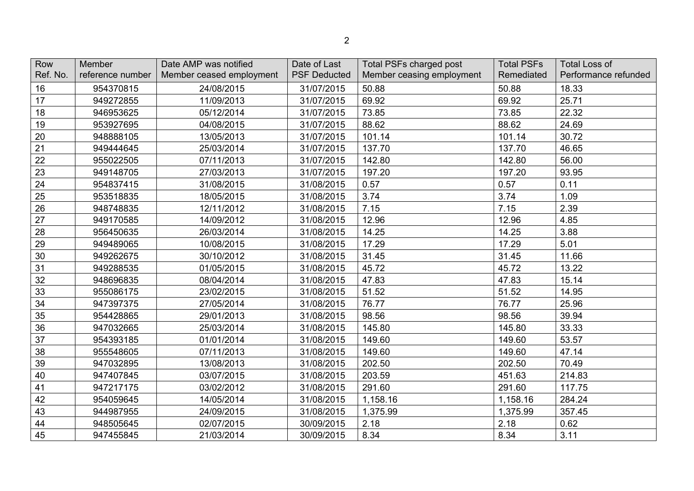| Row      | Member           | Date AMP was notified    | Date of Last        | <b>Total PSFs charged post</b> | <b>Total PSFs</b> | <b>Total Loss of</b> |
|----------|------------------|--------------------------|---------------------|--------------------------------|-------------------|----------------------|
| Ref. No. | reference number | Member ceased employment | <b>PSF Deducted</b> | Member ceasing employment      | Remediated        | Performance refunded |
| 16       | 954370815        | 24/08/2015               | 31/07/2015          | 50.88                          | 50.88             | 18.33                |
| 17       | 949272855        | 11/09/2013               | 31/07/2015          | 69.92                          | 69.92             | 25.71                |
| 18       | 946953625        | 05/12/2014               | 31/07/2015          | 73.85                          | 73.85             | 22.32                |
| 19       | 953927695        | 04/08/2015               | 31/07/2015          | 88.62                          | 88.62             | 24.69                |
| 20       | 948888105        | 13/05/2013               | 31/07/2015          | 101.14                         | 101.14            | 30.72                |
| 21       | 949444645        | 25/03/2014               | 31/07/2015          | 137.70                         | 137.70            | 46.65                |
| 22       | 955022505        | 07/11/2013               | 31/07/2015          | 142.80                         | 142.80            | 56.00                |
| 23       | 949148705        | 27/03/2013               | 31/07/2015          | 197.20                         | 197.20            | 93.95                |
| 24       | 954837415        | 31/08/2015               | 31/08/2015          | 0.57                           | 0.57              | 0.11                 |
| 25       | 953518835        | 18/05/2015               | 31/08/2015          | 3.74                           | 3.74              | 1.09                 |
| 26       | 948748835        | 12/11/2012               | 31/08/2015          | 7.15                           | 7.15              | 2.39                 |
| 27       | 949170585        | 14/09/2012               | 31/08/2015          | 12.96                          | 12.96             | 4.85                 |
| 28       | 956450635        | 26/03/2014               | 31/08/2015          | 14.25                          | 14.25             | 3.88                 |
| 29       | 949489065        | 10/08/2015               | 31/08/2015          | 17.29                          | 17.29             | 5.01                 |
| 30       | 949262675        | 30/10/2012               | 31/08/2015          | 31.45                          | 31.45             | 11.66                |
| 31       | 949288535        | 01/05/2015               | 31/08/2015          | 45.72                          | 45.72             | 13.22                |
| 32       | 948696835        | 08/04/2014               | 31/08/2015          | 47.83                          | 47.83             | 15.14                |
| 33       | 955086175        | 23/02/2015               | 31/08/2015          | 51.52                          | 51.52             | 14.95                |
| 34       | 947397375        | 27/05/2014               | 31/08/2015          | 76.77                          | 76.77             | 25.96                |
| 35       | 954428865        | 29/01/2013               | 31/08/2015          | 98.56                          | 98.56             | 39.94                |
| 36       | 947032665        | 25/03/2014               | 31/08/2015          | 145.80                         | 145.80            | 33.33                |
| 37       | 954393185        | 01/01/2014               | 31/08/2015          | 149.60                         | 149.60            | 53.57                |
| 38       | 955548605        | 07/11/2013               | 31/08/2015          | 149.60                         | 149.60            | 47.14                |
| 39       | 947032895        | 13/08/2013               | 31/08/2015          | 202.50                         | 202.50            | 70.49                |
| 40       | 947407845        | 03/07/2015               | 31/08/2015          | 203.59                         | 451.63            | 214.83               |
| 41       | 947217175        | 03/02/2012               | 31/08/2015          | 291.60                         | 291.60            | 117.75               |
| 42       | 954059645        | 14/05/2014               | 31/08/2015          | 1,158.16                       | 1,158.16          | 284.24               |
| 43       | 944987955        | 24/09/2015               | 31/08/2015          | 1,375.99                       | 1,375.99          | 357.45               |
| 44       | 948505645        | 02/07/2015               | 30/09/2015          | 2.18                           | 2.18              | 0.62                 |
| 45       | 947455845        | 21/03/2014               | 30/09/2015          | 8.34                           | 8.34              | 3.11                 |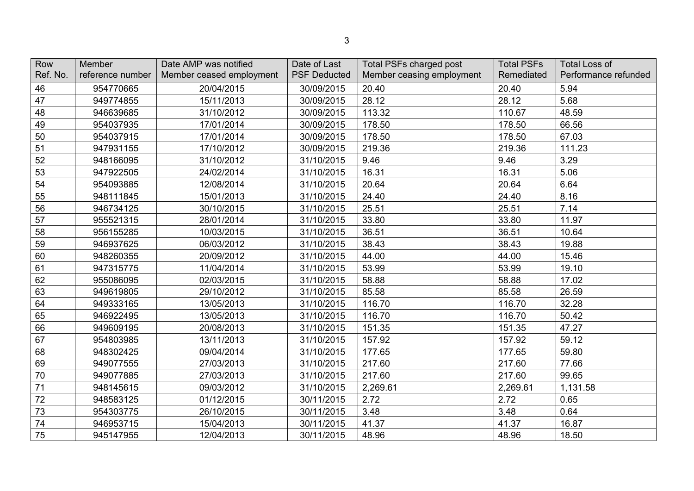| Row<br>Ref. No. | Member<br>reference number | Date AMP was notified<br>Member ceased employment | Date of Last<br><b>PSF Deducted</b> | <b>Total PSFs charged post</b><br>Member ceasing employment | <b>Total PSFs</b><br>Remediated | <b>Total Loss of</b><br>Performance refunded |
|-----------------|----------------------------|---------------------------------------------------|-------------------------------------|-------------------------------------------------------------|---------------------------------|----------------------------------------------|
| 46              | 954770665                  | 20/04/2015                                        | 30/09/2015                          | 20.40                                                       | 20.40                           | 5.94                                         |
| 47              | 949774855                  | 15/11/2013                                        | 30/09/2015                          | 28.12                                                       | 28.12                           | 5.68                                         |
| 48              | 946639685                  | 31/10/2012                                        | 30/09/2015                          | 113.32                                                      | 110.67                          | 48.59                                        |
| 49              | 954037935                  | 17/01/2014                                        | 30/09/2015                          | 178.50                                                      | 178.50                          | 66.56                                        |
| 50              | 954037915                  | 17/01/2014                                        | 30/09/2015                          | 178.50                                                      | 178.50                          | 67.03                                        |
| 51              | 947931155                  | 17/10/2012                                        | 30/09/2015                          | 219.36                                                      | 219.36                          | 111.23                                       |
| 52              | 948166095                  | 31/10/2012                                        | 31/10/2015                          | 9.46                                                        | 9.46                            | 3.29                                         |
| 53              | 947922505                  | 24/02/2014                                        | 31/10/2015                          | 16.31                                                       | 16.31                           | 5.06                                         |
| 54              | 954093885                  | 12/08/2014                                        | 31/10/2015                          | 20.64                                                       | 20.64                           | 6.64                                         |
| 55              | 948111845                  | 15/01/2013                                        | 31/10/2015                          | 24.40                                                       | 24.40                           | 8.16                                         |
| 56              | 946734125                  | 30/10/2015                                        | 31/10/2015                          | 25.51                                                       | 25.51                           | 7.14                                         |
| 57              | 955521315                  | 28/01/2014                                        | 31/10/2015                          | 33.80                                                       | 33.80                           | 11.97                                        |
| 58              | 956155285                  | 10/03/2015                                        | 31/10/2015                          | 36.51                                                       | 36.51                           | 10.64                                        |
| 59              | 946937625                  | 06/03/2012                                        | 31/10/2015                          | 38.43                                                       | 38.43                           | 19.88                                        |
| 60              | 948260355                  | 20/09/2012                                        | 31/10/2015                          | 44.00                                                       | 44.00                           | 15.46                                        |
| 61              | 947315775                  | 11/04/2014                                        | 31/10/2015                          | 53.99                                                       | 53.99                           | 19.10                                        |
| 62              | 955086095                  | 02/03/2015                                        | 31/10/2015                          | 58.88                                                       | 58.88                           | 17.02                                        |
| 63              | 949619805                  | 29/10/2012                                        | 31/10/2015                          | 85.58                                                       | 85.58                           | 26.59                                        |
| 64              | 949333165                  | 13/05/2013                                        | 31/10/2015                          | 116.70                                                      | 116.70                          | 32.28                                        |
| 65              | 946922495                  | 13/05/2013                                        | 31/10/2015                          | 116.70                                                      | 116.70                          | 50.42                                        |
| 66              | 949609195                  | 20/08/2013                                        | 31/10/2015                          | 151.35                                                      | 151.35                          | 47.27                                        |
| 67              | 954803985                  | 13/11/2013                                        | 31/10/2015                          | 157.92                                                      | 157.92                          | 59.12                                        |
| 68              | 948302425                  | 09/04/2014                                        | 31/10/2015                          | 177.65                                                      | 177.65                          | 59.80                                        |
| 69              | 949077555                  | 27/03/2013                                        | 31/10/2015                          | 217.60                                                      | 217.60                          | 77.66                                        |
| 70              | 949077885                  | 27/03/2013                                        | 31/10/2015                          | 217.60                                                      | 217.60                          | 99.65                                        |
| 71              | 948145615                  | 09/03/2012                                        | 31/10/2015                          | 2,269.61                                                    | 2,269.61                        | 1,131.58                                     |
| 72              | 948583125                  | 01/12/2015                                        | 30/11/2015                          | 2.72                                                        | 2.72                            | 0.65                                         |
| 73              | 954303775                  | 26/10/2015                                        | 30/11/2015                          | 3.48                                                        | 3.48                            | 0.64                                         |
| 74              | 946953715                  | 15/04/2013                                        | 30/11/2015                          | 41.37                                                       | 41.37                           | 16.87                                        |
| 75              | 945147955                  | 12/04/2013                                        | 30/11/2015                          | 48.96                                                       | 48.96                           | 18.50                                        |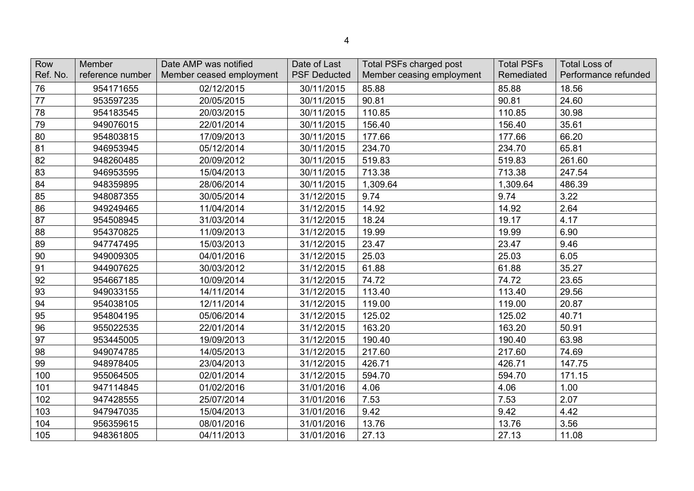| Row      | Member           | Date AMP was notified    | Date of Last        | <b>Total PSFs charged post</b> | <b>Total PSFs</b> | <b>Total Loss of</b> |
|----------|------------------|--------------------------|---------------------|--------------------------------|-------------------|----------------------|
| Ref. No. | reference number | Member ceased employment | <b>PSF Deducted</b> | Member ceasing employment      | Remediated        | Performance refunded |
| 76       | 954171655        | 02/12/2015               | 30/11/2015          | 85.88                          | 85.88             | 18.56                |
| 77       | 953597235        | 20/05/2015               | 30/11/2015          | 90.81                          | 90.81             | 24.60                |
| 78       | 954183545        | 20/03/2015               | 30/11/2015          | 110.85                         | 110.85            | 30.98                |
| 79       | 949076015        | 22/01/2014               | 30/11/2015          | 156.40                         | 156.40            | 35.61                |
| 80       | 954803815        | 17/09/2013               | 30/11/2015          | 177.66                         | 177.66            | 66.20                |
| 81       | 946953945        | 05/12/2014               | 30/11/2015          | 234.70                         | 234.70            | 65.81                |
| 82       | 948260485        | 20/09/2012               | 30/11/2015          | 519.83                         | 519.83            | 261.60               |
| 83       | 946953595        | 15/04/2013               | 30/11/2015          | 713.38                         | 713.38            | 247.54               |
| 84       | 948359895        | 28/06/2014               | 30/11/2015          | 1,309.64                       | 1,309.64          | 486.39               |
| 85       | 948087355        | 30/05/2014               | 31/12/2015          | 9.74                           | 9.74              | 3.22                 |
| 86       | 949249465        | 11/04/2014               | 31/12/2015          | 14.92                          | 14.92             | 2.64                 |
| 87       | 954508945        | 31/03/2014               | 31/12/2015          | 18.24                          | 19.17             | 4.17                 |
| 88       | 954370825        | 11/09/2013               | 31/12/2015          | 19.99                          | 19.99             | 6.90                 |
| 89       | 947747495        | 15/03/2013               | 31/12/2015          | 23.47                          | 23.47             | 9.46                 |
| 90       | 949009305        | 04/01/2016               | 31/12/2015          | 25.03                          | 25.03             | 6.05                 |
| 91       | 944907625        | 30/03/2012               | 31/12/2015          | 61.88                          | 61.88             | 35.27                |
| 92       | 954667185        | 10/09/2014               | 31/12/2015          | 74.72                          | 74.72             | 23.65                |
| 93       | 949033155        | 14/11/2014               | 31/12/2015          | 113.40                         | 113.40            | 29.56                |
| 94       | 954038105        | 12/11/2014               | 31/12/2015          | 119.00                         | 119.00            | 20.87                |
| 95       | 954804195        | 05/06/2014               | 31/12/2015          | 125.02                         | 125.02            | 40.71                |
| 96       | 955022535        | 22/01/2014               | 31/12/2015          | 163.20                         | 163.20            | 50.91                |
| 97       | 953445005        | 19/09/2013               | 31/12/2015          | 190.40                         | 190.40            | 63.98                |
| 98       | 949074785        | 14/05/2013               | 31/12/2015          | 217.60                         | 217.60            | 74.69                |
| 99       | 948978405        | 23/04/2013               | 31/12/2015          | 426.71                         | 426.71            | 147.75               |
| 100      | 955064505        | 02/01/2014               | 31/12/2015          | 594.70                         | 594.70            | 171.15               |
| 101      | 947114845        | 01/02/2016               | 31/01/2016          | 4.06                           | 4.06              | 1.00                 |
| 102      | 947428555        | 25/07/2014               | 31/01/2016          | 7.53                           | 7.53              | 2.07                 |
| 103      | 947947035        | 15/04/2013               | 31/01/2016          | 9.42                           | 9.42              | 4.42                 |
| 104      | 956359615        | 08/01/2016               | 31/01/2016          | 13.76                          | 13.76             | 3.56                 |
| 105      | 948361805        | 04/11/2013               | 31/01/2016          | 27.13                          | 27.13             | 11.08                |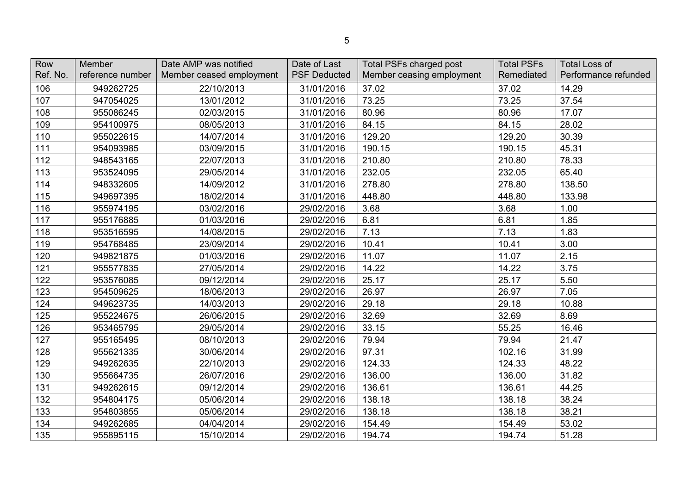| Row<br>Ref. No. | Member<br>reference number | Date AMP was notified<br>Member ceased employment | Date of Last<br><b>PSF Deducted</b> | <b>Total PSFs charged post</b><br>Member ceasing employment | <b>Total PSFs</b><br>Remediated | <b>Total Loss of</b><br>Performance refunded |
|-----------------|----------------------------|---------------------------------------------------|-------------------------------------|-------------------------------------------------------------|---------------------------------|----------------------------------------------|
| 106             | 949262725                  | 22/10/2013                                        | 31/01/2016                          | 37.02                                                       | 37.02                           | 14.29                                        |
| 107             | 947054025                  | 13/01/2012                                        | 31/01/2016                          | 73.25                                                       | 73.25                           | 37.54                                        |
| 108             | 955086245                  | 02/03/2015                                        | 31/01/2016                          | 80.96                                                       | 80.96                           | 17.07                                        |
| 109             | 954100975                  | 08/05/2013                                        | 31/01/2016                          | 84.15                                                       | 84.15                           | 28.02                                        |
| 110             | 955022615                  | 14/07/2014                                        | 31/01/2016                          | 129.20                                                      | 129.20                          | 30.39                                        |
| 111             | 954093985                  | 03/09/2015                                        | 31/01/2016                          | 190.15                                                      | 190.15                          | 45.31                                        |
| 112             | 948543165                  | 22/07/2013                                        | 31/01/2016                          | 210.80                                                      | 210.80                          | 78.33                                        |
| 113             | 953524095                  | 29/05/2014                                        | 31/01/2016                          | 232.05                                                      | 232.05                          | 65.40                                        |
| 114             | 948332605                  | 14/09/2012                                        | 31/01/2016                          | 278.80                                                      | 278.80                          | 138.50                                       |
| 115             | 949697395                  | 18/02/2014                                        | 31/01/2016                          | 448.80                                                      | 448.80                          | 133.98                                       |
| 116             | 955974195                  | 03/02/2016                                        | 29/02/2016                          | 3.68                                                        | 3.68                            | 1.00                                         |
| 117             | 955176885                  | 01/03/2016                                        | 29/02/2016                          | 6.81                                                        | 6.81                            | 1.85                                         |
| 118             | 953516595                  | 14/08/2015                                        | 29/02/2016                          | 7.13                                                        | 7.13                            | 1.83                                         |
| 119             | 954768485                  | 23/09/2014                                        | 29/02/2016                          | 10.41                                                       | 10.41                           | 3.00                                         |
| 120             | 949821875                  | 01/03/2016                                        | 29/02/2016                          | 11.07                                                       | 11.07                           | 2.15                                         |
| 121             | 955577835                  | 27/05/2014                                        | 29/02/2016                          | 14.22                                                       | 14.22                           | 3.75                                         |
| 122             | 953576085                  | 09/12/2014                                        | 29/02/2016                          | 25.17                                                       | 25.17                           | 5.50                                         |
| 123             | 954509625                  | 18/06/2013                                        | 29/02/2016                          | 26.97                                                       | 26.97                           | 7.05                                         |
| 124             | 949623735                  | 14/03/2013                                        | 29/02/2016                          | 29.18                                                       | 29.18                           | 10.88                                        |
| 125             | 955224675                  | 26/06/2015                                        | 29/02/2016                          | 32.69                                                       | 32.69                           | 8.69                                         |
| 126             | 953465795                  | 29/05/2014                                        | 29/02/2016                          | 33.15                                                       | 55.25                           | 16.46                                        |
| 127             | 955165495                  | 08/10/2013                                        | 29/02/2016                          | 79.94                                                       | 79.94                           | 21.47                                        |
| 128             | 955621335                  | 30/06/2014                                        | 29/02/2016                          | 97.31                                                       | 102.16                          | 31.99                                        |
| 129             | 949262635                  | 22/10/2013                                        | 29/02/2016                          | 124.33                                                      | 124.33                          | 48.22                                        |
| 130             | 955664735                  | 26/07/2016                                        | 29/02/2016                          | 136.00                                                      | 136.00                          | 31.82                                        |
| 131             | 949262615                  | 09/12/2014                                        | 29/02/2016                          | 136.61                                                      | 136.61                          | 44.25                                        |
| 132             | 954804175                  | 05/06/2014                                        | 29/02/2016                          | 138.18                                                      | 138.18                          | 38.24                                        |
| 133             | 954803855                  | 05/06/2014                                        | 29/02/2016                          | 138.18                                                      | 138.18                          | 38.21                                        |
| 134             | 949262685                  | 04/04/2014                                        | 29/02/2016                          | 154.49                                                      | 154.49                          | 53.02                                        |
| 135             | 955895115                  | 15/10/2014                                        | 29/02/2016                          | 194.74                                                      | 194.74                          | 51.28                                        |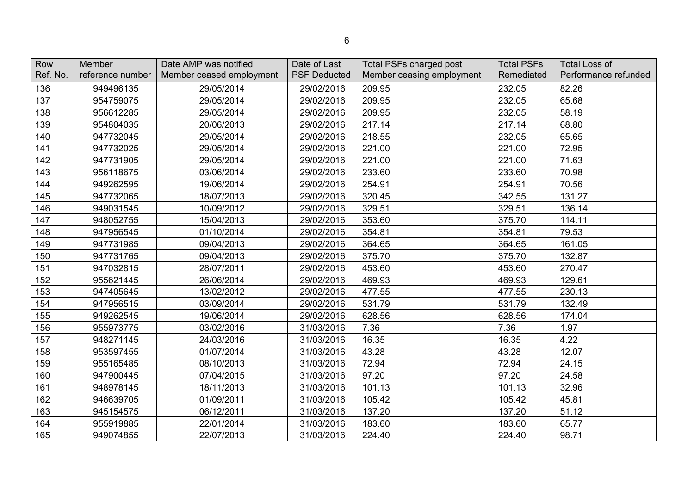| Row<br>Ref. No. | Member<br>reference number | Date AMP was notified<br>Member ceased employment | Date of Last<br><b>PSF Deducted</b> | <b>Total PSFs charged post</b><br>Member ceasing employment | <b>Total PSFs</b><br>Remediated | <b>Total Loss of</b><br>Performance refunded |
|-----------------|----------------------------|---------------------------------------------------|-------------------------------------|-------------------------------------------------------------|---------------------------------|----------------------------------------------|
| 136             | 949496135                  | 29/05/2014                                        | 29/02/2016                          | 209.95                                                      | 232.05                          | 82.26                                        |
| 137             | 954759075                  | 29/05/2014                                        | 29/02/2016                          | 209.95                                                      | 232.05                          | 65.68                                        |
| 138             | 956612285                  | 29/05/2014                                        | 29/02/2016                          | 209.95                                                      | 232.05                          | 58.19                                        |
| 139             | 954804035                  | 20/06/2013                                        | 29/02/2016                          | 217.14                                                      | 217.14                          | 68.80                                        |
| 140             | 947732045                  | 29/05/2014                                        | 29/02/2016                          | 218.55                                                      | 232.05                          | 65.65                                        |
| 141             | 947732025                  | 29/05/2014                                        | 29/02/2016                          | 221.00                                                      | 221.00                          | 72.95                                        |
| 142             | 947731905                  | 29/05/2014                                        | 29/02/2016                          | 221.00                                                      | 221.00                          | 71.63                                        |
| 143             | 956118675                  | 03/06/2014                                        | 29/02/2016                          | 233.60                                                      | 233.60                          | 70.98                                        |
| 144             | 949262595                  | 19/06/2014                                        | 29/02/2016                          | 254.91                                                      | 254.91                          | 70.56                                        |
| 145             | 947732065                  | 18/07/2013                                        | 29/02/2016                          | 320.45                                                      | 342.55                          | 131.27                                       |
| 146             | 949031545                  | 10/09/2012                                        | 29/02/2016                          | 329.51                                                      | 329.51                          | 136.14                                       |
| 147             | 948052755                  | 15/04/2013                                        | 29/02/2016                          | 353.60                                                      | 375.70                          | 114.11                                       |
| 148             | 947956545                  | 01/10/2014                                        | 29/02/2016                          | 354.81                                                      | 354.81                          | 79.53                                        |
| 149             | 947731985                  | 09/04/2013                                        | 29/02/2016                          | 364.65                                                      | 364.65                          | 161.05                                       |
| 150             | 947731765                  | 09/04/2013                                        | 29/02/2016                          | 375.70                                                      | 375.70                          | 132.87                                       |
| 151             | 947032815                  | 28/07/2011                                        | 29/02/2016                          | 453.60                                                      | 453.60                          | 270.47                                       |
| 152             | 955621445                  | 26/06/2014                                        | 29/02/2016                          | 469.93                                                      | 469.93                          | 129.61                                       |
| 153             | 947405645                  | 13/02/2012                                        | 29/02/2016                          | 477.55                                                      | 477.55                          | 230.13                                       |
| 154             | 947956515                  | 03/09/2014                                        | 29/02/2016                          | 531.79                                                      | 531.79                          | 132.49                                       |
| 155             | 949262545                  | 19/06/2014                                        | 29/02/2016                          | 628.56                                                      | 628.56                          | 174.04                                       |
| 156             | 955973775                  | 03/02/2016                                        | 31/03/2016                          | 7.36                                                        | 7.36                            | 1.97                                         |
| 157             | 948271145                  | 24/03/2016                                        | 31/03/2016                          | 16.35                                                       | 16.35                           | 4.22                                         |
| 158             | 953597455                  | 01/07/2014                                        | 31/03/2016                          | 43.28                                                       | 43.28                           | 12.07                                        |
| 159             | 955165485                  | 08/10/2013                                        | 31/03/2016                          | 72.94                                                       | 72.94                           | 24.15                                        |
| 160             | 947900445                  | 07/04/2015                                        | 31/03/2016                          | 97.20                                                       | 97.20                           | 24.58                                        |
| 161             | 948978145                  | 18/11/2013                                        | 31/03/2016                          | 101.13                                                      | 101.13                          | 32.96                                        |
| 162             | 946639705                  | 01/09/2011                                        | 31/03/2016                          | 105.42                                                      | 105.42                          | 45.81                                        |
| 163             | 945154575                  | 06/12/2011                                        | 31/03/2016                          | 137.20                                                      | 137.20                          | 51.12                                        |
| 164             | 955919885                  | 22/01/2014                                        | 31/03/2016                          | 183.60                                                      | 183.60                          | 65.77                                        |
| 165             | 949074855                  | 22/07/2013                                        | 31/03/2016                          | 224.40                                                      | 224.40                          | 98.71                                        |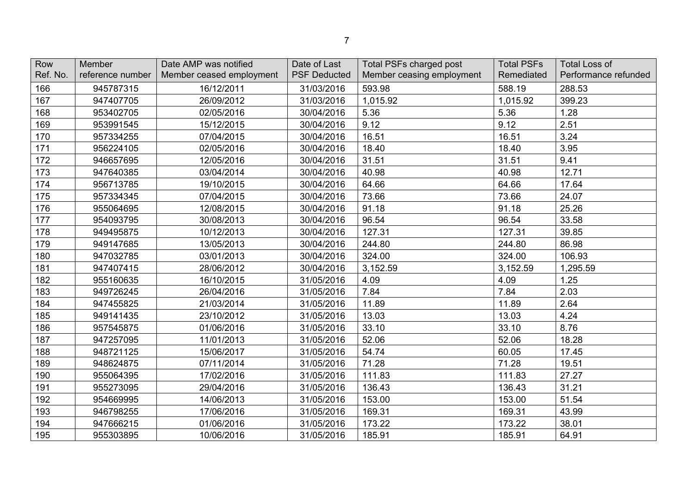| Row<br>Ref. No. | Member<br>reference number | Date AMP was notified<br>Member ceased employment | Date of Last<br><b>PSF Deducted</b> | <b>Total PSFs charged post</b><br>Member ceasing employment | <b>Total PSFs</b><br>Remediated | <b>Total Loss of</b><br>Performance refunded |
|-----------------|----------------------------|---------------------------------------------------|-------------------------------------|-------------------------------------------------------------|---------------------------------|----------------------------------------------|
|                 |                            |                                                   |                                     |                                                             |                                 |                                              |
| 166             | 945787315                  | 16/12/2011                                        | 31/03/2016                          | 593.98                                                      | 588.19                          | 288.53                                       |
| 167             | 947407705                  | 26/09/2012                                        | 31/03/2016                          | 1,015.92                                                    | 1,015.92                        | 399.23                                       |
| 168             | 953402705                  | 02/05/2016                                        | 30/04/2016                          | 5.36                                                        | 5.36                            | 1.28                                         |
| 169             | 953991545                  | 15/12/2015                                        | 30/04/2016                          | 9.12                                                        | 9.12                            | 2.51                                         |
| 170             | 957334255                  | 07/04/2015                                        | 30/04/2016                          | 16.51                                                       | 16.51                           | 3.24                                         |
| 171             | 956224105                  | 02/05/2016                                        | 30/04/2016                          | 18.40                                                       | 18.40                           | 3.95                                         |
| 172             | 946657695                  | 12/05/2016                                        | 30/04/2016                          | 31.51                                                       | 31.51                           | 9.41                                         |
| 173             | 947640385                  | 03/04/2014                                        | 30/04/2016                          | 40.98                                                       | 40.98                           | 12.71                                        |
| 174             | 956713785                  | 19/10/2015                                        | 30/04/2016                          | 64.66                                                       | 64.66                           | 17.64                                        |
| 175             | 957334345                  | 07/04/2015                                        | 30/04/2016                          | 73.66                                                       | 73.66                           | 24.07                                        |
| 176             | 955064695                  | 12/08/2015                                        | 30/04/2016                          | 91.18                                                       | 91.18                           | 25.26                                        |
| 177             | 954093795                  | 30/08/2013                                        | 30/04/2016                          | 96.54                                                       | 96.54                           | 33.58                                        |
| 178             | 949495875                  | 10/12/2013                                        | 30/04/2016                          | 127.31                                                      | 127.31                          | 39.85                                        |
| 179             | 949147685                  | 13/05/2013                                        | 30/04/2016                          | 244.80                                                      | 244.80                          | 86.98                                        |
| 180             | 947032785                  | 03/01/2013                                        | 30/04/2016                          | 324.00                                                      | 324.00                          | 106.93                                       |
| 181             | 947407415                  | 28/06/2012                                        | 30/04/2016                          | 3,152.59                                                    | 3,152.59                        | 1,295.59                                     |
| 182             | 955160635                  | 16/10/2015                                        | 31/05/2016                          | 4.09                                                        | 4.09                            | 1.25                                         |
| 183             | 949726245                  | 26/04/2016                                        | 31/05/2016                          | 7.84                                                        | 7.84                            | 2.03                                         |
| 184             | 947455825                  | 21/03/2014                                        | 31/05/2016                          | 11.89                                                       | 11.89                           | 2.64                                         |
| 185             | 949141435                  | 23/10/2012                                        | 31/05/2016                          | 13.03                                                       | 13.03                           | 4.24                                         |
| 186             | 957545875                  | 01/06/2016                                        | 31/05/2016                          | 33.10                                                       | 33.10                           | 8.76                                         |
| 187             | 947257095                  | 11/01/2013                                        | 31/05/2016                          | 52.06                                                       | 52.06                           | 18.28                                        |
| 188             | 948721125                  | 15/06/2017                                        | 31/05/2016                          | 54.74                                                       | 60.05                           | 17.45                                        |
| 189             | 948624875                  | 07/11/2014                                        | 31/05/2016                          | 71.28                                                       | 71.28                           | 19.51                                        |
| 190             | 955064395                  | 17/02/2016                                        | 31/05/2016                          | 111.83                                                      | 111.83                          | 27.27                                        |
| 191             | 955273095                  | 29/04/2016                                        | 31/05/2016                          | 136.43                                                      | 136.43                          | 31.21                                        |
| 192             | 954669995                  | 14/06/2013                                        | 31/05/2016                          | 153.00                                                      | 153.00                          | 51.54                                        |
| 193             | 946798255                  | 17/06/2016                                        | 31/05/2016                          | 169.31                                                      | 169.31                          | 43.99                                        |
| 194             | 947666215                  | 01/06/2016                                        | 31/05/2016                          | 173.22                                                      | 173.22                          | 38.01                                        |
| 195             | 955303895                  | 10/06/2016                                        | 31/05/2016                          | 185.91                                                      | 185.91                          | 64.91                                        |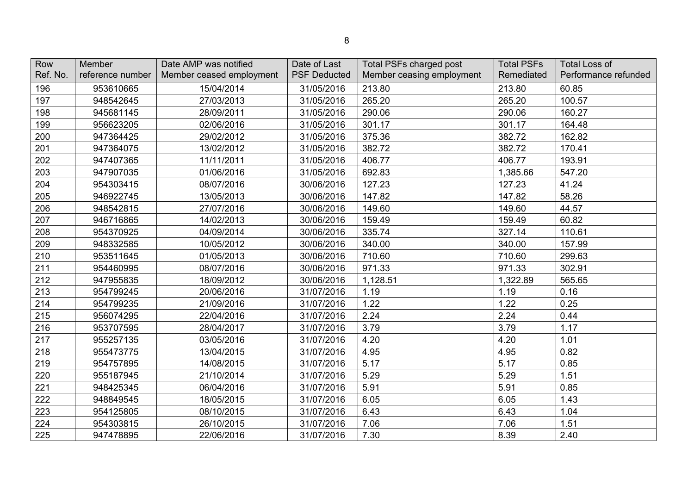| Row<br>Ref. No. | Member<br>reference number | Date AMP was notified<br>Member ceased employment | Date of Last<br><b>PSF Deducted</b> | <b>Total PSFs charged post</b><br>Member ceasing employment | <b>Total PSFs</b><br>Remediated | <b>Total Loss of</b><br>Performance refunded |
|-----------------|----------------------------|---------------------------------------------------|-------------------------------------|-------------------------------------------------------------|---------------------------------|----------------------------------------------|
| 196             | 953610665                  | 15/04/2014                                        | 31/05/2016                          | 213.80                                                      | 213.80                          | 60.85                                        |
| 197             | 948542645                  | 27/03/2013                                        | 31/05/2016                          | 265.20                                                      | 265.20                          | 100.57                                       |
| 198             | 945681145                  | 28/09/2011                                        | 31/05/2016                          | 290.06                                                      | 290.06                          | 160.27                                       |
| 199             | 956623205                  | 02/06/2016                                        | 31/05/2016                          | 301.17                                                      | 301.17                          | 164.48                                       |
| 200             | 947364425                  | 29/02/2012                                        | 31/05/2016                          | 375.36                                                      | 382.72                          | 162.82                                       |
| 201             | 947364075                  | 13/02/2012                                        | 31/05/2016                          | 382.72                                                      | 382.72                          | 170.41                                       |
| 202             | 947407365                  | 11/11/2011                                        | 31/05/2016                          | 406.77                                                      | 406.77                          | 193.91                                       |
| 203             | 947907035                  | 01/06/2016                                        | 31/05/2016                          | 692.83                                                      | 1,385.66                        | 547.20                                       |
| 204             | 954303415                  | 08/07/2016                                        | 30/06/2016                          | 127.23                                                      | 127.23                          | 41.24                                        |
| 205             | 946922745                  | 13/05/2013                                        | 30/06/2016                          | 147.82                                                      | 147.82                          | 58.26                                        |
| 206             | 948542815                  | 27/07/2016                                        | 30/06/2016                          | 149.60                                                      | 149.60                          | 44.57                                        |
| 207             | 946716865                  | 14/02/2013                                        | 30/06/2016                          | 159.49                                                      | 159.49                          | 60.82                                        |
| 208             | 954370925                  | 04/09/2014                                        | 30/06/2016                          | 335.74                                                      | 327.14                          | 110.61                                       |
| 209             | 948332585                  | 10/05/2012                                        | 30/06/2016                          | 340.00                                                      | 340.00                          | 157.99                                       |
| 210             | 953511645                  | 01/05/2013                                        | 30/06/2016                          | 710.60                                                      | 710.60                          | 299.63                                       |
| 211             | 954460995                  | 08/07/2016                                        | 30/06/2016                          | 971.33                                                      | 971.33                          | 302.91                                       |
| 212             | 947955835                  | 18/09/2012                                        | 30/06/2016                          | 1,128.51                                                    | 1,322.89                        | 565.65                                       |
| 213             | 954799245                  | 20/06/2016                                        | 31/07/2016                          | 1.19                                                        | 1.19                            | 0.16                                         |
| 214             | 954799235                  | 21/09/2016                                        | 31/07/2016                          | 1.22                                                        | 1.22                            | 0.25                                         |
| 215             | 956074295                  | 22/04/2016                                        | 31/07/2016                          | 2.24                                                        | 2.24                            | 0.44                                         |
| 216             | 953707595                  | 28/04/2017                                        | 31/07/2016                          | 3.79                                                        | 3.79                            | 1.17                                         |
| 217             | 955257135                  | 03/05/2016                                        | 31/07/2016                          | 4.20                                                        | 4.20                            | 1.01                                         |
| 218             | 955473775                  | 13/04/2015                                        | 31/07/2016                          | 4.95                                                        | 4.95                            | 0.82                                         |
| 219             | 954757895                  | 14/08/2015                                        | 31/07/2016                          | 5.17                                                        | 5.17                            | 0.85                                         |
| 220             | 955187945                  | 21/10/2014                                        | 31/07/2016                          | 5.29                                                        | 5.29                            | 1.51                                         |
| 221             | 948425345                  | 06/04/2016                                        | 31/07/2016                          | 5.91                                                        | 5.91                            | 0.85                                         |
| 222             | 948849545                  | 18/05/2015                                        | 31/07/2016                          | 6.05                                                        | 6.05                            | 1.43                                         |
| 223             | 954125805                  | 08/10/2015                                        | 31/07/2016                          | 6.43                                                        | 6.43                            | 1.04                                         |
| 224             | 954303815                  | 26/10/2015                                        | 31/07/2016                          | 7.06                                                        | 7.06                            | 1.51                                         |
| 225             | 947478895                  | 22/06/2016                                        | 31/07/2016                          | 7.30                                                        | 8.39                            | 2.40                                         |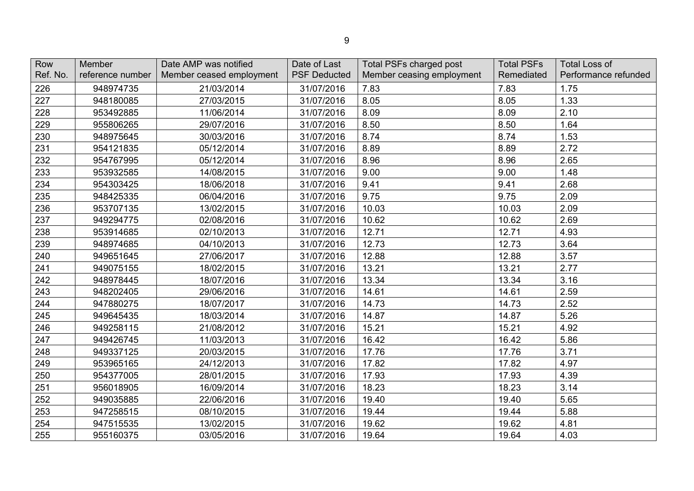| Row<br>Ref. No. | Member<br>reference number | Date AMP was notified<br>Member ceased employment | Date of Last<br><b>PSF Deducted</b> | <b>Total PSFs charged post</b><br>Member ceasing employment | <b>Total PSFs</b><br>Remediated | <b>Total Loss of</b><br>Performance refunded |
|-----------------|----------------------------|---------------------------------------------------|-------------------------------------|-------------------------------------------------------------|---------------------------------|----------------------------------------------|
| 226             | 948974735                  | 21/03/2014                                        | 31/07/2016                          | 7.83                                                        | 7.83                            | 1.75                                         |
| 227             | 948180085                  | 27/03/2015                                        | 31/07/2016                          | 8.05                                                        | 8.05                            | 1.33                                         |
| 228             | 953492885                  | 11/06/2014                                        | 31/07/2016                          | 8.09                                                        | 8.09                            | 2.10                                         |
| 229             | 955806265                  | 29/07/2016                                        | 31/07/2016                          | 8.50                                                        | 8.50                            | 1.64                                         |
| 230             | 948975645                  | 30/03/2016                                        | 31/07/2016                          | 8.74                                                        | 8.74                            | 1.53                                         |
| 231             | 954121835                  | 05/12/2014                                        | 31/07/2016                          | 8.89                                                        | 8.89                            | 2.72                                         |
| 232             | 954767995                  | 05/12/2014                                        | 31/07/2016                          | 8.96                                                        | 8.96                            | 2.65                                         |
| 233             | 953932585                  | 14/08/2015                                        | 31/07/2016                          | 9.00                                                        | 9.00                            | 1.48                                         |
| 234             | 954303425                  | 18/06/2018                                        | 31/07/2016                          | 9.41                                                        | 9.41                            | 2.68                                         |
| 235             | 948425335                  | 06/04/2016                                        | 31/07/2016                          | 9.75                                                        | 9.75                            | 2.09                                         |
| 236             | 953707135                  | 13/02/2015                                        | 31/07/2016                          | 10.03                                                       | 10.03                           | 2.09                                         |
| 237             | 949294775                  | 02/08/2016                                        | 31/07/2016                          | 10.62                                                       | 10.62                           | 2.69                                         |
| 238             | 953914685                  | 02/10/2013                                        | 31/07/2016                          | 12.71                                                       | 12.71                           | 4.93                                         |
| 239             | 948974685                  | 04/10/2013                                        | 31/07/2016                          | 12.73                                                       | 12.73                           | 3.64                                         |
| 240             | 949651645                  | 27/06/2017                                        | 31/07/2016                          | 12.88                                                       | 12.88                           | 3.57                                         |
| 241             | 949075155                  | 18/02/2015                                        | 31/07/2016                          | 13.21                                                       | 13.21                           | 2.77                                         |
| 242             | 948978445                  | 18/07/2016                                        | 31/07/2016                          | 13.34                                                       | 13.34                           | 3.16                                         |
| 243             | 948202405                  | 29/06/2016                                        | 31/07/2016                          | 14.61                                                       | 14.61                           | 2.59                                         |
| 244             | 947880275                  | 18/07/2017                                        | 31/07/2016                          | 14.73                                                       | 14.73                           | 2.52                                         |
| 245             | 949645435                  | 18/03/2014                                        | 31/07/2016                          | 14.87                                                       | 14.87                           | 5.26                                         |
| 246             | 949258115                  | 21/08/2012                                        | 31/07/2016                          | 15.21                                                       | 15.21                           | 4.92                                         |
| 247             | 949426745                  | 11/03/2013                                        | 31/07/2016                          | 16.42                                                       | 16.42                           | 5.86                                         |
| 248             | 949337125                  | 20/03/2015                                        | 31/07/2016                          | 17.76                                                       | 17.76                           | 3.71                                         |
| 249             | 953965165                  | 24/12/2013                                        | 31/07/2016                          | 17.82                                                       | 17.82                           | 4.97                                         |
| 250             | 954377005                  | 28/01/2015                                        | 31/07/2016                          | 17.93                                                       | 17.93                           | 4.39                                         |
| 251             | 956018905                  | 16/09/2014                                        | 31/07/2016                          | 18.23                                                       | 18.23                           | 3.14                                         |
| 252             | 949035885                  | 22/06/2016                                        | 31/07/2016                          | 19.40                                                       | 19.40                           | 5.65                                         |
| 253             | 947258515                  | 08/10/2015                                        | 31/07/2016                          | 19.44                                                       | 19.44                           | 5.88                                         |
| 254             | 947515535                  | 13/02/2015                                        | 31/07/2016                          | 19.62                                                       | 19.62                           | 4.81                                         |
| 255             | 955160375                  | 03/05/2016                                        | 31/07/2016                          | 19.64                                                       | 19.64                           | 4.03                                         |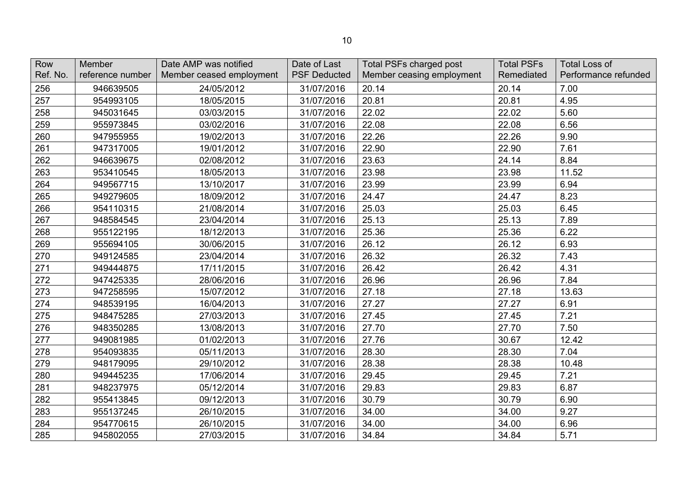| Row<br>Ref. No. | Member<br>reference number | Date AMP was notified<br>Member ceased employment | Date of Last<br><b>PSF Deducted</b> | Total PSFs charged post<br>Member ceasing employment | <b>Total PSFs</b><br>Remediated | <b>Total Loss of</b><br>Performance refunded |
|-----------------|----------------------------|---------------------------------------------------|-------------------------------------|------------------------------------------------------|---------------------------------|----------------------------------------------|
| 256             | 946639505                  | 24/05/2012                                        | 31/07/2016                          | 20.14                                                | 20.14                           | 7.00                                         |
| 257             | 954993105                  | 18/05/2015                                        | 31/07/2016                          | 20.81                                                | 20.81                           | 4.95                                         |
| 258             | 945031645                  | 03/03/2015                                        | 31/07/2016                          | 22.02                                                | 22.02                           | 5.60                                         |
| 259             | 955973845                  | 03/02/2016                                        | 31/07/2016                          | 22.08                                                | 22.08                           | 6.56                                         |
| 260             | 947955955                  | 19/02/2013                                        | 31/07/2016                          | 22.26                                                | 22.26                           | 9.90                                         |
| 261             | 947317005                  | 19/01/2012                                        | 31/07/2016                          | 22.90                                                | 22.90                           | 7.61                                         |
| 262             | 946639675                  | 02/08/2012                                        | 31/07/2016                          | 23.63                                                | 24.14                           | 8.84                                         |
| 263             | 953410545                  | 18/05/2013                                        | 31/07/2016                          | 23.98                                                | 23.98                           | 11.52                                        |
| 264             | 949567715                  | 13/10/2017                                        | 31/07/2016                          | 23.99                                                | 23.99                           | 6.94                                         |
| 265             | 949279605                  | 18/09/2012                                        | 31/07/2016                          | 24.47                                                | 24.47                           | 8.23                                         |
| 266             | 954110315                  | 21/08/2014                                        | 31/07/2016                          | 25.03                                                | 25.03                           | 6.45                                         |
| 267             | 948584545                  | 23/04/2014                                        | 31/07/2016                          | 25.13                                                | 25.13                           | 7.89                                         |
| 268             | 955122195                  | 18/12/2013                                        | 31/07/2016                          | 25.36                                                | 25.36                           | 6.22                                         |
| 269             | 955694105                  | 30/06/2015                                        | 31/07/2016                          | 26.12                                                | 26.12                           | 6.93                                         |
| 270             | 949124585                  | 23/04/2014                                        | 31/07/2016                          | 26.32                                                | 26.32                           | 7.43                                         |
| 271             | 949444875                  | 17/11/2015                                        | 31/07/2016                          | 26.42                                                | 26.42                           | 4.31                                         |
| 272             | 947425335                  | 28/06/2016                                        | 31/07/2016                          | 26.96                                                | 26.96                           | 7.84                                         |
| 273             | 947258595                  | 15/07/2012                                        | 31/07/2016                          | 27.18                                                | 27.18                           | 13.63                                        |
| 274             | 948539195                  | 16/04/2013                                        | 31/07/2016                          | 27.27                                                | 27.27                           | 6.91                                         |
| 275             | 948475285                  | 27/03/2013                                        | 31/07/2016                          | 27.45                                                | 27.45                           | 7.21                                         |
| 276             | 948350285                  | 13/08/2013                                        | 31/07/2016                          | 27.70                                                | 27.70                           | 7.50                                         |
| 277             | 949081985                  | 01/02/2013                                        | 31/07/2016                          | 27.76                                                | 30.67                           | 12.42                                        |
| 278             | 954093835                  | 05/11/2013                                        | 31/07/2016                          | 28.30                                                | 28.30                           | 7.04                                         |
| 279             | 948179095                  | 29/10/2012                                        | 31/07/2016                          | 28.38                                                | 28.38                           | 10.48                                        |
| 280             | 949445235                  | 17/06/2014                                        | 31/07/2016                          | 29.45                                                | 29.45                           | 7.21                                         |
| 281             | 948237975                  | 05/12/2014                                        | 31/07/2016                          | 29.83                                                | 29.83                           | 6.87                                         |
| 282             | 955413845                  | 09/12/2013                                        | 31/07/2016                          | 30.79                                                | 30.79                           | 6.90                                         |
| 283             | 955137245                  | 26/10/2015                                        | 31/07/2016                          | 34.00                                                | 34.00                           | 9.27                                         |
| 284             | 954770615                  | 26/10/2015                                        | 31/07/2016                          | 34.00                                                | 34.00                           | 6.96                                         |
| 285             | 945802055                  | 27/03/2015                                        | 31/07/2016                          | 34.84                                                | 34.84                           | 5.71                                         |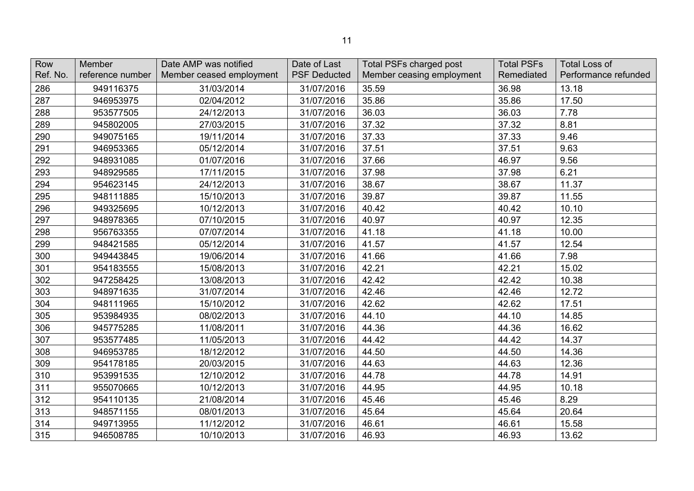| Row<br>Ref. No. | <b>Member</b><br>reference number | Date AMP was notified<br>Member ceased employment | Date of Last<br><b>PSF Deducted</b> | Total PSFs charged post<br>Member ceasing employment | <b>Total PSFs</b><br>Remediated | <b>Total Loss of</b><br>Performance refunded |
|-----------------|-----------------------------------|---------------------------------------------------|-------------------------------------|------------------------------------------------------|---------------------------------|----------------------------------------------|
| 286             | 949116375                         | 31/03/2014                                        | 31/07/2016                          | 35.59                                                | 36.98                           | 13.18                                        |
| 287             | 946953975                         | 02/04/2012                                        | 31/07/2016                          | 35.86                                                | 35.86                           | 17.50                                        |
| 288             | 953577505                         | 24/12/2013                                        | 31/07/2016                          | 36.03                                                | 36.03                           | 7.78                                         |
| 289             | 945802005                         | 27/03/2015                                        | 31/07/2016                          | 37.32                                                | 37.32                           | 8.81                                         |
| 290             | 949075165                         | 19/11/2014                                        | 31/07/2016                          | 37.33                                                | 37.33                           | 9.46                                         |
| 291             | 946953365                         | 05/12/2014                                        | 31/07/2016                          | 37.51                                                | 37.51                           | 9.63                                         |
| 292             | 948931085                         | 01/07/2016                                        | 31/07/2016                          | 37.66                                                | 46.97                           | 9.56                                         |
| 293             | 948929585                         | 17/11/2015                                        | 31/07/2016                          | 37.98                                                | 37.98                           | 6.21                                         |
| 294             | 954623145                         | 24/12/2013                                        | 31/07/2016                          | 38.67                                                | 38.67                           | 11.37                                        |
| 295             | 948111885                         | 15/10/2013                                        | 31/07/2016                          | 39.87                                                | 39.87                           | 11.55                                        |
| 296             | 949325695                         | 10/12/2013                                        | 31/07/2016                          | 40.42                                                | 40.42                           | 10.10                                        |
| 297             | 948978365                         | 07/10/2015                                        | 31/07/2016                          | 40.97                                                | 40.97                           | 12.35                                        |
| 298             | 956763355                         | 07/07/2014                                        | 31/07/2016                          | 41.18                                                | 41.18                           | 10.00                                        |
| 299             | 948421585                         | 05/12/2014                                        | 31/07/2016                          | 41.57                                                | 41.57                           | 12.54                                        |
| 300             | 949443845                         | 19/06/2014                                        | 31/07/2016                          | 41.66                                                | 41.66                           | 7.98                                         |
| 301             | 954183555                         | 15/08/2013                                        | 31/07/2016                          | 42.21                                                | 42.21                           | 15.02                                        |
| 302             | 947258425                         | 13/08/2013                                        | 31/07/2016                          | 42.42                                                | 42.42                           | 10.38                                        |
| 303             | 948971635                         | 31/07/2014                                        | 31/07/2016                          | 42.46                                                | 42.46                           | 12.72                                        |
| 304             | 948111965                         | 15/10/2012                                        | 31/07/2016                          | 42.62                                                | 42.62                           | 17.51                                        |
| 305             | 953984935                         | 08/02/2013                                        | 31/07/2016                          | 44.10                                                | 44.10                           | 14.85                                        |
| 306             | 945775285                         | 11/08/2011                                        | 31/07/2016                          | 44.36                                                | 44.36                           | 16.62                                        |
| 307             | 953577485                         | 11/05/2013                                        | 31/07/2016                          | 44.42                                                | 44.42                           | 14.37                                        |
| 308             | 946953785                         | 18/12/2012                                        | 31/07/2016                          | 44.50                                                | 44.50                           | 14.36                                        |
| 309             | 954178185                         | 20/03/2015                                        | 31/07/2016                          | 44.63                                                | 44.63                           | 12.36                                        |
| 310             | 953991535                         | 12/10/2012                                        | 31/07/2016                          | 44.78                                                | 44.78                           | 14.91                                        |
| 311             | 955070665                         | 10/12/2013                                        | 31/07/2016                          | 44.95                                                | 44.95                           | 10.18                                        |
| 312             | 954110135                         | 21/08/2014                                        | 31/07/2016                          | 45.46                                                | 45.46                           | 8.29                                         |
| 313             | 948571155                         | 08/01/2013                                        | 31/07/2016                          | 45.64                                                | 45.64                           | 20.64                                        |
| 314             | 949713955                         | 11/12/2012                                        | 31/07/2016                          | 46.61                                                | 46.61                           | 15.58                                        |
| 315             | 946508785                         | 10/10/2013                                        | 31/07/2016                          | 46.93                                                | 46.93                           | 13.62                                        |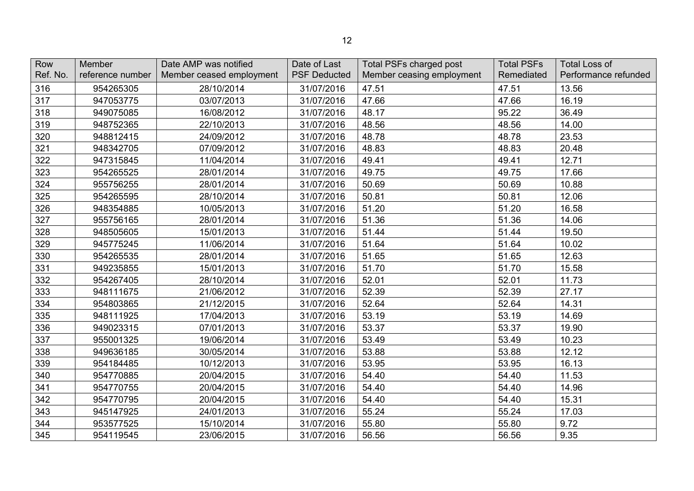| Row<br>Ref. No. | Member<br>reference number | Date AMP was notified<br>Member ceased employment | Date of Last<br><b>PSF Deducted</b> | <b>Total PSFs charged post</b><br>Member ceasing employment | <b>Total PSFs</b><br>Remediated | <b>Total Loss of</b><br>Performance refunded |
|-----------------|----------------------------|---------------------------------------------------|-------------------------------------|-------------------------------------------------------------|---------------------------------|----------------------------------------------|
| 316             | 954265305                  | 28/10/2014                                        | 31/07/2016                          | 47.51                                                       | 47.51                           | 13.56                                        |
| 317             | 947053775                  | 03/07/2013                                        | 31/07/2016                          | 47.66                                                       | 47.66                           | 16.19                                        |
| 318             | 949075085                  | 16/08/2012                                        | 31/07/2016                          | 48.17                                                       | 95.22                           | 36.49                                        |
| 319             | 948752365                  | 22/10/2013                                        | 31/07/2016                          | 48.56                                                       | 48.56                           | 14.00                                        |
| 320             | 948812415                  | 24/09/2012                                        | 31/07/2016                          | 48.78                                                       | 48.78                           | 23.53                                        |
| 321             | 948342705                  | 07/09/2012                                        | 31/07/2016                          | 48.83                                                       | 48.83                           | 20.48                                        |
| 322             | 947315845                  | 11/04/2014                                        | 31/07/2016                          | 49.41                                                       | 49.41                           | 12.71                                        |
| 323             | 954265525                  | 28/01/2014                                        | 31/07/2016                          | 49.75                                                       | 49.75                           | 17.66                                        |
| 324             | 955756255                  | 28/01/2014                                        | 31/07/2016                          | 50.69                                                       | 50.69                           | 10.88                                        |
| 325             | 954265595                  | 28/10/2014                                        | 31/07/2016                          | 50.81                                                       | 50.81                           | 12.06                                        |
| 326             | 948354885                  | 10/05/2013                                        | 31/07/2016                          | 51.20                                                       | 51.20                           | 16.58                                        |
| 327             | 955756165                  | 28/01/2014                                        | 31/07/2016                          | 51.36                                                       | 51.36                           | 14.06                                        |
| 328             | 948505605                  | 15/01/2013                                        | 31/07/2016                          | 51.44                                                       | 51.44                           | 19.50                                        |
| 329             | 945775245                  | 11/06/2014                                        | 31/07/2016                          | 51.64                                                       | 51.64                           | 10.02                                        |
| 330             | 954265535                  | 28/01/2014                                        | 31/07/2016                          | 51.65                                                       | 51.65                           | 12.63                                        |
| 331             | 949235855                  | 15/01/2013                                        | 31/07/2016                          | 51.70                                                       | 51.70                           | 15.58                                        |
| 332             | 954267405                  | 28/10/2014                                        | 31/07/2016                          | 52.01                                                       | 52.01                           | 11.73                                        |
| 333             | 948111675                  | 21/06/2012                                        | 31/07/2016                          | 52.39                                                       | 52.39                           | 27.17                                        |
| 334             | 954803865                  | 21/12/2015                                        | 31/07/2016                          | 52.64                                                       | 52.64                           | 14.31                                        |
| 335             | 948111925                  | 17/04/2013                                        | 31/07/2016                          | 53.19                                                       | 53.19                           | 14.69                                        |
| 336             | 949023315                  | 07/01/2013                                        | 31/07/2016                          | 53.37                                                       | 53.37                           | 19.90                                        |
| 337             | 955001325                  | 19/06/2014                                        | 31/07/2016                          | 53.49                                                       | 53.49                           | 10.23                                        |
| 338             | 949636185                  | 30/05/2014                                        | 31/07/2016                          | 53.88                                                       | 53.88                           | 12.12                                        |
| 339             | 954184485                  | 10/12/2013                                        | 31/07/2016                          | 53.95                                                       | 53.95                           | 16.13                                        |
| 340             | 954770885                  | 20/04/2015                                        | 31/07/2016                          | 54.40                                                       | 54.40                           | 11.53                                        |
| 341             | 954770755                  | 20/04/2015                                        | 31/07/2016                          | 54.40                                                       | 54.40                           | 14.96                                        |
| 342             | 954770795                  | 20/04/2015                                        | 31/07/2016                          | 54.40                                                       | 54.40                           | 15.31                                        |
| 343             | 945147925                  | 24/01/2013                                        | 31/07/2016                          | 55.24                                                       | 55.24                           | 17.03                                        |
| 344             | 953577525                  | 15/10/2014                                        | 31/07/2016                          | 55.80                                                       | 55.80                           | 9.72                                         |
| 345             | 954119545                  | 23/06/2015                                        | 31/07/2016                          | 56.56                                                       | 56.56                           | 9.35                                         |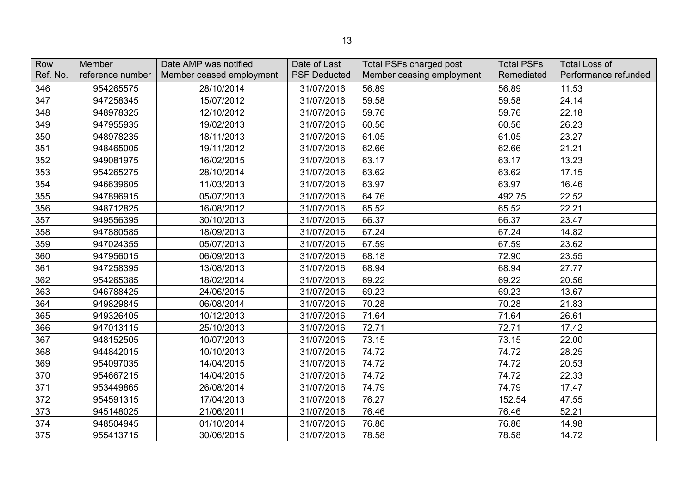| Row<br>Ref. No. | Member<br>reference number | Date AMP was notified<br>Member ceased employment | Date of Last<br><b>PSF Deducted</b> | <b>Total PSFs charged post</b><br>Member ceasing employment | <b>Total PSFs</b><br>Remediated | <b>Total Loss of</b><br>Performance refunded |
|-----------------|----------------------------|---------------------------------------------------|-------------------------------------|-------------------------------------------------------------|---------------------------------|----------------------------------------------|
| 346             | 954265575                  | 28/10/2014                                        | 31/07/2016                          | 56.89                                                       | 56.89                           | 11.53                                        |
| 347             | 947258345                  | 15/07/2012                                        | 31/07/2016                          | 59.58                                                       | 59.58                           | 24.14                                        |
| 348             | 948978325                  | 12/10/2012                                        | 31/07/2016                          | 59.76                                                       | 59.76                           | 22.18                                        |
| 349             | 947955935                  | 19/02/2013                                        | 31/07/2016                          | 60.56                                                       | 60.56                           | 26.23                                        |
| 350             | 948978235                  | 18/11/2013                                        | 31/07/2016                          | 61.05                                                       | 61.05                           | 23.27                                        |
| 351             | 948465005                  | 19/11/2012                                        | 31/07/2016                          | 62.66                                                       | 62.66                           | 21.21                                        |
| 352             | 949081975                  | 16/02/2015                                        | 31/07/2016                          | 63.17                                                       | 63.17                           | 13.23                                        |
| 353             | 954265275                  | 28/10/2014                                        | 31/07/2016                          | 63.62                                                       | 63.62                           | 17.15                                        |
| 354             | 946639605                  | 11/03/2013                                        | 31/07/2016                          | 63.97                                                       | 63.97                           | 16.46                                        |
| 355             | 947896915                  | 05/07/2013                                        | 31/07/2016                          | 64.76                                                       | 492.75                          | 22.52                                        |
| 356             | 948712825                  | 16/08/2012                                        | 31/07/2016                          | 65.52                                                       | 65.52                           | 22.21                                        |
| 357             | 949556395                  | 30/10/2013                                        | 31/07/2016                          | 66.37                                                       | 66.37                           | 23.47                                        |
| 358             | 947880585                  | 18/09/2013                                        | 31/07/2016                          | 67.24                                                       | 67.24                           | 14.82                                        |
| 359             | 947024355                  | 05/07/2013                                        | 31/07/2016                          | 67.59                                                       | 67.59                           | 23.62                                        |
| 360             | 947956015                  | 06/09/2013                                        | 31/07/2016                          | 68.18                                                       | 72.90                           | 23.55                                        |
| 361             | 947258395                  | 13/08/2013                                        | 31/07/2016                          | 68.94                                                       | 68.94                           | 27.77                                        |
| 362             | 954265385                  | 18/02/2014                                        | 31/07/2016                          | 69.22                                                       | 69.22                           | 20.56                                        |
| 363             | 946788425                  | 24/06/2015                                        | 31/07/2016                          | 69.23                                                       | 69.23                           | 13.67                                        |
| 364             | 949829845                  | 06/08/2014                                        | 31/07/2016                          | 70.28                                                       | 70.28                           | 21.83                                        |
| 365             | 949326405                  | 10/12/2013                                        | 31/07/2016                          | 71.64                                                       | 71.64                           | 26.61                                        |
| 366             | 947013115                  | 25/10/2013                                        | 31/07/2016                          | 72.71                                                       | 72.71                           | 17.42                                        |
| 367             | 948152505                  | 10/07/2013                                        | 31/07/2016                          | 73.15                                                       | 73.15                           | 22.00                                        |
| 368             | 944842015                  | 10/10/2013                                        | 31/07/2016                          | 74.72                                                       | 74.72                           | 28.25                                        |
| 369             | 954097035                  | 14/04/2015                                        | 31/07/2016                          | 74.72                                                       | 74.72                           | 20.53                                        |
| 370             | 954667215                  | 14/04/2015                                        | 31/07/2016                          | 74.72                                                       | 74.72                           | 22.33                                        |
| 371             | 953449865                  | 26/08/2014                                        | 31/07/2016                          | 74.79                                                       | 74.79                           | 17.47                                        |
| 372             | 954591315                  | 17/04/2013                                        | 31/07/2016                          | 76.27                                                       | 152.54                          | 47.55                                        |
| 373             | 945148025                  | 21/06/2011                                        | 31/07/2016                          | 76.46                                                       | 76.46                           | 52.21                                        |
| 374             | 948504945                  | 01/10/2014                                        | 31/07/2016                          | 76.86                                                       | 76.86                           | 14.98                                        |
| 375             | 955413715                  | 30/06/2015                                        | 31/07/2016                          | 78.58                                                       | 78.58                           | 14.72                                        |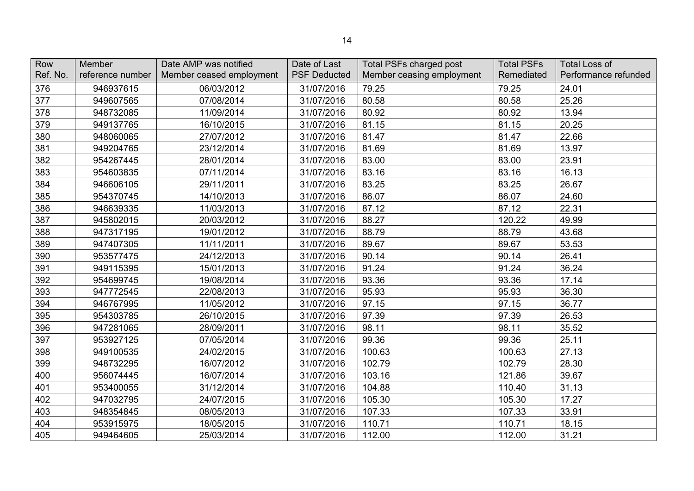| Row<br>Ref. No. | Member<br>reference number | Date AMP was notified<br>Member ceased employment | Date of Last<br><b>PSF Deducted</b> | <b>Total PSFs charged post</b><br>Member ceasing employment | <b>Total PSFs</b><br>Remediated | <b>Total Loss of</b><br>Performance refunded |
|-----------------|----------------------------|---------------------------------------------------|-------------------------------------|-------------------------------------------------------------|---------------------------------|----------------------------------------------|
| 376             | 946937615                  | 06/03/2012                                        | 31/07/2016                          | 79.25                                                       | 79.25                           | 24.01                                        |
| 377             | 949607565                  | 07/08/2014                                        | 31/07/2016                          | 80.58                                                       | 80.58                           | 25.26                                        |
| 378             | 948732085                  | 11/09/2014                                        | 31/07/2016                          | 80.92                                                       | 80.92                           | 13.94                                        |
| 379             | 949137765                  | 16/10/2015                                        | 31/07/2016                          | 81.15                                                       | 81.15                           | 20.25                                        |
| 380             | 948060065                  | 27/07/2012                                        | 31/07/2016                          | 81.47                                                       | 81.47                           | 22.66                                        |
| 381             | 949204765                  | 23/12/2014                                        | 31/07/2016                          | 81.69                                                       | 81.69                           | 13.97                                        |
| 382             | 954267445                  | 28/01/2014                                        | 31/07/2016                          | 83.00                                                       | 83.00                           | 23.91                                        |
| 383             | 954603835                  | 07/11/2014                                        | 31/07/2016                          | 83.16                                                       | 83.16                           | 16.13                                        |
| 384             | 946606105                  | 29/11/2011                                        | 31/07/2016                          | 83.25                                                       | 83.25                           | 26.67                                        |
| 385             | 954370745                  | 14/10/2013                                        | 31/07/2016                          | 86.07                                                       | 86.07                           | 24.60                                        |
| 386             | 946639335                  | 11/03/2013                                        | 31/07/2016                          | 87.12                                                       | 87.12                           | 22.31                                        |
| 387             | 945802015                  | 20/03/2012                                        | 31/07/2016                          | 88.27                                                       | 120.22                          | 49.99                                        |
| 388             | 947317195                  | 19/01/2012                                        | 31/07/2016                          | 88.79                                                       | 88.79                           | 43.68                                        |
| 389             | 947407305                  | 11/11/2011                                        | 31/07/2016                          | 89.67                                                       | 89.67                           | 53.53                                        |
| 390             | 953577475                  | 24/12/2013                                        | 31/07/2016                          | 90.14                                                       | 90.14                           | 26.41                                        |
| 391             | 949115395                  | 15/01/2013                                        | 31/07/2016                          | 91.24                                                       | 91.24                           | 36.24                                        |
| 392             | 954699745                  | 19/08/2014                                        | 31/07/2016                          | 93.36                                                       | 93.36                           | 17.14                                        |
| 393             | 947772545                  | 22/08/2013                                        | 31/07/2016                          | 95.93                                                       | 95.93                           | 36.30                                        |
| 394             | 946767995                  | 11/05/2012                                        | 31/07/2016                          | 97.15                                                       | 97.15                           | 36.77                                        |
| 395             | 954303785                  | 26/10/2015                                        | 31/07/2016                          | 97.39                                                       | 97.39                           | 26.53                                        |
| 396             | 947281065                  | 28/09/2011                                        | 31/07/2016                          | 98.11                                                       | 98.11                           | 35.52                                        |
| 397             | 953927125                  | 07/05/2014                                        | 31/07/2016                          | 99.36                                                       | 99.36                           | 25.11                                        |
| 398             | 949100535                  | 24/02/2015                                        | 31/07/2016                          | 100.63                                                      | 100.63                          | 27.13                                        |
| 399             | 948732295                  | 16/07/2012                                        | 31/07/2016                          | 102.79                                                      | 102.79                          | 28.30                                        |
| 400             | 956074445                  | 16/07/2014                                        | 31/07/2016                          | 103.16                                                      | 121.86                          | 39.67                                        |
| 401             | 953400055                  | 31/12/2014                                        | 31/07/2016                          | 104.88                                                      | 110.40                          | 31.13                                        |
| 402             | 947032795                  | 24/07/2015                                        | 31/07/2016                          | 105.30                                                      | 105.30                          | 17.27                                        |
| 403             | 948354845                  | 08/05/2013                                        | 31/07/2016                          | 107.33                                                      | 107.33                          | 33.91                                        |
| 404             | 953915975                  | 18/05/2015                                        | 31/07/2016                          | 110.71                                                      | 110.71                          | 18.15                                        |
| 405             | 949464605                  | 25/03/2014                                        | 31/07/2016                          | 112.00                                                      | 112.00                          | 31.21                                        |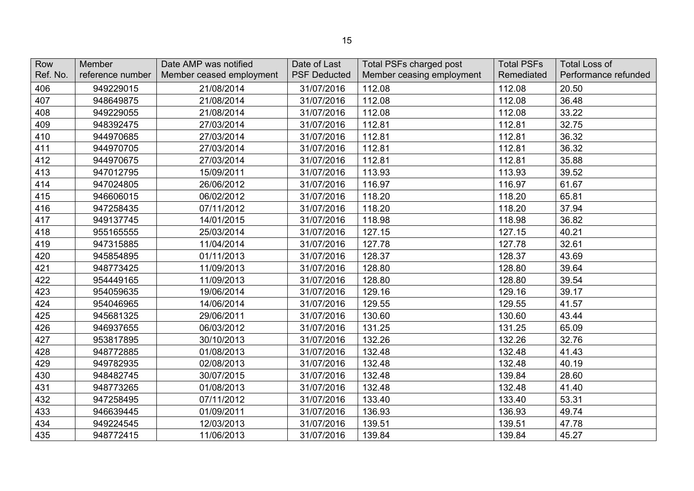| Row      | <b>Member</b>    | Date AMP was notified    | Date of Last        | <b>Total PSFs charged post</b> | <b>Total PSFs</b> | <b>Total Loss of</b> |
|----------|------------------|--------------------------|---------------------|--------------------------------|-------------------|----------------------|
| Ref. No. | reference number | Member ceased employment | <b>PSF Deducted</b> | Member ceasing employment      | Remediated        | Performance refunded |
| 406      | 949229015        | 21/08/2014               | 31/07/2016          | 112.08                         | 112.08            | 20.50                |
| 407      | 948649875        | 21/08/2014               | 31/07/2016          | 112.08                         | 112.08            | 36.48                |
| 408      | 949229055        | 21/08/2014               | 31/07/2016          | 112.08                         | 112.08            | 33.22                |
| 409      | 948392475        | 27/03/2014               | 31/07/2016          | 112.81                         | 112.81            | 32.75                |
| 410      | 944970685        | 27/03/2014               | 31/07/2016          | 112.81                         | 112.81            | 36.32                |
| 411      | 944970705        | 27/03/2014               | 31/07/2016          | 112.81                         | 112.81            | 36.32                |
| 412      | 944970675        | 27/03/2014               | 31/07/2016          | 112.81                         | 112.81            | 35.88                |
| 413      | 947012795        | 15/09/2011               | 31/07/2016          | 113.93                         | 113.93            | 39.52                |
| 414      | 947024805        | 26/06/2012               | 31/07/2016          | 116.97                         | 116.97            | 61.67                |
| 415      | 946606015        | 06/02/2012               | 31/07/2016          | 118.20                         | 118.20            | 65.81                |
| 416      | 947258435        | 07/11/2012               | 31/07/2016          | 118.20                         | 118.20            | 37.94                |
| 417      | 949137745        | 14/01/2015               | 31/07/2016          | 118.98                         | 118.98            | 36.82                |
| 418      | 955165555        | 25/03/2014               | 31/07/2016          | 127.15                         | 127.15            | 40.21                |
| 419      | 947315885        | 11/04/2014               | 31/07/2016          | 127.78                         | 127.78            | 32.61                |
| 420      | 945854895        | 01/11/2013               | 31/07/2016          | 128.37                         | 128.37            | 43.69                |
| 421      | 948773425        | 11/09/2013               | 31/07/2016          | 128.80                         | 128.80            | 39.64                |
| 422      | 954449165        | 11/09/2013               | 31/07/2016          | 128.80                         | 128.80            | 39.54                |
| 423      | 954059635        | 19/06/2014               | 31/07/2016          | 129.16                         | 129.16            | 39.17                |
| 424      | 954046965        | 14/06/2014               | 31/07/2016          | 129.55                         | 129.55            | 41.57                |
| 425      | 945681325        | 29/06/2011               | 31/07/2016          | 130.60                         | 130.60            | 43.44                |
| 426      | 946937655        | 06/03/2012               | 31/07/2016          | 131.25                         | 131.25            | 65.09                |
| 427      | 953817895        | 30/10/2013               | 31/07/2016          | 132.26                         | 132.26            | 32.76                |
| 428      | 948772885        | 01/08/2013               | 31/07/2016          | 132.48                         | 132.48            | 41.43                |
| 429      | 949782935        | 02/08/2013               | 31/07/2016          | 132.48                         | 132.48            | 40.19                |
| 430      | 948482745        | 30/07/2015               | 31/07/2016          | 132.48                         | 139.84            | 28.60                |
| 431      | 948773265        | 01/08/2013               | 31/07/2016          | 132.48                         | 132.48            | 41.40                |
| 432      | 947258495        | 07/11/2012               | 31/07/2016          | 133.40                         | 133.40            | 53.31                |
| 433      | 946639445        | 01/09/2011               | 31/07/2016          | 136.93                         | 136.93            | 49.74                |
| 434      | 949224545        | 12/03/2013               | 31/07/2016          | 139.51                         | 139.51            | 47.78                |
| 435      | 948772415        | 11/06/2013               | 31/07/2016          | 139.84                         | 139.84            | 45.27                |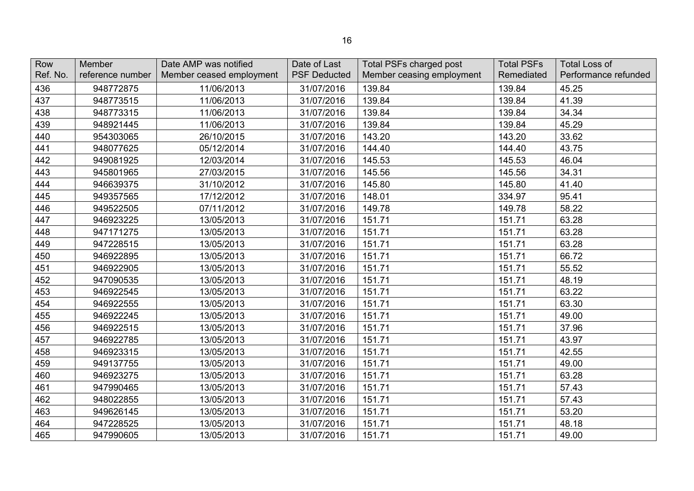| Row<br>Ref. No. | Member<br>reference number | Date AMP was notified<br>Member ceased employment | Date of Last<br><b>PSF Deducted</b> | Total PSFs charged post<br>Member ceasing employment | <b>Total PSFs</b><br>Remediated | <b>Total Loss of</b><br>Performance refunded |
|-----------------|----------------------------|---------------------------------------------------|-------------------------------------|------------------------------------------------------|---------------------------------|----------------------------------------------|
| 436             | 948772875                  | 11/06/2013                                        | 31/07/2016                          | 139.84                                               | 139.84                          | 45.25                                        |
| 437             | 948773515                  | 11/06/2013                                        | 31/07/2016                          | 139.84                                               | 139.84                          | 41.39                                        |
| 438             | 948773315                  | 11/06/2013                                        | 31/07/2016                          | 139.84                                               | 139.84                          | 34.34                                        |
| 439             | 948921445                  | 11/06/2013                                        | 31/07/2016                          | 139.84                                               | 139.84                          | 45.29                                        |
| 440             | 954303065                  | 26/10/2015                                        | 31/07/2016                          | 143.20                                               | 143.20                          | 33.62                                        |
| 441             | 948077625                  | 05/12/2014                                        | 31/07/2016                          | 144.40                                               | 144.40                          | 43.75                                        |
| 442             | 949081925                  | 12/03/2014                                        | 31/07/2016                          | 145.53                                               | 145.53                          | 46.04                                        |
| 443             | 945801965                  | 27/03/2015                                        | 31/07/2016                          | 145.56                                               | 145.56                          | 34.31                                        |
| 444             | 946639375                  | 31/10/2012                                        | 31/07/2016                          | 145.80                                               | 145.80                          | 41.40                                        |
| 445             | 949357565                  | 17/12/2012                                        | 31/07/2016                          | 148.01                                               | 334.97                          | 95.41                                        |
| 446             | 949522505                  | 07/11/2012                                        | 31/07/2016                          | 149.78                                               | 149.78                          | 58.22                                        |
| 447             | 946923225                  | 13/05/2013                                        | 31/07/2016                          | 151.71                                               | 151.71                          | 63.28                                        |
| 448             | 947171275                  | 13/05/2013                                        | 31/07/2016                          | 151.71                                               | 151.71                          | 63.28                                        |
| 449             | 947228515                  | 13/05/2013                                        | 31/07/2016                          | 151.71                                               | 151.71                          | 63.28                                        |
| 450             | 946922895                  | 13/05/2013                                        | 31/07/2016                          | 151.71                                               | 151.71                          | 66.72                                        |
| 451             | 946922905                  | 13/05/2013                                        | 31/07/2016                          | 151.71                                               | 151.71                          | 55.52                                        |
| 452             | 947090535                  | 13/05/2013                                        | 31/07/2016                          | 151.71                                               | 151.71                          | 48.19                                        |
| 453             | 946922545                  | 13/05/2013                                        | 31/07/2016                          | 151.71                                               | 151.71                          | 63.22                                        |
| 454             | 946922555                  | 13/05/2013                                        | 31/07/2016                          | 151.71                                               | 151.71                          | 63.30                                        |
| 455             | 946922245                  | 13/05/2013                                        | 31/07/2016                          | 151.71                                               | 151.71                          | 49.00                                        |
| 456             | 946922515                  | 13/05/2013                                        | 31/07/2016                          | 151.71                                               | 151.71                          | 37.96                                        |
| 457             | 946922785                  | 13/05/2013                                        | 31/07/2016                          | 151.71                                               | 151.71                          | 43.97                                        |
| 458             | 946923315                  | 13/05/2013                                        | 31/07/2016                          | 151.71                                               | 151.71                          | 42.55                                        |
| 459             | 949137755                  | 13/05/2013                                        | 31/07/2016                          | 151.71                                               | 151.71                          | 49.00                                        |
| 460             | 946923275                  | 13/05/2013                                        | 31/07/2016                          | 151.71                                               | 151.71                          | 63.28                                        |
| 461             | 947990465                  | 13/05/2013                                        | 31/07/2016                          | 151.71                                               | 151.71                          | 57.43                                        |
| 462             | 948022855                  | 13/05/2013                                        | 31/07/2016                          | 151.71                                               | 151.71                          | 57.43                                        |
| 463             | 949626145                  | 13/05/2013                                        | 31/07/2016                          | 151.71                                               | 151.71                          | 53.20                                        |
| 464             | 947228525                  | 13/05/2013                                        | 31/07/2016                          | 151.71                                               | 151.71                          | 48.18                                        |
| 465             | 947990605                  | 13/05/2013                                        | 31/07/2016                          | 151.71                                               | 151.71                          | 49.00                                        |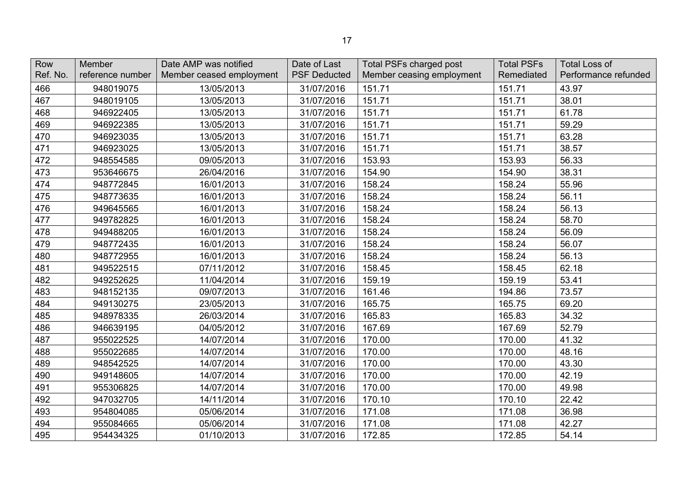| Row<br>Ref. No. | Member<br>reference number | Date AMP was notified<br>Member ceased employment | Date of Last<br><b>PSF Deducted</b> | <b>Total PSFs charged post</b><br>Member ceasing employment | <b>Total PSFs</b><br>Remediated | <b>Total Loss of</b><br>Performance refunded |
|-----------------|----------------------------|---------------------------------------------------|-------------------------------------|-------------------------------------------------------------|---------------------------------|----------------------------------------------|
| 466             | 948019075                  | 13/05/2013                                        | 31/07/2016                          | 151.71                                                      | 151.71                          | 43.97                                        |
| 467             | 948019105                  | 13/05/2013                                        | 31/07/2016                          | 151.71                                                      | 151.71                          | 38.01                                        |
| 468             | 946922405                  | 13/05/2013                                        | 31/07/2016                          | 151.71                                                      | 151.71                          | 61.78                                        |
| 469             | 946922385                  | 13/05/2013                                        | 31/07/2016                          | 151.71                                                      | 151.71                          | 59.29                                        |
| 470             | 946923035                  | 13/05/2013                                        | 31/07/2016                          | 151.71                                                      | 151.71                          | 63.28                                        |
| 471             | 946923025                  | 13/05/2013                                        | 31/07/2016                          | 151.71                                                      | 151.71                          | 38.57                                        |
| 472             | 948554585                  | 09/05/2013                                        | 31/07/2016                          | 153.93                                                      | 153.93                          | 56.33                                        |
| 473             | 953646675                  | 26/04/2016                                        | 31/07/2016                          | 154.90                                                      | 154.90                          | 38.31                                        |
| 474             | 948772845                  | 16/01/2013                                        | 31/07/2016                          | 158.24                                                      | 158.24                          | 55.96                                        |
| 475             | 948773635                  | 16/01/2013                                        | 31/07/2016                          | 158.24                                                      | 158.24                          | 56.11                                        |
| 476             | 949645565                  | 16/01/2013                                        | 31/07/2016                          | 158.24                                                      | 158.24                          | 56.13                                        |
| 477             | 949782825                  | 16/01/2013                                        | 31/07/2016                          | 158.24                                                      | 158.24                          | 58.70                                        |
| 478             | 949488205                  | 16/01/2013                                        | 31/07/2016                          | 158.24                                                      | 158.24                          | 56.09                                        |
| 479             | 948772435                  | 16/01/2013                                        | 31/07/2016                          | 158.24                                                      | 158.24                          | 56.07                                        |
| 480             | 948772955                  | 16/01/2013                                        | 31/07/2016                          | 158.24                                                      | 158.24                          | 56.13                                        |
| 481             | 949522515                  | 07/11/2012                                        | 31/07/2016                          | 158.45                                                      | 158.45                          | 62.18                                        |
| 482             | 949252625                  | 11/04/2014                                        | 31/07/2016                          | 159.19                                                      | 159.19                          | 53.41                                        |
| 483             | 948152135                  | 09/07/2013                                        | 31/07/2016                          | 161.46                                                      | 194.86                          | 73.57                                        |
| 484             | 949130275                  | 23/05/2013                                        | 31/07/2016                          | 165.75                                                      | 165.75                          | 69.20                                        |
| 485             | 948978335                  | 26/03/2014                                        | 31/07/2016                          | 165.83                                                      | 165.83                          | 34.32                                        |
| 486             | 946639195                  | 04/05/2012                                        | 31/07/2016                          | 167.69                                                      | 167.69                          | 52.79                                        |
| 487             | 955022525                  | 14/07/2014                                        | 31/07/2016                          | 170.00                                                      | 170.00                          | 41.32                                        |
| 488             | 955022685                  | 14/07/2014                                        | 31/07/2016                          | 170.00                                                      | 170.00                          | 48.16                                        |
| 489             | 948542525                  | 14/07/2014                                        | 31/07/2016                          | 170.00                                                      | 170.00                          | 43.30                                        |
| 490             | 949148605                  | 14/07/2014                                        | 31/07/2016                          | 170.00                                                      | 170.00                          | 42.19                                        |
| 491             | 955306825                  | 14/07/2014                                        | 31/07/2016                          | 170.00                                                      | 170.00                          | 49.98                                        |
| 492             | 947032705                  | 14/11/2014                                        | 31/07/2016                          | 170.10                                                      | 170.10                          | 22.42                                        |
| 493             | 954804085                  | 05/06/2014                                        | 31/07/2016                          | 171.08                                                      | 171.08                          | 36.98                                        |
| 494             | 955084665                  | 05/06/2014                                        | 31/07/2016                          | 171.08                                                      | 171.08                          | 42.27                                        |
| 495             | 954434325                  | 01/10/2013                                        | 31/07/2016                          | 172.85                                                      | 172.85                          | 54.14                                        |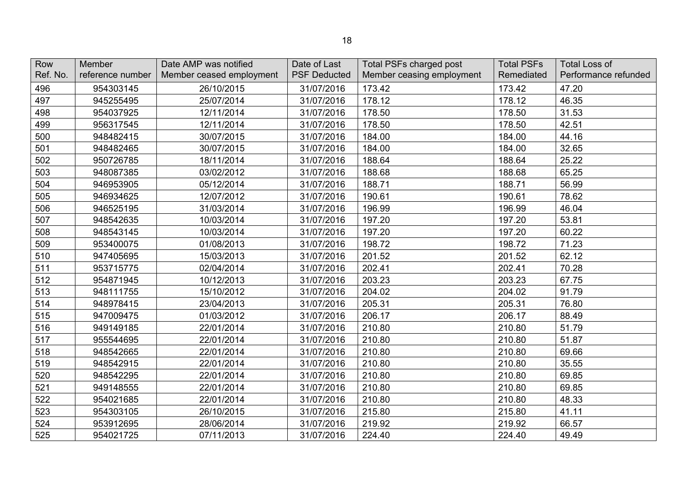| Row<br>Ref. No. | Member<br>reference number | Date AMP was notified<br>Member ceased employment | Date of Last<br><b>PSF Deducted</b> | Total PSFs charged post<br>Member ceasing employment | <b>Total PSFs</b><br>Remediated | <b>Total Loss of</b><br>Performance refunded |
|-----------------|----------------------------|---------------------------------------------------|-------------------------------------|------------------------------------------------------|---------------------------------|----------------------------------------------|
| 496             | 954303145                  | 26/10/2015                                        | 31/07/2016                          | 173.42                                               | 173.42                          | 47.20                                        |
| 497             | 945255495                  | 25/07/2014                                        | 31/07/2016                          | 178.12                                               | 178.12                          | 46.35                                        |
| 498             | 954037925                  | 12/11/2014                                        | 31/07/2016                          | 178.50                                               | 178.50                          | 31.53                                        |
| 499             | 956317545                  | 12/11/2014                                        | 31/07/2016                          | 178.50                                               | 178.50                          | 42.51                                        |
| 500             | 948482415                  | 30/07/2015                                        | 31/07/2016                          | 184.00                                               | 184.00                          | 44.16                                        |
| 501             | 948482465                  | 30/07/2015                                        | 31/07/2016                          | 184.00                                               | 184.00                          | 32.65                                        |
| 502             | 950726785                  | 18/11/2014                                        | 31/07/2016                          | 188.64                                               | 188.64                          | 25.22                                        |
| 503             | 948087385                  | 03/02/2012                                        | 31/07/2016                          | 188.68                                               | 188.68                          | 65.25                                        |
| 504             | 946953905                  | 05/12/2014                                        | 31/07/2016                          | 188.71                                               | 188.71                          | 56.99                                        |
| 505             | 946934625                  | 12/07/2012                                        | 31/07/2016                          | 190.61                                               | 190.61                          | 78.62                                        |
| 506             | 946525195                  | 31/03/2014                                        | 31/07/2016                          | 196.99                                               | 196.99                          | 46.04                                        |
| 507             | 948542635                  | 10/03/2014                                        | 31/07/2016                          | 197.20                                               | 197.20                          | 53.81                                        |
| 508             | 948543145                  | 10/03/2014                                        | 31/07/2016                          | 197.20                                               | 197.20                          | 60.22                                        |
| 509             | 953400075                  | 01/08/2013                                        | 31/07/2016                          | 198.72                                               | 198.72                          | 71.23                                        |
| 510             | 947405695                  | 15/03/2013                                        | 31/07/2016                          | 201.52                                               | 201.52                          | 62.12                                        |
| 511             | 953715775                  | 02/04/2014                                        | 31/07/2016                          | 202.41                                               | 202.41                          | 70.28                                        |
| 512             | 954871945                  | 10/12/2013                                        | 31/07/2016                          | 203.23                                               | 203.23                          | 67.75                                        |
| 513             | 948111755                  | 15/10/2012                                        | 31/07/2016                          | 204.02                                               | 204.02                          | 91.79                                        |
| 514             | 948978415                  | 23/04/2013                                        | 31/07/2016                          | 205.31                                               | 205.31                          | 76.80                                        |
| 515             | 947009475                  | 01/03/2012                                        | 31/07/2016                          | 206.17                                               | 206.17                          | 88.49                                        |
| 516             | 949149185                  | 22/01/2014                                        | 31/07/2016                          | 210.80                                               | 210.80                          | 51.79                                        |
| 517             | 955544695                  | 22/01/2014                                        | 31/07/2016                          | 210.80                                               | 210.80                          | 51.87                                        |
| 518             | 948542665                  | 22/01/2014                                        | 31/07/2016                          | 210.80                                               | 210.80                          | 69.66                                        |
| 519             | 948542915                  | 22/01/2014                                        | 31/07/2016                          | 210.80                                               | 210.80                          | 35.55                                        |
| 520             | 948542295                  | 22/01/2014                                        | 31/07/2016                          | 210.80                                               | 210.80                          | 69.85                                        |
| 521             | 949148555                  | 22/01/2014                                        | 31/07/2016                          | 210.80                                               | 210.80                          | 69.85                                        |
| 522             | 954021685                  | 22/01/2014                                        | 31/07/2016                          | 210.80                                               | 210.80                          | 48.33                                        |
| 523             | 954303105                  | 26/10/2015                                        | 31/07/2016                          | 215.80                                               | 215.80                          | 41.11                                        |
| 524             | 953912695                  | 28/06/2014                                        | 31/07/2016                          | 219.92                                               | 219.92                          | 66.57                                        |
| 525             | 954021725                  | 07/11/2013                                        | 31/07/2016                          | 224.40                                               | 224.40                          | 49.49                                        |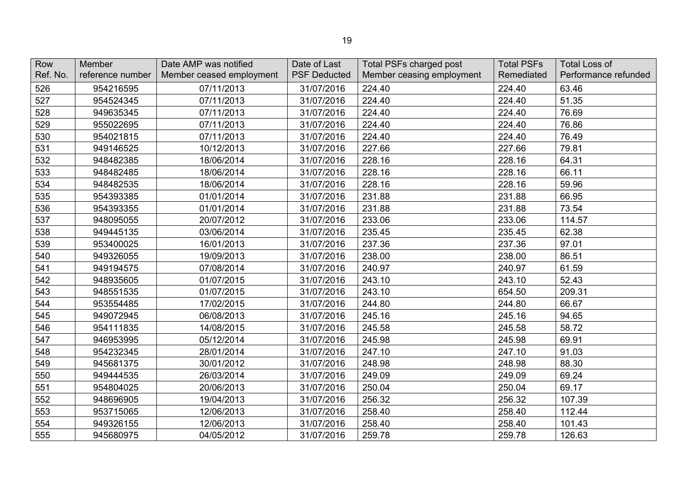| Row<br>Ref. No. | Member<br>reference number | Date AMP was notified<br>Member ceased employment | Date of Last<br><b>PSF Deducted</b> | <b>Total PSFs charged post</b><br>Member ceasing employment | <b>Total PSFs</b><br>Remediated | <b>Total Loss of</b><br>Performance refunded |
|-----------------|----------------------------|---------------------------------------------------|-------------------------------------|-------------------------------------------------------------|---------------------------------|----------------------------------------------|
| 526             | 954216595                  | 07/11/2013                                        | 31/07/2016                          | 224.40                                                      | 224.40                          | 63.46                                        |
| 527             | 954524345                  | 07/11/2013                                        | 31/07/2016                          | 224.40                                                      | 224.40                          | 51.35                                        |
| 528             | 949635345                  | 07/11/2013                                        | 31/07/2016                          | 224.40                                                      | 224.40                          | 76.69                                        |
| 529             | 955022695                  | 07/11/2013                                        | 31/07/2016                          | 224.40                                                      | 224.40                          | 76.86                                        |
| 530             | 954021815                  | 07/11/2013                                        | 31/07/2016                          | 224.40                                                      | 224.40                          | 76.49                                        |
| 531             | 949146525                  | 10/12/2013                                        | 31/07/2016                          | 227.66                                                      | 227.66                          | 79.81                                        |
| 532             | 948482385                  | 18/06/2014                                        | 31/07/2016                          | 228.16                                                      | 228.16                          | 64.31                                        |
| 533             | 948482485                  | 18/06/2014                                        | 31/07/2016                          | 228.16                                                      | 228.16                          | 66.11                                        |
| 534             | 948482535                  | 18/06/2014                                        | 31/07/2016                          | 228.16                                                      | 228.16                          | 59.96                                        |
| 535             | 954393385                  | 01/01/2014                                        | 31/07/2016                          | 231.88                                                      | 231.88                          | 66.95                                        |
| 536             | 954393355                  | 01/01/2014                                        | 31/07/2016                          | 231.88                                                      | 231.88                          | 73.54                                        |
| 537             | 948095055                  | 20/07/2012                                        | 31/07/2016                          | 233.06                                                      | 233.06                          | 114.57                                       |
| 538             | 949445135                  | 03/06/2014                                        | 31/07/2016                          | 235.45                                                      | 235.45                          | 62.38                                        |
| 539             | 953400025                  | 16/01/2013                                        | 31/07/2016                          | 237.36                                                      | 237.36                          | 97.01                                        |
| 540             | 949326055                  | 19/09/2013                                        | 31/07/2016                          | 238.00                                                      | 238.00                          | 86.51                                        |
| 541             | 949194575                  | 07/08/2014                                        | 31/07/2016                          | 240.97                                                      | 240.97                          | 61.59                                        |
| 542             | 948935605                  | 01/07/2015                                        | 31/07/2016                          | 243.10                                                      | 243.10                          | 52.43                                        |
| 543             | 948551535                  | 01/07/2015                                        | 31/07/2016                          | 243.10                                                      | 654.50                          | 209.31                                       |
| 544             | 953554485                  | 17/02/2015                                        | 31/07/2016                          | 244.80                                                      | 244.80                          | 66.67                                        |
| 545             | 949072945                  | 06/08/2013                                        | 31/07/2016                          | 245.16                                                      | 245.16                          | 94.65                                        |
| 546             | 954111835                  | 14/08/2015                                        | 31/07/2016                          | 245.58                                                      | 245.58                          | 58.72                                        |
| 547             | 946953995                  | 05/12/2014                                        | 31/07/2016                          | 245.98                                                      | 245.98                          | 69.91                                        |
| 548             | 954232345                  | 28/01/2014                                        | 31/07/2016                          | 247.10                                                      | 247.10                          | 91.03                                        |
| 549             | 945681375                  | 30/01/2012                                        | 31/07/2016                          | 248.98                                                      | 248.98                          | 88.30                                        |
| 550             | 949444535                  | 26/03/2014                                        | 31/07/2016                          | 249.09                                                      | 249.09                          | 69.24                                        |
| 551             | 954804025                  | 20/06/2013                                        | 31/07/2016                          | 250.04                                                      | 250.04                          | 69.17                                        |
| 552             | 948696905                  | 19/04/2013                                        | 31/07/2016                          | 256.32                                                      | 256.32                          | 107.39                                       |
| 553             | 953715065                  | 12/06/2013                                        | 31/07/2016                          | 258.40                                                      | 258.40                          | 112.44                                       |
| 554             | 949326155                  | 12/06/2013                                        | 31/07/2016                          | 258.40                                                      | 258.40                          | 101.43                                       |
| 555             | 945680975                  | 04/05/2012                                        | 31/07/2016                          | 259.78                                                      | 259.78                          | 126.63                                       |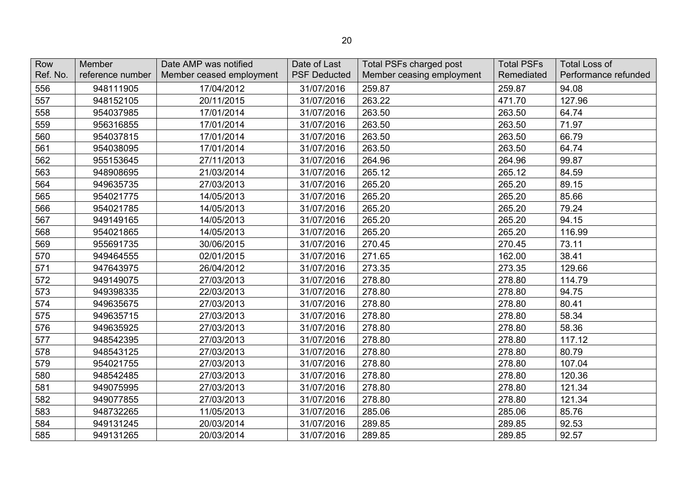| Row<br>Ref. No. | <b>Member</b><br>reference number | Date AMP was notified<br>Member ceased employment | Date of Last<br><b>PSF Deducted</b> | <b>Total PSFs charged post</b><br>Member ceasing employment | <b>Total PSFs</b><br>Remediated | <b>Total Loss of</b><br>Performance refunded |
|-----------------|-----------------------------------|---------------------------------------------------|-------------------------------------|-------------------------------------------------------------|---------------------------------|----------------------------------------------|
| 556             | 948111905                         | 17/04/2012                                        | 31/07/2016                          | 259.87                                                      | 259.87                          | 94.08                                        |
| 557             | 948152105                         | 20/11/2015                                        | 31/07/2016                          | 263.22                                                      | 471.70                          | 127.96                                       |
| 558             | 954037985                         | 17/01/2014                                        | 31/07/2016                          | 263.50                                                      | 263.50                          | 64.74                                        |
| 559             | 956316855                         | 17/01/2014                                        | 31/07/2016                          | 263.50                                                      | 263.50                          | 71.97                                        |
| 560             | 954037815                         | 17/01/2014                                        | 31/07/2016                          | 263.50                                                      | 263.50                          | 66.79                                        |
| 561             | 954038095                         | 17/01/2014                                        | 31/07/2016                          | 263.50                                                      | 263.50                          | 64.74                                        |
| 562             | 955153645                         | 27/11/2013                                        | 31/07/2016                          | 264.96                                                      | 264.96                          | 99.87                                        |
| 563             | 948908695                         | 21/03/2014                                        | 31/07/2016                          | 265.12                                                      | 265.12                          | 84.59                                        |
| 564             | 949635735                         | 27/03/2013                                        | 31/07/2016                          | 265.20                                                      | 265.20                          | 89.15                                        |
| 565             | 954021775                         | 14/05/2013                                        | 31/07/2016                          | 265.20                                                      | 265.20                          | 85.66                                        |
| 566             | 954021785                         | 14/05/2013                                        | 31/07/2016                          | 265.20                                                      | 265.20                          | 79.24                                        |
| 567             | 949149165                         | 14/05/2013                                        | 31/07/2016                          | 265.20                                                      | 265.20                          | 94.15                                        |
| 568             | 954021865                         | 14/05/2013                                        | 31/07/2016                          | 265.20                                                      | 265.20                          | 116.99                                       |
| 569             | 955691735                         | 30/06/2015                                        | 31/07/2016                          | 270.45                                                      | 270.45                          | 73.11                                        |
| 570             | 949464555                         | 02/01/2015                                        | 31/07/2016                          | 271.65                                                      | 162.00                          | 38.41                                        |
| 571             | 947643975                         | 26/04/2012                                        | 31/07/2016                          | 273.35                                                      | 273.35                          | 129.66                                       |
| 572             | 949149075                         | 27/03/2013                                        | 31/07/2016                          | 278.80                                                      | 278.80                          | 114.79                                       |
| 573             | 949398335                         | 22/03/2013                                        | 31/07/2016                          | 278.80                                                      | 278.80                          | 94.75                                        |
| 574             | 949635675                         | 27/03/2013                                        | 31/07/2016                          | 278.80                                                      | 278.80                          | 80.41                                        |
| 575             | 949635715                         | 27/03/2013                                        | 31/07/2016                          | 278.80                                                      | 278.80                          | 58.34                                        |
| 576             | 949635925                         | 27/03/2013                                        | 31/07/2016                          | 278.80                                                      | 278.80                          | 58.36                                        |
| 577             | 948542395                         | 27/03/2013                                        | 31/07/2016                          | 278.80                                                      | 278.80                          | 117.12                                       |
| 578             | 948543125                         | 27/03/2013                                        | 31/07/2016                          | 278.80                                                      | 278.80                          | 80.79                                        |
| 579             | 954021755                         | 27/03/2013                                        | 31/07/2016                          | 278.80                                                      | 278.80                          | 107.04                                       |
| 580             | 948542485                         | 27/03/2013                                        | 31/07/2016                          | 278.80                                                      | 278.80                          | 120.36                                       |
| 581             | 949075995                         | 27/03/2013                                        | 31/07/2016                          | 278.80                                                      | 278.80                          | 121.34                                       |
| 582             | 949077855                         | 27/03/2013                                        | 31/07/2016                          | 278.80                                                      | 278.80                          | 121.34                                       |
| 583             | 948732265                         | 11/05/2013                                        | 31/07/2016                          | 285.06                                                      | 285.06                          | 85.76                                        |
| 584             | 949131245                         | 20/03/2014                                        | 31/07/2016                          | 289.85                                                      | 289.85                          | 92.53                                        |
| 585             | 949131265                         | 20/03/2014                                        | 31/07/2016                          | 289.85                                                      | 289.85                          | 92.57                                        |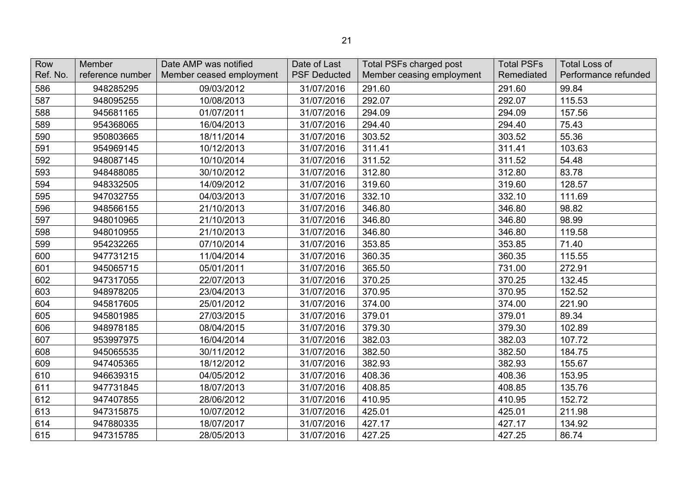| Row<br>Ref. No. | <b>Member</b><br>reference number | Date AMP was notified<br>Member ceased employment | Date of Last<br><b>PSF Deducted</b> | <b>Total PSFs charged post</b><br>Member ceasing employment | <b>Total PSFs</b><br>Remediated | <b>Total Loss of</b><br>Performance refunded |
|-----------------|-----------------------------------|---------------------------------------------------|-------------------------------------|-------------------------------------------------------------|---------------------------------|----------------------------------------------|
| 586             | 948285295                         | 09/03/2012                                        | 31/07/2016                          | 291.60                                                      | 291.60                          | 99.84                                        |
| 587             | 948095255                         | 10/08/2013                                        | 31/07/2016                          | 292.07                                                      | 292.07                          | 115.53                                       |
| 588             | 945681165                         | 01/07/2011                                        | 31/07/2016                          | 294.09                                                      | 294.09                          | 157.56                                       |
| 589             | 954368065                         | 16/04/2013                                        | 31/07/2016                          | 294.40                                                      | 294.40                          | 75.43                                        |
| 590             | 950803665                         | 18/11/2014                                        | 31/07/2016                          | 303.52                                                      | 303.52                          | 55.36                                        |
| 591             | 954969145                         | 10/12/2013                                        | 31/07/2016                          | 311.41                                                      | 311.41                          | 103.63                                       |
| 592             | 948087145                         | 10/10/2014                                        | 31/07/2016                          | 311.52                                                      | 311.52                          | 54.48                                        |
| 593             | 948488085                         | 30/10/2012                                        | 31/07/2016                          | 312.80                                                      | 312.80                          | 83.78                                        |
| 594             | 948332505                         | 14/09/2012                                        | 31/07/2016                          | 319.60                                                      | 319.60                          | 128.57                                       |
| 595             | 947032755                         | 04/03/2013                                        | 31/07/2016                          | 332.10                                                      | 332.10                          | 111.69                                       |
| 596             | 948566155                         | 21/10/2013                                        | 31/07/2016                          | 346.80                                                      | 346.80                          | 98.82                                        |
| 597             | 948010965                         | 21/10/2013                                        | 31/07/2016                          | 346.80                                                      | 346.80                          | 98.99                                        |
| 598             | 948010955                         | 21/10/2013                                        | 31/07/2016                          | 346.80                                                      | 346.80                          | 119.58                                       |
| 599             | 954232265                         | 07/10/2014                                        | 31/07/2016                          | 353.85                                                      | 353.85                          | 71.40                                        |
| 600             | 947731215                         | 11/04/2014                                        | 31/07/2016                          | 360.35                                                      | 360.35                          | 115.55                                       |
| 601             | 945065715                         | 05/01/2011                                        | 31/07/2016                          | 365.50                                                      | 731.00                          | 272.91                                       |
| 602             | 947317055                         | 22/07/2013                                        | 31/07/2016                          | 370.25                                                      | 370.25                          | 132.45                                       |
| 603             | 948978205                         | 23/04/2013                                        | 31/07/2016                          | 370.95                                                      | 370.95                          | 152.52                                       |
| 604             | 945817605                         | 25/01/2012                                        | 31/07/2016                          | 374.00                                                      | 374.00                          | 221.90                                       |
| 605             | 945801985                         | 27/03/2015                                        | 31/07/2016                          | 379.01                                                      | 379.01                          | 89.34                                        |
| 606             | 948978185                         | 08/04/2015                                        | 31/07/2016                          | 379.30                                                      | 379.30                          | 102.89                                       |
| 607             | 953997975                         | 16/04/2014                                        | 31/07/2016                          | 382.03                                                      | 382.03                          | 107.72                                       |
| 608             | 945065535                         | 30/11/2012                                        | 31/07/2016                          | 382.50                                                      | 382.50                          | 184.75                                       |
| 609             | 947405365                         | 18/12/2012                                        | 31/07/2016                          | 382.93                                                      | 382.93                          | 155.67                                       |
| 610             | 946639315                         | 04/05/2012                                        | 31/07/2016                          | 408.36                                                      | 408.36                          | 153.95                                       |
| 611             | 947731845                         | 18/07/2013                                        | 31/07/2016                          | 408.85                                                      | 408.85                          | 135.76                                       |
| 612             | 947407855                         | 28/06/2012                                        | 31/07/2016                          | 410.95                                                      | 410.95                          | 152.72                                       |
| 613             | 947315875                         | 10/07/2012                                        | 31/07/2016                          | 425.01                                                      | 425.01                          | 211.98                                       |
| 614             | 947880335                         | 18/07/2017                                        | 31/07/2016                          | 427.17                                                      | 427.17                          | 134.92                                       |
| 615             | 947315785                         | 28/05/2013                                        | 31/07/2016                          | 427.25                                                      | 427.25                          | 86.74                                        |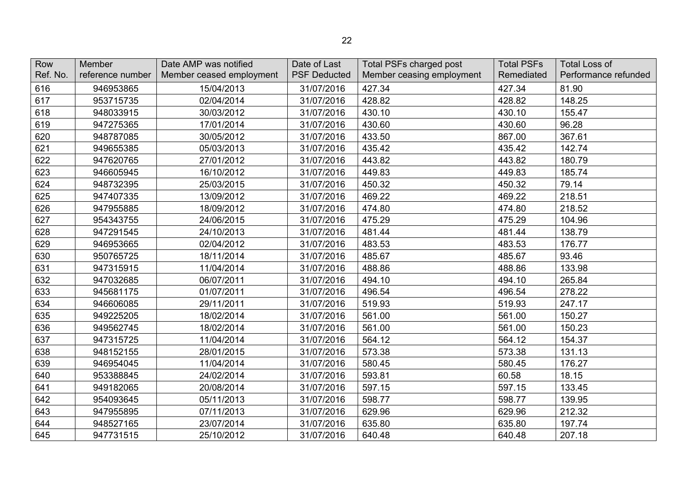| Row<br>Ref. No. | Member<br>reference number | Date AMP was notified<br>Member ceased employment | Date of Last<br><b>PSF Deducted</b> | Total PSFs charged post<br>Member ceasing employment | <b>Total PSFs</b><br>Remediated | <b>Total Loss of</b><br>Performance refunded |
|-----------------|----------------------------|---------------------------------------------------|-------------------------------------|------------------------------------------------------|---------------------------------|----------------------------------------------|
| 616             | 946953865                  | 15/04/2013                                        | 31/07/2016                          | 427.34                                               | 427.34                          | 81.90                                        |
| 617             | 953715735                  | 02/04/2014                                        | 31/07/2016                          | 428.82                                               | 428.82                          | 148.25                                       |
| 618             | 948033915                  | 30/03/2012                                        | 31/07/2016                          | 430.10                                               | 430.10                          | 155.47                                       |
| 619             | 947275365                  | 17/01/2014                                        | 31/07/2016                          | 430.60                                               | 430.60                          | 96.28                                        |
| 620             | 948787085                  | 30/05/2012                                        | 31/07/2016                          | 433.50                                               | 867.00                          | 367.61                                       |
| 621             | 949655385                  | 05/03/2013                                        | 31/07/2016                          | 435.42                                               | 435.42                          | 142.74                                       |
| 622             | 947620765                  | 27/01/2012                                        | 31/07/2016                          | 443.82                                               | 443.82                          | 180.79                                       |
| 623             | 946605945                  | 16/10/2012                                        | 31/07/2016                          | 449.83                                               | 449.83                          | 185.74                                       |
| 624             | 948732395                  | 25/03/2015                                        | 31/07/2016                          | 450.32                                               | 450.32                          | 79.14                                        |
| 625             | 947407335                  | 13/09/2012                                        | 31/07/2016                          | 469.22                                               | 469.22                          | 218.51                                       |
| 626             | 947955885                  | 18/09/2012                                        | 31/07/2016                          | 474.80                                               | 474.80                          | 218.52                                       |
| 627             | 954343755                  | 24/06/2015                                        | 31/07/2016                          | 475.29                                               | 475.29                          | 104.96                                       |
| 628             | 947291545                  | 24/10/2013                                        | 31/07/2016                          | 481.44                                               | 481.44                          | 138.79                                       |
| 629             | 946953665                  | 02/04/2012                                        | 31/07/2016                          | 483.53                                               | 483.53                          | 176.77                                       |
| 630             | 950765725                  | 18/11/2014                                        | 31/07/2016                          | 485.67                                               | 485.67                          | 93.46                                        |
| 631             | 947315915                  | 11/04/2014                                        | 31/07/2016                          | 488.86                                               | 488.86                          | 133.98                                       |
| 632             | 947032685                  | 06/07/2011                                        | 31/07/2016                          | 494.10                                               | 494.10                          | 265.84                                       |
| 633             | 945681175                  | 01/07/2011                                        | 31/07/2016                          | 496.54                                               | 496.54                          | 278.22                                       |
| 634             | 946606085                  | 29/11/2011                                        | 31/07/2016                          | 519.93                                               | 519.93                          | 247.17                                       |
| 635             | 949225205                  | 18/02/2014                                        | 31/07/2016                          | 561.00                                               | 561.00                          | 150.27                                       |
| 636             | 949562745                  | 18/02/2014                                        | 31/07/2016                          | 561.00                                               | 561.00                          | 150.23                                       |
| 637             | 947315725                  | 11/04/2014                                        | 31/07/2016                          | 564.12                                               | 564.12                          | 154.37                                       |
| 638             | 948152155                  | 28/01/2015                                        | 31/07/2016                          | 573.38                                               | 573.38                          | 131.13                                       |
| 639             | 946954045                  | 11/04/2014                                        | 31/07/2016                          | 580.45                                               | 580.45                          | 176.27                                       |
| 640             | 953388845                  | 24/02/2014                                        | 31/07/2016                          | 593.81                                               | 60.58                           | 18.15                                        |
| 641             | 949182065                  | 20/08/2014                                        | 31/07/2016                          | 597.15                                               | 597.15                          | 133.45                                       |
| 642             | 954093645                  | 05/11/2013                                        | 31/07/2016                          | 598.77                                               | 598.77                          | 139.95                                       |
| 643             | 947955895                  | 07/11/2013                                        | 31/07/2016                          | 629.96                                               | 629.96                          | 212.32                                       |
| 644             | 948527165                  | 23/07/2014                                        | 31/07/2016                          | 635.80                                               | 635.80                          | 197.74                                       |
| 645             | 947731515                  | 25/10/2012                                        | 31/07/2016                          | 640.48                                               | 640.48                          | 207.18                                       |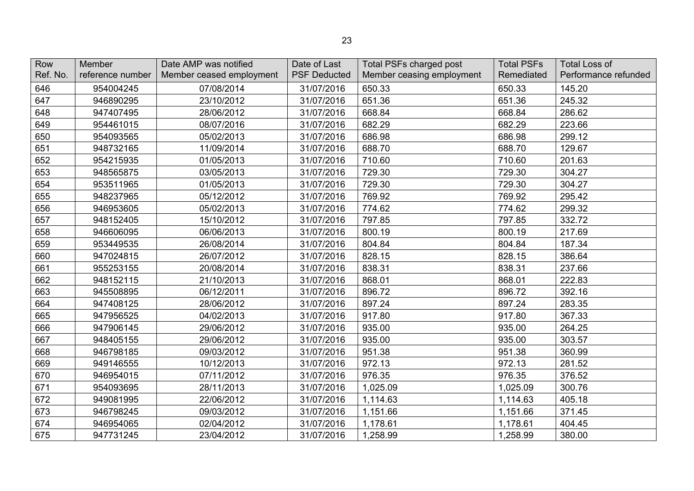| Row<br>Ref. No. | Member<br>reference number | Date AMP was notified<br>Member ceased employment | Date of Last<br><b>PSF Deducted</b> | <b>Total PSFs charged post</b><br>Member ceasing employment | <b>Total PSFs</b><br>Remediated | <b>Total Loss of</b><br>Performance refunded |
|-----------------|----------------------------|---------------------------------------------------|-------------------------------------|-------------------------------------------------------------|---------------------------------|----------------------------------------------|
| 646             | 954004245                  | 07/08/2014                                        | 31/07/2016                          | 650.33                                                      | 650.33                          | 145.20                                       |
| 647             | 946890295                  | 23/10/2012                                        | 31/07/2016                          | 651.36                                                      | 651.36                          | 245.32                                       |
| 648             | 947407495                  | 28/06/2012                                        | 31/07/2016                          | 668.84                                                      | 668.84                          | 286.62                                       |
| 649             | 954461015                  | 08/07/2016                                        | 31/07/2016                          | 682.29                                                      | 682.29                          | 223.66                                       |
| 650             | 954093565                  | 05/02/2013                                        | 31/07/2016                          | 686.98                                                      | 686.98                          | 299.12                                       |
| 651             | 948732165                  | 11/09/2014                                        | 31/07/2016                          | 688.70                                                      | 688.70                          | 129.67                                       |
| 652             | 954215935                  | 01/05/2013                                        | 31/07/2016                          | 710.60                                                      | 710.60                          | 201.63                                       |
| 653             | 948565875                  | 03/05/2013                                        | 31/07/2016                          | 729.30                                                      | 729.30                          | 304.27                                       |
| 654             | 953511965                  | 01/05/2013                                        | 31/07/2016                          | 729.30                                                      | 729.30                          | 304.27                                       |
| 655             | 948237965                  | 05/12/2012                                        | 31/07/2016                          | 769.92                                                      | 769.92                          | 295.42                                       |
| 656             | 946953605                  | 05/02/2013                                        | 31/07/2016                          | 774.62                                                      | 774.62                          | 299.32                                       |
| 657             | 948152405                  | 15/10/2012                                        | 31/07/2016                          | 797.85                                                      | 797.85                          | 332.72                                       |
| 658             | 946606095                  | 06/06/2013                                        | 31/07/2016                          | 800.19                                                      | 800.19                          | 217.69                                       |
| 659             | 953449535                  | 26/08/2014                                        | 31/07/2016                          | 804.84                                                      | 804.84                          | 187.34                                       |
| 660             | 947024815                  | 26/07/2012                                        | 31/07/2016                          | 828.15                                                      | 828.15                          | 386.64                                       |
| 661             | 955253155                  | 20/08/2014                                        | 31/07/2016                          | 838.31                                                      | 838.31                          | 237.66                                       |
| 662             | 948152115                  | 21/10/2013                                        | 31/07/2016                          | 868.01                                                      | 868.01                          | 222.83                                       |
| 663             | 945508895                  | 06/12/2011                                        | 31/07/2016                          | 896.72                                                      | 896.72                          | 392.16                                       |
| 664             | 947408125                  | 28/06/2012                                        | 31/07/2016                          | 897.24                                                      | 897.24                          | 283.35                                       |
| 665             | 947956525                  | 04/02/2013                                        | 31/07/2016                          | 917.80                                                      | 917.80                          | 367.33                                       |
| 666             | 947906145                  | 29/06/2012                                        | 31/07/2016                          | 935.00                                                      | 935.00                          | 264.25                                       |
| 667             | 948405155                  | 29/06/2012                                        | 31/07/2016                          | 935.00                                                      | 935.00                          | 303.57                                       |
| 668             | 946798185                  | 09/03/2012                                        | 31/07/2016                          | 951.38                                                      | 951.38                          | 360.99                                       |
| 669             | 949146555                  | 10/12/2013                                        | 31/07/2016                          | 972.13                                                      | 972.13                          | 281.52                                       |
| 670             | 946954015                  | 07/11/2012                                        | 31/07/2016                          | 976.35                                                      | 976.35                          | 376.52                                       |
| 671             | 954093695                  | 28/11/2013                                        | 31/07/2016                          | 1,025.09                                                    | 1,025.09                        | 300.76                                       |
| 672             | 949081995                  | 22/06/2012                                        | 31/07/2016                          | 1,114.63                                                    | 1,114.63                        | 405.18                                       |
| 673             | 946798245                  | 09/03/2012                                        | 31/07/2016                          | 1,151.66                                                    | 1,151.66                        | 371.45                                       |
| 674             | 946954065                  | 02/04/2012                                        | 31/07/2016                          | 1,178.61                                                    | 1,178.61                        | 404.45                                       |
| 675             | 947731245                  | 23/04/2012                                        | 31/07/2016                          | 1,258.99                                                    | 1,258.99                        | 380.00                                       |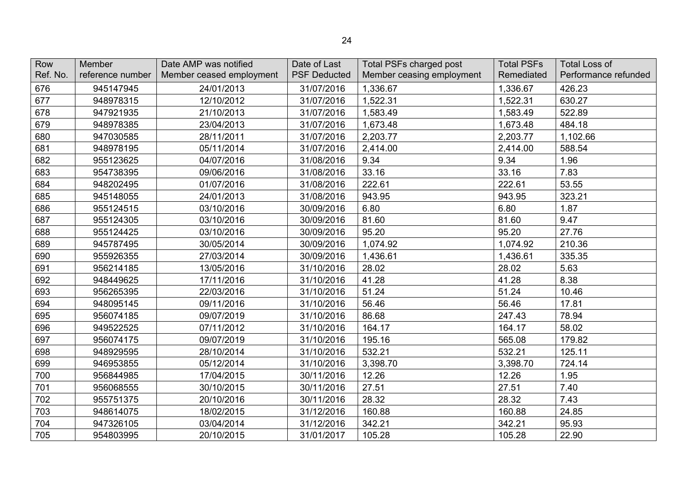| Row<br>Ref. No. | Member<br>reference number | Date AMP was notified<br>Member ceased employment | Date of Last<br><b>PSF Deducted</b> | Total PSFs charged post<br>Member ceasing employment | <b>Total PSFs</b><br>Remediated | <b>Total Loss of</b><br>Performance refunded |
|-----------------|----------------------------|---------------------------------------------------|-------------------------------------|------------------------------------------------------|---------------------------------|----------------------------------------------|
| 676             | 945147945                  | 24/01/2013                                        | 31/07/2016                          | 1,336.67                                             | 1,336.67                        | 426.23                                       |
| 677             | 948978315                  | 12/10/2012                                        | 31/07/2016                          | 1,522.31                                             | 1,522.31                        | 630.27                                       |
| 678             | 947921935                  | 21/10/2013                                        | 31/07/2016                          | 1,583.49                                             | 1,583.49                        | 522.89                                       |
| 679             | 948978385                  | 23/04/2013                                        | 31/07/2016                          | 1,673.48                                             | 1,673.48                        | 484.18                                       |
| 680             | 947030585                  | 28/11/2011                                        | 31/07/2016                          | 2,203.77                                             | 2,203.77                        | 1,102.66                                     |
| 681             | 948978195                  | 05/11/2014                                        | 31/07/2016                          | 2,414.00                                             | 2,414.00                        | 588.54                                       |
| 682             | 955123625                  | 04/07/2016                                        | 31/08/2016                          | 9.34                                                 | 9.34                            | 1.96                                         |
| 683             | 954738395                  | 09/06/2016                                        | 31/08/2016                          | 33.16                                                | 33.16                           | 7.83                                         |
| 684             | 948202495                  | 01/07/2016                                        | 31/08/2016                          | 222.61                                               | 222.61                          | 53.55                                        |
| 685             | 945148055                  | 24/01/2013                                        | 31/08/2016                          | 943.95                                               | 943.95                          | 323.21                                       |
| 686             | 955124515                  | 03/10/2016                                        | 30/09/2016                          | 6.80                                                 | 6.80                            | 1.87                                         |
| 687             | 955124305                  | 03/10/2016                                        | 30/09/2016                          | 81.60                                                | 81.60                           | 9.47                                         |
| 688             | 955124425                  | 03/10/2016                                        | 30/09/2016                          | 95.20                                                | 95.20                           | 27.76                                        |
| 689             | 945787495                  | 30/05/2014                                        | 30/09/2016                          | 1,074.92                                             | 1,074.92                        | 210.36                                       |
| 690             | 955926355                  | 27/03/2014                                        | 30/09/2016                          | 1,436.61                                             | 1,436.61                        | 335.35                                       |
| 691             | 956214185                  | 13/05/2016                                        | 31/10/2016                          | 28.02                                                | 28.02                           | 5.63                                         |
| 692             | 948449625                  | 17/11/2016                                        | 31/10/2016                          | 41.28                                                | 41.28                           | 8.38                                         |
| 693             | 956265395                  | 22/03/2016                                        | 31/10/2016                          | 51.24                                                | 51.24                           | 10.46                                        |
| 694             | 948095145                  | 09/11/2016                                        | 31/10/2016                          | 56.46                                                | 56.46                           | 17.81                                        |
| 695             | 956074185                  | 09/07/2019                                        | 31/10/2016                          | 86.68                                                | 247.43                          | 78.94                                        |
| 696             | 949522525                  | 07/11/2012                                        | 31/10/2016                          | 164.17                                               | 164.17                          | 58.02                                        |
| 697             | 956074175                  | 09/07/2019                                        | 31/10/2016                          | 195.16                                               | 565.08                          | 179.82                                       |
| 698             | 948929595                  | 28/10/2014                                        | 31/10/2016                          | 532.21                                               | 532.21                          | 125.11                                       |
| 699             | 946953855                  | 05/12/2014                                        | 31/10/2016                          | 3,398.70                                             | 3,398.70                        | 724.14                                       |
| 700             | 956844985                  | 17/04/2015                                        | 30/11/2016                          | 12.26                                                | 12.26                           | 1.95                                         |
| 701             | 956068555                  | 30/10/2015                                        | 30/11/2016                          | 27.51                                                | 27.51                           | 7.40                                         |
| 702             | 955751375                  | 20/10/2016                                        | 30/11/2016                          | 28.32                                                | 28.32                           | 7.43                                         |
| 703             | 948614075                  | 18/02/2015                                        | 31/12/2016                          | 160.88                                               | 160.88                          | 24.85                                        |
| 704             | 947326105                  | 03/04/2014                                        | 31/12/2016                          | 342.21                                               | 342.21                          | 95.93                                        |
| 705             | 954803995                  | 20/10/2015                                        | 31/01/2017                          | 105.28                                               | 105.28                          | 22.90                                        |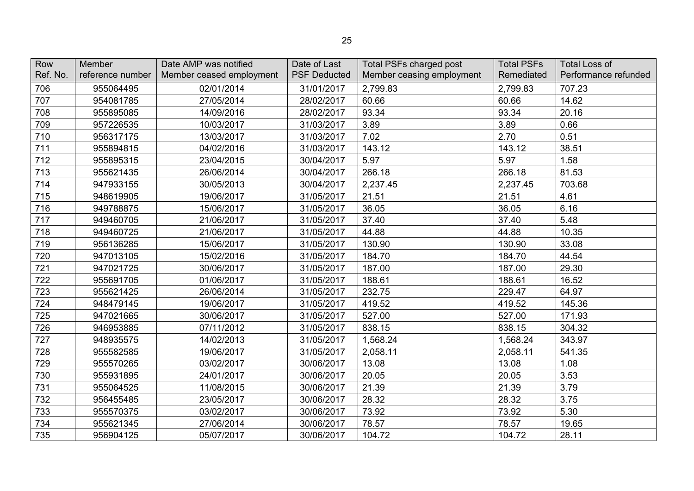| Row<br>Ref. No. | Member<br>reference number | Date AMP was notified<br>Member ceased employment | Date of Last<br><b>PSF Deducted</b> | Total PSFs charged post<br>Member ceasing employment | <b>Total PSFs</b><br>Remediated | <b>Total Loss of</b><br>Performance refunded |
|-----------------|----------------------------|---------------------------------------------------|-------------------------------------|------------------------------------------------------|---------------------------------|----------------------------------------------|
| 706             | 955064495                  | 02/01/2014                                        | 31/01/2017                          | 2,799.83                                             | 2,799.83                        | 707.23                                       |
| 707             | 954081785                  | 27/05/2014                                        | 28/02/2017                          | 60.66                                                | 60.66                           | 14.62                                        |
| 708             | 955895085                  | 14/09/2016                                        | 28/02/2017                          | 93.34                                                | 93.34                           | 20.16                                        |
| 709             | 957226535                  | 10/03/2017                                        | 31/03/2017                          | 3.89                                                 | 3.89                            | 0.66                                         |
| 710             | 956317175                  | 13/03/2017                                        | 31/03/2017                          | 7.02                                                 | 2.70                            | 0.51                                         |
| 711             | 955894815                  | 04/02/2016                                        | 31/03/2017                          | 143.12                                               | 143.12                          | 38.51                                        |
| 712             | 955895315                  | 23/04/2015                                        | 30/04/2017                          | 5.97                                                 | 5.97                            | 1.58                                         |
| 713             | 955621435                  | 26/06/2014                                        | 30/04/2017                          | 266.18                                               | 266.18                          | 81.53                                        |
| 714             | 947933155                  | 30/05/2013                                        | 30/04/2017                          | 2,237.45                                             | 2,237.45                        | 703.68                                       |
| 715             | 948619905                  | 19/06/2017                                        | 31/05/2017                          | 21.51                                                | 21.51                           | 4.61                                         |
| 716             | 949788875                  | 15/06/2017                                        | 31/05/2017                          | 36.05                                                | 36.05                           | 6.16                                         |
| 717             | 949460705                  | 21/06/2017                                        | 31/05/2017                          | 37.40                                                | 37.40                           | 5.48                                         |
| 718             | 949460725                  | 21/06/2017                                        | 31/05/2017                          | 44.88                                                | 44.88                           | 10.35                                        |
| 719             | 956136285                  | 15/06/2017                                        | 31/05/2017                          | 130.90                                               | 130.90                          | 33.08                                        |
| 720             | 947013105                  | 15/02/2016                                        | 31/05/2017                          | 184.70                                               | 184.70                          | 44.54                                        |
| 721             | 947021725                  | 30/06/2017                                        | 31/05/2017                          | 187.00                                               | 187.00                          | 29.30                                        |
| 722             | 955691705                  | 01/06/2017                                        | 31/05/2017                          | 188.61                                               | 188.61                          | 16.52                                        |
| 723             | 955621425                  | 26/06/2014                                        | 31/05/2017                          | 232.75                                               | 229.47                          | 64.97                                        |
| 724             | 948479145                  | 19/06/2017                                        | 31/05/2017                          | 419.52                                               | 419.52                          | 145.36                                       |
| 725             | 947021665                  | 30/06/2017                                        | 31/05/2017                          | 527.00                                               | 527.00                          | 171.93                                       |
| 726             | 946953885                  | 07/11/2012                                        | 31/05/2017                          | 838.15                                               | 838.15                          | 304.32                                       |
| 727             | 948935575                  | 14/02/2013                                        | 31/05/2017                          | 1,568.24                                             | 1,568.24                        | 343.97                                       |
| 728             | 955582585                  | 19/06/2017                                        | 31/05/2017                          | 2,058.11                                             | 2,058.11                        | 541.35                                       |
| 729             | 955570265                  | 03/02/2017                                        | 30/06/2017                          | 13.08                                                | 13.08                           | 1.08                                         |
| 730             | 955931895                  | 24/01/2017                                        | 30/06/2017                          | 20.05                                                | 20.05                           | 3.53                                         |
| 731             | 955064525                  | 11/08/2015                                        | 30/06/2017                          | 21.39                                                | 21.39                           | 3.79                                         |
| 732             | 956455485                  | 23/05/2017                                        | 30/06/2017                          | 28.32                                                | 28.32                           | 3.75                                         |
| 733             | 955570375                  | 03/02/2017                                        | 30/06/2017                          | 73.92                                                | 73.92                           | 5.30                                         |
| 734             | 955621345                  | 27/06/2014                                        | 30/06/2017                          | 78.57                                                | 78.57                           | 19.65                                        |
| 735             | 956904125                  | 05/07/2017                                        | 30/06/2017                          | 104.72                                               | 104.72                          | 28.11                                        |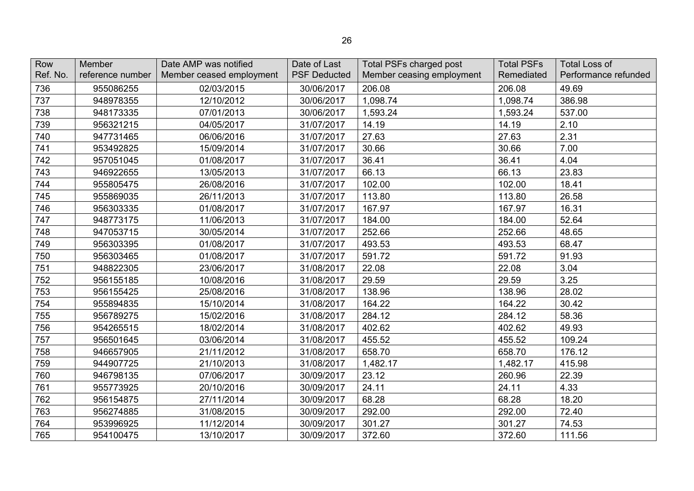| Row<br>Ref. No. | Member<br>reference number | Date AMP was notified<br>Member ceased employment | Date of Last<br><b>PSF Deducted</b> | Total PSFs charged post<br>Member ceasing employment | <b>Total PSFs</b><br>Remediated | <b>Total Loss of</b><br>Performance refunded |
|-----------------|----------------------------|---------------------------------------------------|-------------------------------------|------------------------------------------------------|---------------------------------|----------------------------------------------|
| 736             | 955086255                  | 02/03/2015                                        | 30/06/2017                          | 206.08                                               | 206.08                          | 49.69                                        |
| 737             | 948978355                  | 12/10/2012                                        | 30/06/2017                          | 1,098.74                                             | 1,098.74                        | 386.98                                       |
| 738             | 948173335                  | 07/01/2013                                        | 30/06/2017                          | 1,593.24                                             | 1,593.24                        | 537.00                                       |
| 739             | 956321215                  | 04/05/2017                                        | 31/07/2017                          | 14.19                                                | 14.19                           | 2.10                                         |
| 740             | 947731465                  | 06/06/2016                                        | 31/07/2017                          | 27.63                                                | 27.63                           | 2.31                                         |
| 741             | 953492825                  | 15/09/2014                                        | 31/07/2017                          | 30.66                                                | 30.66                           | 7.00                                         |
| 742             | 957051045                  | 01/08/2017                                        | 31/07/2017                          | 36.41                                                | 36.41                           | 4.04                                         |
| 743             | 946922655                  | 13/05/2013                                        | 31/07/2017                          | 66.13                                                | 66.13                           | 23.83                                        |
| 744             | 955805475                  | 26/08/2016                                        | 31/07/2017                          | 102.00                                               | 102.00                          | 18.41                                        |
| 745             | 955869035                  | 26/11/2013                                        | 31/07/2017                          | 113.80                                               | 113.80                          | 26.58                                        |
| 746             | 956303335                  | 01/08/2017                                        | 31/07/2017                          | 167.97                                               | 167.97                          | 16.31                                        |
| 747             | 948773175                  | 11/06/2013                                        | 31/07/2017                          | 184.00                                               | 184.00                          | 52.64                                        |
| 748             | 947053715                  | 30/05/2014                                        | 31/07/2017                          | 252.66                                               | 252.66                          | 48.65                                        |
| 749             | 956303395                  | 01/08/2017                                        | 31/07/2017                          | 493.53                                               | 493.53                          | 68.47                                        |
| 750             | 956303465                  | 01/08/2017                                        | 31/07/2017                          | 591.72                                               | 591.72                          | 91.93                                        |
| 751             | 948822305                  | 23/06/2017                                        | 31/08/2017                          | 22.08                                                | 22.08                           | 3.04                                         |
| 752             | 956155185                  | 10/08/2016                                        | 31/08/2017                          | 29.59                                                | 29.59                           | 3.25                                         |
| 753             | 956155425                  | 25/08/2016                                        | 31/08/2017                          | 138.96                                               | 138.96                          | 28.02                                        |
| 754             | 955894835                  | 15/10/2014                                        | 31/08/2017                          | 164.22                                               | 164.22                          | 30.42                                        |
| 755             | 956789275                  | 15/02/2016                                        | 31/08/2017                          | 284.12                                               | 284.12                          | 58.36                                        |
| 756             | 954265515                  | 18/02/2014                                        | 31/08/2017                          | 402.62                                               | 402.62                          | 49.93                                        |
| 757             | 956501645                  | 03/06/2014                                        | 31/08/2017                          | 455.52                                               | 455.52                          | 109.24                                       |
| 758             | 946657905                  | 21/11/2012                                        | 31/08/2017                          | 658.70                                               | 658.70                          | 176.12                                       |
| 759             | 944907725                  | 21/10/2013                                        | 31/08/2017                          | 1,482.17                                             | 1,482.17                        | 415.98                                       |
| 760             | 946798135                  | 07/06/2017                                        | 30/09/2017                          | 23.12                                                | 260.96                          | 22.39                                        |
| 761             | 955773925                  | 20/10/2016                                        | 30/09/2017                          | 24.11                                                | 24.11                           | 4.33                                         |
| 762             | 956154875                  | 27/11/2014                                        | 30/09/2017                          | 68.28                                                | 68.28                           | 18.20                                        |
| 763             | 956274885                  | 31/08/2015                                        | 30/09/2017                          | 292.00                                               | 292.00                          | 72.40                                        |
| 764             | 953996925                  | 11/12/2014                                        | 30/09/2017                          | 301.27                                               | 301.27                          | 74.53                                        |
| 765             | 954100475                  | 13/10/2017                                        | 30/09/2017                          | 372.60                                               | 372.60                          | 111.56                                       |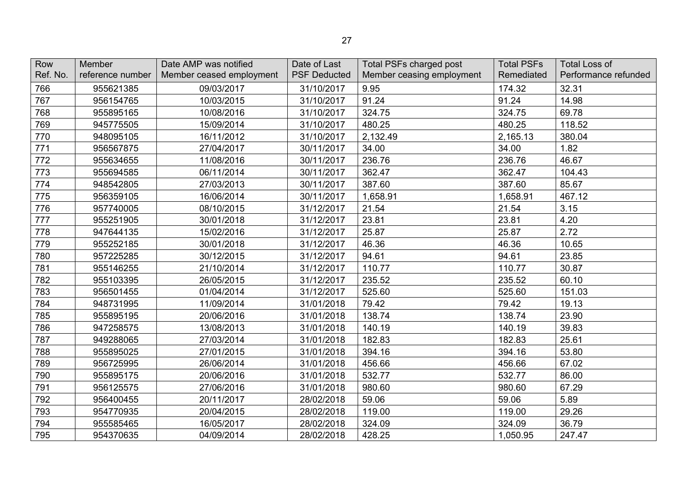| Row<br>Ref. No. | Member<br>reference number | Date AMP was notified<br>Member ceased employment | Date of Last<br><b>PSF Deducted</b> | Total PSFs charged post<br>Member ceasing employment | <b>Total PSFs</b><br>Remediated | <b>Total Loss of</b><br>Performance refunded |
|-----------------|----------------------------|---------------------------------------------------|-------------------------------------|------------------------------------------------------|---------------------------------|----------------------------------------------|
| 766             | 955621385                  | 09/03/2017                                        | 31/10/2017                          | 9.95                                                 | 174.32                          | 32.31                                        |
| 767             | 956154765                  | 10/03/2015                                        | 31/10/2017                          | 91.24                                                | 91.24                           | 14.98                                        |
| 768             | 955895165                  | 10/08/2016                                        | 31/10/2017                          | 324.75                                               | 324.75                          | 69.78                                        |
| 769             | 945775505                  | 15/09/2014                                        | 31/10/2017                          | 480.25                                               | 480.25                          | 118.52                                       |
| 770             | 948095105                  | 16/11/2012                                        | 31/10/2017                          | 2,132.49                                             | 2,165.13                        | 380.04                                       |
| 771             | 956567875                  | 27/04/2017                                        | 30/11/2017                          | 34.00                                                | 34.00                           | 1.82                                         |
| 772             | 955634655                  | 11/08/2016                                        | 30/11/2017                          | 236.76                                               | 236.76                          | 46.67                                        |
| 773             | 955694585                  | 06/11/2014                                        | 30/11/2017                          | 362.47                                               | 362.47                          | 104.43                                       |
| 774             | 948542805                  | 27/03/2013                                        | 30/11/2017                          | 387.60                                               | 387.60                          | 85.67                                        |
| 775             | 956359105                  | 16/06/2014                                        | 30/11/2017                          | 1,658.91                                             | 1,658.91                        | 467.12                                       |
| 776             | 957740005                  | 08/10/2015                                        | 31/12/2017                          | 21.54                                                | 21.54                           | 3.15                                         |
| 777             | 955251905                  | 30/01/2018                                        | 31/12/2017                          | 23.81                                                | 23.81                           | 4.20                                         |
| 778             | 947644135                  | 15/02/2016                                        | 31/12/2017                          | 25.87                                                | 25.87                           | 2.72                                         |
| 779             | 955252185                  | 30/01/2018                                        | 31/12/2017                          | 46.36                                                | 46.36                           | 10.65                                        |
| 780             | 957225285                  | 30/12/2015                                        | 31/12/2017                          | 94.61                                                | 94.61                           | 23.85                                        |
| 781             | 955146255                  | 21/10/2014                                        | 31/12/2017                          | 110.77                                               | 110.77                          | 30.87                                        |
| 782             | 955103395                  | 26/05/2015                                        | 31/12/2017                          | 235.52                                               | 235.52                          | 60.10                                        |
| 783             | 956501455                  | 01/04/2014                                        | 31/12/2017                          | 525.60                                               | 525.60                          | 151.03                                       |
| 784             | 948731995                  | 11/09/2014                                        | 31/01/2018                          | 79.42                                                | 79.42                           | 19.13                                        |
| 785             | 955895195                  | 20/06/2016                                        | 31/01/2018                          | 138.74                                               | 138.74                          | 23.90                                        |
| 786             | 947258575                  | 13/08/2013                                        | 31/01/2018                          | 140.19                                               | 140.19                          | 39.83                                        |
| 787             | 949288065                  | 27/03/2014                                        | 31/01/2018                          | 182.83                                               | 182.83                          | 25.61                                        |
| 788             | 955895025                  | 27/01/2015                                        | 31/01/2018                          | 394.16                                               | 394.16                          | 53.80                                        |
| 789             | 956725995                  | 26/06/2014                                        | 31/01/2018                          | 456.66                                               | 456.66                          | 67.02                                        |
| 790             | 955895175                  | 20/06/2016                                        | 31/01/2018                          | 532.77                                               | 532.77                          | 86.00                                        |
| 791             | 956125575                  | 27/06/2016                                        | 31/01/2018                          | 980.60                                               | 980.60                          | 67.29                                        |
| 792             | 956400455                  | 20/11/2017                                        | 28/02/2018                          | 59.06                                                | 59.06                           | 5.89                                         |
| 793             | 954770935                  | 20/04/2015                                        | 28/02/2018                          | 119.00                                               | 119.00                          | 29.26                                        |
| 794             | 955585465                  | 16/05/2017                                        | 28/02/2018                          | 324.09                                               | 324.09                          | 36.79                                        |
| 795             | 954370635                  | 04/09/2014                                        | 28/02/2018                          | 428.25                                               | 1,050.95                        | 247.47                                       |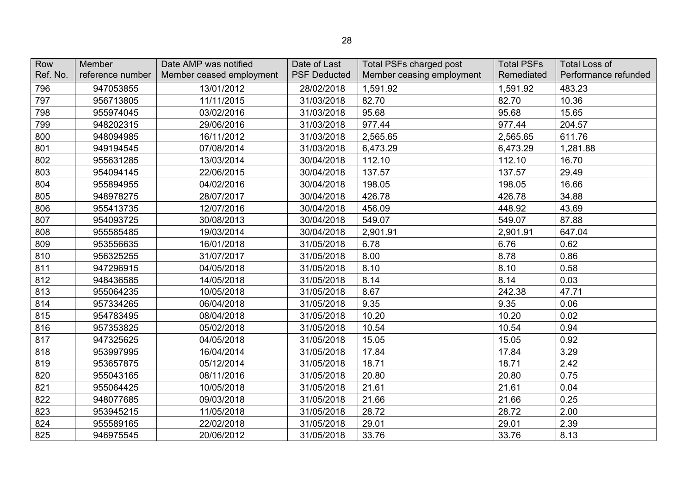| Row<br>Ref. No. | <b>Member</b><br>reference number | Date AMP was notified<br>Member ceased employment | Date of Last<br><b>PSF Deducted</b> | Total PSFs charged post<br>Member ceasing employment | <b>Total PSFs</b><br>Remediated | <b>Total Loss of</b><br>Performance refunded |
|-----------------|-----------------------------------|---------------------------------------------------|-------------------------------------|------------------------------------------------------|---------------------------------|----------------------------------------------|
| 796             | 947053855                         | 13/01/2012                                        | 28/02/2018                          | 1,591.92                                             | 1,591.92                        | 483.23                                       |
| 797             | 956713805                         | 11/11/2015                                        | 31/03/2018                          | 82.70                                                | 82.70                           | 10.36                                        |
| 798             | 955974045                         | 03/02/2016                                        | 31/03/2018                          | 95.68                                                | 95.68                           | 15.65                                        |
| 799             | 948202315                         | 29/06/2016                                        | 31/03/2018                          | 977.44                                               | 977.44                          | 204.57                                       |
| 800             | 948094985                         | 16/11/2012                                        | 31/03/2018                          | 2,565.65                                             | 2,565.65                        | 611.76                                       |
| 801             | 949194545                         | 07/08/2014                                        | 31/03/2018                          | 6,473.29                                             | 6,473.29                        | 1,281.88                                     |
| 802             | 955631285                         | 13/03/2014                                        | 30/04/2018                          | 112.10                                               | 112.10                          | 16.70                                        |
| 803             | 954094145                         | 22/06/2015                                        | 30/04/2018                          | 137.57                                               | 137.57                          | 29.49                                        |
| 804             | 955894955                         | 04/02/2016                                        | 30/04/2018                          | 198.05                                               | 198.05                          | 16.66                                        |
| 805             | 948978275                         | 28/07/2017                                        | 30/04/2018                          | 426.78                                               | 426.78                          | 34.88                                        |
| 806             | 955413735                         | 12/07/2016                                        | 30/04/2018                          | 456.09                                               | 448.92                          | 43.69                                        |
| 807             | 954093725                         | 30/08/2013                                        | 30/04/2018                          | 549.07                                               | 549.07                          | 87.88                                        |
| 808             | 955585485                         | 19/03/2014                                        | 30/04/2018                          | 2,901.91                                             | 2,901.91                        | 647.04                                       |
| 809             | 953556635                         | 16/01/2018                                        | 31/05/2018                          | 6.78                                                 | 6.76                            | 0.62                                         |
| 810             | 956325255                         | 31/07/2017                                        | 31/05/2018                          | 8.00                                                 | 8.78                            | 0.86                                         |
| 811             | 947296915                         | 04/05/2018                                        | 31/05/2018                          | 8.10                                                 | 8.10                            | 0.58                                         |
| 812             | 948436585                         | 14/05/2018                                        | 31/05/2018                          | 8.14                                                 | 8.14                            | 0.03                                         |
| 813             | 955064235                         | 10/05/2018                                        | 31/05/2018                          | 8.67                                                 | 242.38                          | 47.71                                        |
| 814             | 957334265                         | 06/04/2018                                        | 31/05/2018                          | 9.35                                                 | 9.35                            | 0.06                                         |
| 815             | 954783495                         | 08/04/2018                                        | 31/05/2018                          | 10.20                                                | 10.20                           | 0.02                                         |
| 816             | 957353825                         | 05/02/2018                                        | 31/05/2018                          | 10.54                                                | 10.54                           | 0.94                                         |
| 817             | 947325625                         | 04/05/2018                                        | 31/05/2018                          | 15.05                                                | 15.05                           | 0.92                                         |
| 818             | 953997995                         | 16/04/2014                                        | 31/05/2018                          | 17.84                                                | 17.84                           | 3.29                                         |
| 819             | 953657875                         | 05/12/2014                                        | 31/05/2018                          | 18.71                                                | 18.71                           | 2.42                                         |
| 820             | 955043165                         | 08/11/2016                                        | 31/05/2018                          | 20.80                                                | 20.80                           | 0.75                                         |
| 821             | 955064425                         | 10/05/2018                                        | 31/05/2018                          | 21.61                                                | 21.61                           | 0.04                                         |
| 822             | 948077685                         | 09/03/2018                                        | 31/05/2018                          | 21.66                                                | 21.66                           | 0.25                                         |
| 823             | 953945215                         | 11/05/2018                                        | 31/05/2018                          | 28.72                                                | 28.72                           | 2.00                                         |
| 824             | 955589165                         | 22/02/2018                                        | 31/05/2018                          | 29.01                                                | 29.01                           | 2.39                                         |
| 825             | 946975545                         | 20/06/2012                                        | 31/05/2018                          | 33.76                                                | 33.76                           | 8.13                                         |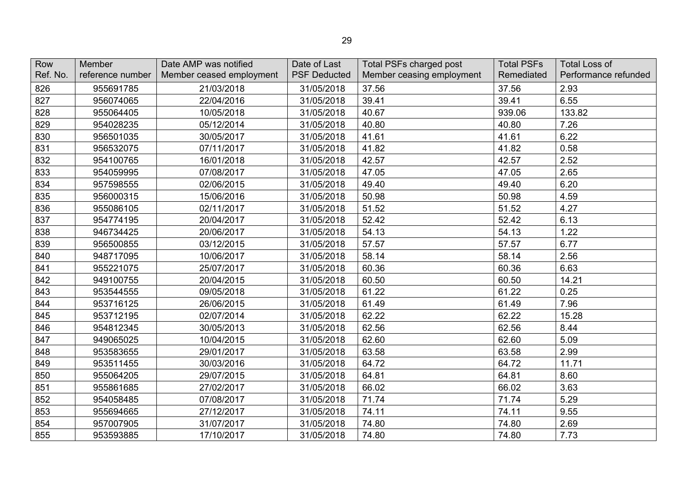| Row<br>Ref. No. | Member<br>reference number | Date AMP was notified<br>Member ceased employment | Date of Last<br><b>PSF Deducted</b> | <b>Total PSFs charged post</b><br>Member ceasing employment | <b>Total PSFs</b><br>Remediated | <b>Total Loss of</b><br>Performance refunded |
|-----------------|----------------------------|---------------------------------------------------|-------------------------------------|-------------------------------------------------------------|---------------------------------|----------------------------------------------|
| 826             | 955691785                  | 21/03/2018                                        | 31/05/2018                          | 37.56                                                       | 37.56                           | 2.93                                         |
| 827             | 956074065                  | 22/04/2016                                        | 31/05/2018                          | 39.41                                                       | 39.41                           | 6.55                                         |
| 828             | 955064405                  | 10/05/2018                                        | 31/05/2018                          | 40.67                                                       | 939.06                          | 133.82                                       |
| 829             | 954028235                  | 05/12/2014                                        | 31/05/2018                          | 40.80                                                       | 40.80                           | 7.26                                         |
| 830             | 956501035                  | 30/05/2017                                        | 31/05/2018                          | 41.61                                                       | 41.61                           | 6.22                                         |
| 831             | 956532075                  | 07/11/2017                                        | 31/05/2018                          | 41.82                                                       | 41.82                           | 0.58                                         |
| 832             | 954100765                  | 16/01/2018                                        | 31/05/2018                          | 42.57                                                       | 42.57                           | 2.52                                         |
| 833             | 954059995                  | 07/08/2017                                        | 31/05/2018                          | 47.05                                                       | 47.05                           | 2.65                                         |
| 834             | 957598555                  | 02/06/2015                                        | 31/05/2018                          | 49.40                                                       | 49.40                           | 6.20                                         |
| 835             | 956000315                  | 15/06/2016                                        | 31/05/2018                          | 50.98                                                       | 50.98                           | 4.59                                         |
| 836             | 955086105                  | 02/11/2017                                        | 31/05/2018                          | 51.52                                                       | 51.52                           | 4.27                                         |
| 837             | 954774195                  | 20/04/2017                                        | 31/05/2018                          | 52.42                                                       | 52.42                           | 6.13                                         |
| 838             | 946734425                  | 20/06/2017                                        | 31/05/2018                          | 54.13                                                       | 54.13                           | 1.22                                         |
| 839             | 956500855                  | 03/12/2015                                        | 31/05/2018                          | 57.57                                                       | 57.57                           | 6.77                                         |
| 840             | 948717095                  | 10/06/2017                                        | 31/05/2018                          | 58.14                                                       | 58.14                           | 2.56                                         |
| 841             | 955221075                  | 25/07/2017                                        | 31/05/2018                          | 60.36                                                       | 60.36                           | 6.63                                         |
| 842             | 949100755                  | 20/04/2015                                        | 31/05/2018                          | 60.50                                                       | 60.50                           | 14.21                                        |
| 843             | 953544555                  | 09/05/2018                                        | 31/05/2018                          | 61.22                                                       | 61.22                           | 0.25                                         |
| 844             | 953716125                  | 26/06/2015                                        | 31/05/2018                          | 61.49                                                       | 61.49                           | 7.96                                         |
| 845             | 953712195                  | 02/07/2014                                        | 31/05/2018                          | 62.22                                                       | 62.22                           | 15.28                                        |
| 846             | 954812345                  | 30/05/2013                                        | 31/05/2018                          | 62.56                                                       | 62.56                           | 8.44                                         |
| 847             | 949065025                  | 10/04/2015                                        | 31/05/2018                          | 62.60                                                       | 62.60                           | 5.09                                         |
| 848             | 953583655                  | 29/01/2017                                        | 31/05/2018                          | 63.58                                                       | 63.58                           | 2.99                                         |
| 849             | 953511455                  | 30/03/2016                                        | 31/05/2018                          | 64.72                                                       | 64.72                           | 11.71                                        |
| 850             | 955064205                  | 29/07/2015                                        | 31/05/2018                          | 64.81                                                       | 64.81                           | 8.60                                         |
| 851             | 955861685                  | 27/02/2017                                        | 31/05/2018                          | 66.02                                                       | 66.02                           | 3.63                                         |
| 852             | 954058485                  | 07/08/2017                                        | 31/05/2018                          | 71.74                                                       | 71.74                           | 5.29                                         |
| 853             | 955694665                  | 27/12/2017                                        | 31/05/2018                          | 74.11                                                       | 74.11                           | 9.55                                         |
| 854             | 957007905                  | 31/07/2017                                        | 31/05/2018                          | 74.80                                                       | 74.80                           | 2.69                                         |
| 855             | 953593885                  | 17/10/2017                                        | 31/05/2018                          | 74.80                                                       | 74.80                           | 7.73                                         |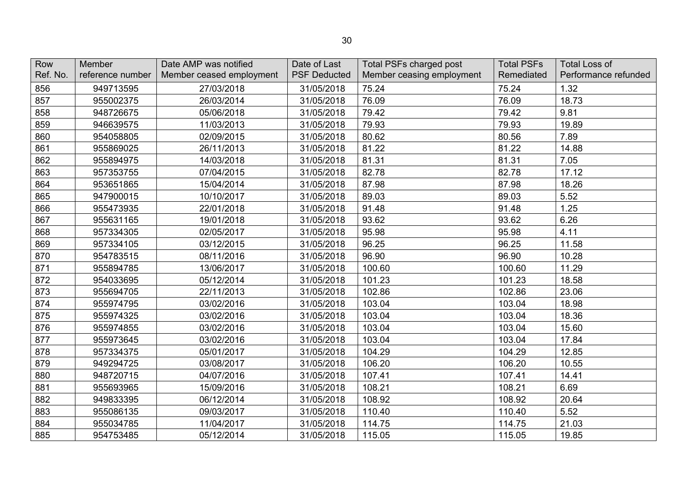| Row<br>Ref. No. | Member<br>reference number | Date AMP was notified<br>Member ceased employment | Date of Last<br><b>PSF Deducted</b> | Total PSFs charged post<br>Member ceasing employment | <b>Total PSFs</b><br>Remediated | <b>Total Loss of</b><br>Performance refunded |
|-----------------|----------------------------|---------------------------------------------------|-------------------------------------|------------------------------------------------------|---------------------------------|----------------------------------------------|
| 856             | 949713595                  | 27/03/2018                                        | 31/05/2018                          | 75.24                                                | 75.24                           | 1.32                                         |
| 857             | 955002375                  | 26/03/2014                                        | 31/05/2018                          | 76.09                                                | 76.09                           | 18.73                                        |
| 858             | 948726675                  | 05/06/2018                                        | 31/05/2018                          | 79.42                                                | 79.42                           | 9.81                                         |
| 859             | 946639575                  | 11/03/2013                                        | 31/05/2018                          | 79.93                                                | 79.93                           | 19.89                                        |
| 860             | 954058805                  | 02/09/2015                                        | 31/05/2018                          | 80.62                                                | 80.56                           | 7.89                                         |
| 861             | 955869025                  | 26/11/2013                                        | 31/05/2018                          | 81.22                                                | 81.22                           | 14.88                                        |
| 862             | 955894975                  | 14/03/2018                                        | 31/05/2018                          | 81.31                                                | 81.31                           | 7.05                                         |
| 863             | 957353755                  | 07/04/2015                                        | 31/05/2018                          | 82.78                                                | 82.78                           | 17.12                                        |
| 864             | 953651865                  | 15/04/2014                                        | 31/05/2018                          | 87.98                                                | 87.98                           | 18.26                                        |
| 865             | 947900015                  | 10/10/2017                                        | 31/05/2018                          | 89.03                                                | 89.03                           | 5.52                                         |
| 866             | 955473935                  | 22/01/2018                                        | 31/05/2018                          | 91.48                                                | 91.48                           | 1.25                                         |
| 867             | 955631165                  | 19/01/2018                                        | 31/05/2018                          | 93.62                                                | 93.62                           | 6.26                                         |
| 868             | 957334305                  | 02/05/2017                                        | 31/05/2018                          | 95.98                                                | 95.98                           | 4.11                                         |
| 869             | 957334105                  | 03/12/2015                                        | 31/05/2018                          | 96.25                                                | 96.25                           | 11.58                                        |
| 870             | 954783515                  | 08/11/2016                                        | 31/05/2018                          | 96.90                                                | 96.90                           | 10.28                                        |
| 871             | 955894785                  | 13/06/2017                                        | 31/05/2018                          | 100.60                                               | 100.60                          | 11.29                                        |
| 872             | 954033695                  | 05/12/2014                                        | 31/05/2018                          | 101.23                                               | 101.23                          | 18.58                                        |
| 873             | 955694705                  | 22/11/2013                                        | 31/05/2018                          | 102.86                                               | 102.86                          | 23.06                                        |
| 874             | 955974795                  | 03/02/2016                                        | 31/05/2018                          | 103.04                                               | 103.04                          | 18.98                                        |
| 875             | 955974325                  | 03/02/2016                                        | 31/05/2018                          | 103.04                                               | 103.04                          | 18.36                                        |
| 876             | 955974855                  | 03/02/2016                                        | 31/05/2018                          | 103.04                                               | 103.04                          | 15.60                                        |
| 877             | 955973645                  | 03/02/2016                                        | 31/05/2018                          | 103.04                                               | 103.04                          | 17.84                                        |
| 878             | 957334375                  | 05/01/2017                                        | 31/05/2018                          | 104.29                                               | 104.29                          | 12.85                                        |
| 879             | 949294725                  | 03/08/2017                                        | 31/05/2018                          | 106.20                                               | 106.20                          | 10.55                                        |
| 880             | 948720715                  | 04/07/2016                                        | 31/05/2018                          | 107.41                                               | 107.41                          | 14.41                                        |
| 881             | 955693965                  | 15/09/2016                                        | 31/05/2018                          | 108.21                                               | 108.21                          | 6.69                                         |
| 882             | 949833395                  | 06/12/2014                                        | 31/05/2018                          | 108.92                                               | 108.92                          | 20.64                                        |
| 883             | 955086135                  | 09/03/2017                                        | 31/05/2018                          | 110.40                                               | 110.40                          | 5.52                                         |
| 884             | 955034785                  | 11/04/2017                                        | 31/05/2018                          | 114.75                                               | 114.75                          | 21.03                                        |
| 885             | 954753485                  | 05/12/2014                                        | 31/05/2018                          | 115.05                                               | 115.05                          | 19.85                                        |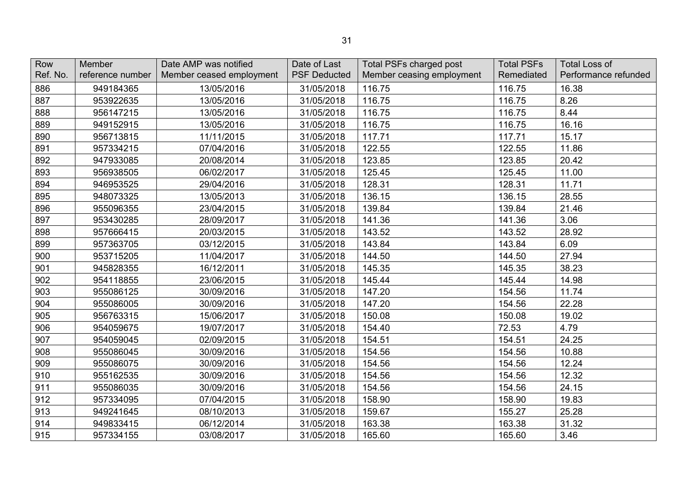| Row<br>Ref. No. | Member<br>reference number | Date AMP was notified<br>Member ceased employment | Date of Last<br><b>PSF Deducted</b> | Total PSFs charged post<br>Member ceasing employment | <b>Total PSFs</b><br>Remediated | <b>Total Loss of</b><br>Performance refunded |
|-----------------|----------------------------|---------------------------------------------------|-------------------------------------|------------------------------------------------------|---------------------------------|----------------------------------------------|
| 886             | 949184365                  | 13/05/2016                                        | 31/05/2018                          | 116.75                                               | 116.75                          | 16.38                                        |
| 887             | 953922635                  | 13/05/2016                                        | 31/05/2018                          | 116.75                                               | 116.75                          | 8.26                                         |
| 888             | 956147215                  | 13/05/2016                                        | 31/05/2018                          | 116.75                                               | 116.75                          | 8.44                                         |
| 889             | 949152915                  | 13/05/2016                                        | 31/05/2018                          | 116.75                                               | 116.75                          | 16.16                                        |
| 890             | 956713815                  | 11/11/2015                                        | 31/05/2018                          | 117.71                                               | 117.71                          | 15.17                                        |
| 891             | 957334215                  | 07/04/2016                                        | 31/05/2018                          | 122.55                                               | 122.55                          | 11.86                                        |
| 892             | 947933085                  | 20/08/2014                                        | 31/05/2018                          | 123.85                                               | 123.85                          | 20.42                                        |
| 893             | 956938505                  | 06/02/2017                                        | 31/05/2018                          | 125.45                                               | 125.45                          | 11.00                                        |
| 894             | 946953525                  | 29/04/2016                                        | 31/05/2018                          | 128.31                                               | 128.31                          | 11.71                                        |
| 895             | 948073325                  | 13/05/2013                                        | 31/05/2018                          | 136.15                                               | 136.15                          | 28.55                                        |
| 896             | 955096355                  | 23/04/2015                                        | 31/05/2018                          | 139.84                                               | 139.84                          | 21.46                                        |
| 897             | 953430285                  | 28/09/2017                                        | 31/05/2018                          | 141.36                                               | 141.36                          | 3.06                                         |
| 898             | 957666415                  | 20/03/2015                                        | 31/05/2018                          | 143.52                                               | 143.52                          | 28.92                                        |
| 899             | 957363705                  | 03/12/2015                                        | 31/05/2018                          | 143.84                                               | 143.84                          | 6.09                                         |
| 900             | 953715205                  | 11/04/2017                                        | 31/05/2018                          | 144.50                                               | 144.50                          | 27.94                                        |
| 901             | 945828355                  | 16/12/2011                                        | 31/05/2018                          | 145.35                                               | 145.35                          | 38.23                                        |
| 902             | 954118855                  | 23/06/2015                                        | 31/05/2018                          | 145.44                                               | 145.44                          | 14.98                                        |
| 903             | 955086125                  | 30/09/2016                                        | 31/05/2018                          | 147.20                                               | 154.56                          | 11.74                                        |
| 904             | 955086005                  | 30/09/2016                                        | 31/05/2018                          | 147.20                                               | 154.56                          | 22.28                                        |
| 905             | 956763315                  | 15/06/2017                                        | 31/05/2018                          | 150.08                                               | 150.08                          | 19.02                                        |
| 906             | 954059675                  | 19/07/2017                                        | 31/05/2018                          | 154.40                                               | 72.53                           | 4.79                                         |
| 907             | 954059045                  | 02/09/2015                                        | 31/05/2018                          | 154.51                                               | 154.51                          | 24.25                                        |
| 908             | 955086045                  | 30/09/2016                                        | 31/05/2018                          | 154.56                                               | 154.56                          | 10.88                                        |
| 909             | 955086075                  | 30/09/2016                                        | 31/05/2018                          | 154.56                                               | 154.56                          | 12.24                                        |
| 910             | 955162535                  | 30/09/2016                                        | 31/05/2018                          | 154.56                                               | 154.56                          | 12.32                                        |
| 911             | 955086035                  | 30/09/2016                                        | 31/05/2018                          | 154.56                                               | 154.56                          | 24.15                                        |
| 912             | 957334095                  | 07/04/2015                                        | 31/05/2018                          | 158.90                                               | 158.90                          | 19.83                                        |
| 913             | 949241645                  | 08/10/2013                                        | 31/05/2018                          | 159.67                                               | 155.27                          | 25.28                                        |
| 914             | 949833415                  | 06/12/2014                                        | 31/05/2018                          | 163.38                                               | 163.38                          | 31.32                                        |
| 915             | 957334155                  | 03/08/2017                                        | 31/05/2018                          | 165.60                                               | 165.60                          | 3.46                                         |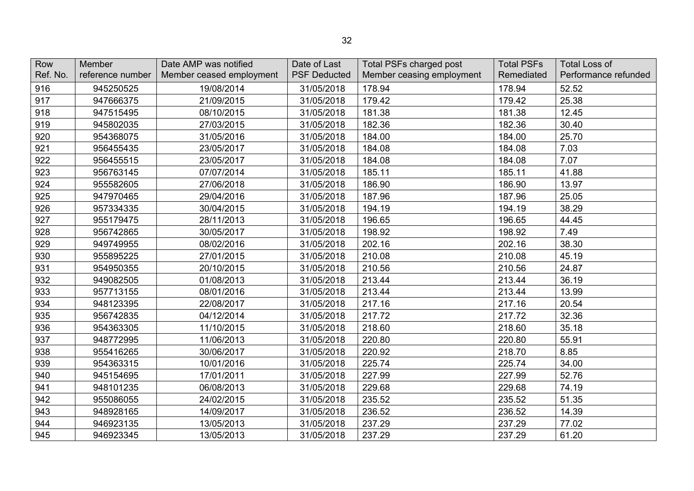| Row      | Member           | Date AMP was notified    | Date of Last        | <b>Total PSFs charged post</b> | <b>Total PSFs</b> | <b>Total Loss of</b> |
|----------|------------------|--------------------------|---------------------|--------------------------------|-------------------|----------------------|
| Ref. No. | reference number | Member ceased employment | <b>PSF Deducted</b> | Member ceasing employment      | Remediated        | Performance refunded |
| 916      | 945250525        | 19/08/2014               | 31/05/2018          | 178.94                         | 178.94            | 52.52                |
| 917      | 947666375        | 21/09/2015               | 31/05/2018          | 179.42                         | 179.42            | 25.38                |
| 918      | 947515495        | 08/10/2015               | 31/05/2018          | 181.38                         | 181.38            | 12.45                |
| 919      | 945802035        | 27/03/2015               | 31/05/2018          | 182.36                         | 182.36            | 30.40                |
| 920      | 954368075        | 31/05/2016               | 31/05/2018          | 184.00                         | 184.00            | 25.70                |
| 921      | 956455435        | 23/05/2017               | 31/05/2018          | 184.08                         | 184.08            | 7.03                 |
| 922      | 956455515        | 23/05/2017               | 31/05/2018          | 184.08                         | 184.08            | 7.07                 |
| 923      | 956763145        | 07/07/2014               | 31/05/2018          | 185.11                         | 185.11            | 41.88                |
| 924      | 955582605        | 27/06/2018               | 31/05/2018          | 186.90                         | 186.90            | 13.97                |
| 925      | 947970465        | 29/04/2016               | 31/05/2018          | 187.96                         | 187.96            | 25.05                |
| 926      | 957334335        | 30/04/2015               | 31/05/2018          | 194.19                         | 194.19            | 38.29                |
| 927      | 955179475        | 28/11/2013               | 31/05/2018          | 196.65                         | 196.65            | 44.45                |
| 928      | 956742865        | 30/05/2017               | 31/05/2018          | 198.92                         | 198.92            | 7.49                 |
| 929      | 949749955        | 08/02/2016               | 31/05/2018          | 202.16                         | 202.16            | 38.30                |
| 930      | 955895225        | 27/01/2015               | 31/05/2018          | 210.08                         | 210.08            | 45.19                |
| 931      | 954950355        | 20/10/2015               | 31/05/2018          | 210.56                         | 210.56            | 24.87                |
| 932      | 949082505        | 01/08/2013               | 31/05/2018          | 213.44                         | 213.44            | 36.19                |
| 933      | 957713155        | 08/01/2016               | 31/05/2018          | 213.44                         | 213.44            | 13.99                |
| 934      | 948123395        | 22/08/2017               | 31/05/2018          | 217.16                         | 217.16            | 20.54                |
| 935      | 956742835        | 04/12/2014               | 31/05/2018          | 217.72                         | 217.72            | 32.36                |
| 936      | 954363305        | 11/10/2015               | 31/05/2018          | 218.60                         | 218.60            | 35.18                |
| 937      | 948772995        | 11/06/2013               | 31/05/2018          | 220.80                         | 220.80            | 55.91                |
| 938      | 955416265        | 30/06/2017               | 31/05/2018          | 220.92                         | 218.70            | 8.85                 |
| 939      | 954363315        | 10/01/2016               | 31/05/2018          | 225.74                         | 225.74            | 34.00                |
| 940      | 945154695        | 17/01/2011               | 31/05/2018          | 227.99                         | 227.99            | 52.76                |
| 941      | 948101235        | 06/08/2013               | 31/05/2018          | 229.68                         | 229.68            | 74.19                |
| 942      | 955086055        | 24/02/2015               | 31/05/2018          | 235.52                         | 235.52            | 51.35                |
| 943      | 948928165        | 14/09/2017               | 31/05/2018          | 236.52                         | 236.52            | 14.39                |
| 944      | 946923135        | 13/05/2013               | 31/05/2018          | 237.29                         | 237.29            | 77.02                |
| 945      | 946923345        | 13/05/2013               | 31/05/2018          | 237.29                         | 237.29            | 61.20                |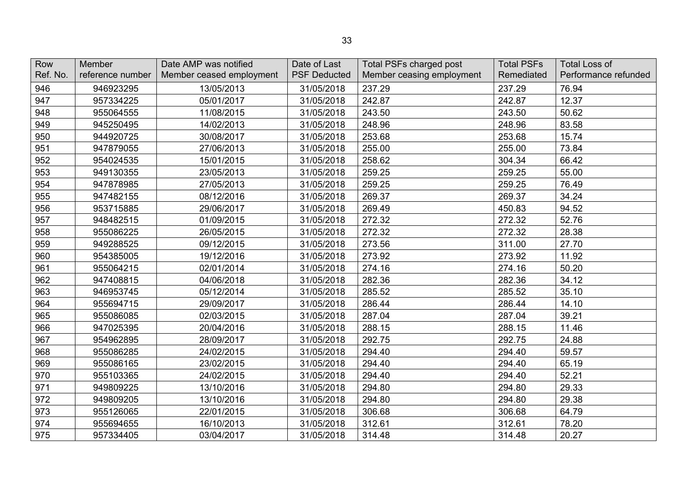| Row      | Member           | Date AMP was notified    | Date of Last        | <b>Total PSFs charged post</b> | <b>Total PSFs</b> | <b>Total Loss of</b> |
|----------|------------------|--------------------------|---------------------|--------------------------------|-------------------|----------------------|
| Ref. No. | reference number | Member ceased employment | <b>PSF Deducted</b> | Member ceasing employment      | Remediated        | Performance refunded |
| 946      | 946923295        | 13/05/2013               | 31/05/2018          | 237.29                         | 237.29            | 76.94                |
| 947      | 957334225        | 05/01/2017               | 31/05/2018          | 242.87                         | 242.87            | 12.37                |
| 948      | 955064555        | 11/08/2015               | 31/05/2018          | 243.50                         | 243.50            | 50.62                |
| 949      | 945250495        | 14/02/2013               | 31/05/2018          | 248.96                         | 248.96            | 83.58                |
| 950      | 944920725        | 30/08/2017               | 31/05/2018          | 253.68                         | 253.68            | 15.74                |
| 951      | 947879055        | 27/06/2013               | 31/05/2018          | 255.00                         | 255.00            | 73.84                |
| 952      | 954024535        | 15/01/2015               | 31/05/2018          | 258.62                         | 304.34            | 66.42                |
| 953      | 949130355        | 23/05/2013               | 31/05/2018          | 259.25                         | 259.25            | 55.00                |
| 954      | 947878985        | 27/05/2013               | 31/05/2018          | 259.25                         | 259.25            | 76.49                |
| 955      | 947482155        | 08/12/2016               | 31/05/2018          | 269.37                         | 269.37            | 34.24                |
| 956      | 953715885        | 29/06/2017               | 31/05/2018          | 269.49                         | 450.83            | 94.52                |
| 957      | 948482515        | 01/09/2015               | 31/05/2018          | 272.32                         | 272.32            | 52.76                |
| 958      | 955086225        | 26/05/2015               | 31/05/2018          | 272.32                         | 272.32            | 28.38                |
| 959      | 949288525        | 09/12/2015               | 31/05/2018          | 273.56                         | 311.00            | 27.70                |
| 960      | 954385005        | 19/12/2016               | 31/05/2018          | 273.92                         | 273.92            | 11.92                |
| 961      | 955064215        | 02/01/2014               | 31/05/2018          | 274.16                         | 274.16            | 50.20                |
| 962      | 947408815        | 04/06/2018               | 31/05/2018          | 282.36                         | 282.36            | 34.12                |
| 963      | 946953745        | 05/12/2014               | 31/05/2018          | 285.52                         | 285.52            | 35.10                |
| 964      | 955694715        | 29/09/2017               | 31/05/2018          | 286.44                         | 286.44            | 14.10                |
| 965      | 955086085        | 02/03/2015               | 31/05/2018          | 287.04                         | 287.04            | 39.21                |
| 966      | 947025395        | 20/04/2016               | 31/05/2018          | 288.15                         | 288.15            | 11.46                |
| 967      | 954962895        | 28/09/2017               | 31/05/2018          | 292.75                         | 292.75            | 24.88                |
| 968      | 955086285        | 24/02/2015               | 31/05/2018          | 294.40                         | 294.40            | 59.57                |
| 969      | 955086165        | 23/02/2015               | 31/05/2018          | 294.40                         | 294.40            | 65.19                |
| 970      | 955103365        | 24/02/2015               | 31/05/2018          | 294.40                         | 294.40            | 52.21                |
| 971      | 949809225        | 13/10/2016               | 31/05/2018          | 294.80                         | 294.80            | 29.33                |
| 972      | 949809205        | 13/10/2016               | 31/05/2018          | 294.80                         | 294.80            | 29.38                |
| 973      | 955126065        | 22/01/2015               | 31/05/2018          | 306.68                         | 306.68            | 64.79                |
| 974      | 955694655        | 16/10/2013               | 31/05/2018          | 312.61                         | 312.61            | 78.20                |
| 975      | 957334405        | 03/04/2017               | 31/05/2018          | 314.48                         | 314.48            | 20.27                |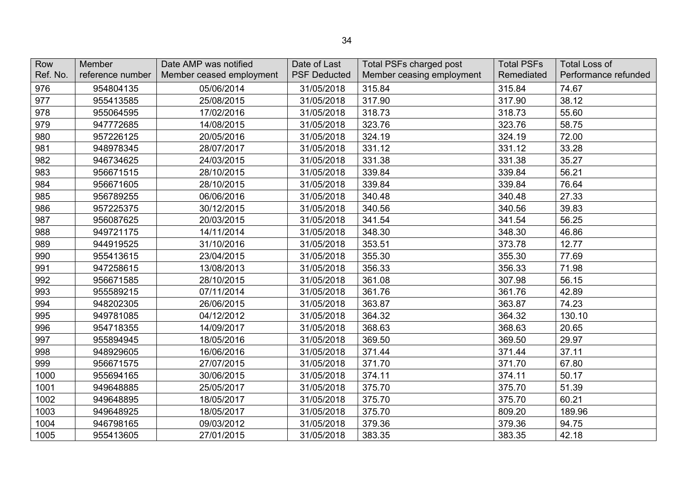| Row<br>Ref. No. | Member<br>reference number | Date AMP was notified<br>Member ceased employment | Date of Last<br><b>PSF Deducted</b> | <b>Total PSFs charged post</b><br>Member ceasing employment | <b>Total PSFs</b><br>Remediated | <b>Total Loss of</b><br>Performance refunded |
|-----------------|----------------------------|---------------------------------------------------|-------------------------------------|-------------------------------------------------------------|---------------------------------|----------------------------------------------|
| 976             | 954804135                  | 05/06/2014                                        | 31/05/2018                          | 315.84                                                      | 315.84                          | 74.67                                        |
| 977             | 955413585                  | 25/08/2015                                        | 31/05/2018                          | 317.90                                                      | 317.90                          | 38.12                                        |
| 978             | 955064595                  | 17/02/2016                                        | 31/05/2018                          | 318.73                                                      | 318.73                          | 55.60                                        |
| 979             | 947772685                  | 14/08/2015                                        | 31/05/2018                          | 323.76                                                      | 323.76                          | 58.75                                        |
| 980             | 957226125                  | 20/05/2016                                        | 31/05/2018                          | 324.19                                                      | 324.19                          | 72.00                                        |
| 981             | 948978345                  | 28/07/2017                                        | 31/05/2018                          | 331.12                                                      | 331.12                          | 33.28                                        |
| 982             | 946734625                  | 24/03/2015                                        | 31/05/2018                          | 331.38                                                      | 331.38                          | 35.27                                        |
| 983             | 956671515                  | 28/10/2015                                        | 31/05/2018                          | 339.84                                                      | 339.84                          | 56.21                                        |
| 984             | 956671605                  | 28/10/2015                                        | 31/05/2018                          | 339.84                                                      | 339.84                          | 76.64                                        |
| 985             | 956789255                  | 06/06/2016                                        | 31/05/2018                          | 340.48                                                      | 340.48                          | 27.33                                        |
| 986             | 957225375                  | 30/12/2015                                        | 31/05/2018                          | 340.56                                                      | 340.56                          | 39.83                                        |
| 987             | 956087625                  | 20/03/2015                                        | 31/05/2018                          | 341.54                                                      | 341.54                          | 56.25                                        |
| 988             | 949721175                  | 14/11/2014                                        | 31/05/2018                          | 348.30                                                      | 348.30                          | 46.86                                        |
| 989             | 944919525                  | 31/10/2016                                        | 31/05/2018                          | 353.51                                                      | 373.78                          | 12.77                                        |
| 990             | 955413615                  | 23/04/2015                                        | 31/05/2018                          | 355.30                                                      | 355.30                          | 77.69                                        |
| 991             | 947258615                  | 13/08/2013                                        | 31/05/2018                          | 356.33                                                      | 356.33                          | 71.98                                        |
| 992             | 956671585                  | 28/10/2015                                        | 31/05/2018                          | 361.08                                                      | 307.98                          | 56.15                                        |
| 993             | 955589215                  | 07/11/2014                                        | 31/05/2018                          | 361.76                                                      | 361.76                          | 42.89                                        |
| 994             | 948202305                  | 26/06/2015                                        | 31/05/2018                          | 363.87                                                      | 363.87                          | 74.23                                        |
| 995             | 949781085                  | 04/12/2012                                        | 31/05/2018                          | 364.32                                                      | 364.32                          | 130.10                                       |
| 996             | 954718355                  | 14/09/2017                                        | 31/05/2018                          | 368.63                                                      | 368.63                          | 20.65                                        |
| 997             | 955894945                  | 18/05/2016                                        | 31/05/2018                          | 369.50                                                      | 369.50                          | 29.97                                        |
| 998             | 948929605                  | 16/06/2016                                        | 31/05/2018                          | 371.44                                                      | 371.44                          | 37.11                                        |
| 999             | 956671575                  | 27/07/2015                                        | 31/05/2018                          | 371.70                                                      | 371.70                          | 67.80                                        |
| 1000            | 955694165                  | 30/06/2015                                        | 31/05/2018                          | 374.11                                                      | 374.11                          | 50.17                                        |
| 1001            | 949648885                  | 25/05/2017                                        | 31/05/2018                          | 375.70                                                      | 375.70                          | 51.39                                        |
| 1002            | 949648895                  | 18/05/2017                                        | 31/05/2018                          | 375.70                                                      | 375.70                          | 60.21                                        |
| 1003            | 949648925                  | 18/05/2017                                        | 31/05/2018                          | 375.70                                                      | 809.20                          | 189.96                                       |
| 1004            | 946798165                  | 09/03/2012                                        | 31/05/2018                          | 379.36                                                      | 379.36                          | 94.75                                        |
| 1005            | 955413605                  | 27/01/2015                                        | 31/05/2018                          | 383.35                                                      | 383.35                          | 42.18                                        |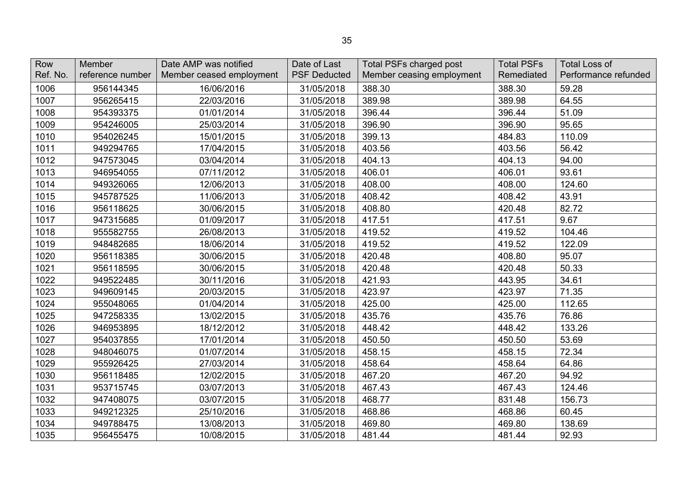| Row      | Member           | Date AMP was notified    | Date of Last        | <b>Total PSFs charged post</b> | <b>Total PSFs</b> | <b>Total Loss of</b> |
|----------|------------------|--------------------------|---------------------|--------------------------------|-------------------|----------------------|
| Ref. No. | reference number | Member ceased employment | <b>PSF Deducted</b> | Member ceasing employment      | Remediated        | Performance refunded |
| 1006     | 956144345        | 16/06/2016               | 31/05/2018          | 388.30                         | 388.30            | 59.28                |
| 1007     | 956265415        | 22/03/2016               | 31/05/2018          | 389.98                         | 389.98            | 64.55                |
| 1008     | 954393375        | 01/01/2014               | 31/05/2018          | 396.44                         | 396.44            | 51.09                |
| 1009     | 954246005        | 25/03/2014               | 31/05/2018          | 396.90                         | 396.90            | 95.65                |
| 1010     | 954026245        | 15/01/2015               | 31/05/2018          | 399.13                         | 484.83            | 110.09               |
| 1011     | 949294765        | 17/04/2015               | 31/05/2018          | 403.56                         | 403.56            | 56.42                |
| 1012     | 947573045        | 03/04/2014               | 31/05/2018          | 404.13                         | 404.13            | 94.00                |
| 1013     | 946954055        | 07/11/2012               | 31/05/2018          | 406.01                         | 406.01            | 93.61                |
| 1014     | 949326065        | 12/06/2013               | 31/05/2018          | 408.00                         | 408.00            | 124.60               |
| 1015     | 945787525        | 11/06/2013               | 31/05/2018          | 408.42                         | 408.42            | 43.91                |
| 1016     | 956118625        | 30/06/2015               | 31/05/2018          | 408.80                         | 420.48            | 82.72                |
| 1017     | 947315685        | 01/09/2017               | 31/05/2018          | 417.51                         | 417.51            | 9.67                 |
| 1018     | 955582755        | 26/08/2013               | 31/05/2018          | 419.52                         | 419.52            | 104.46               |
| 1019     | 948482685        | 18/06/2014               | 31/05/2018          | 419.52                         | 419.52            | 122.09               |
| 1020     | 956118385        | 30/06/2015               | 31/05/2018          | 420.48                         | 408.80            | 95.07                |
| 1021     | 956118595        | 30/06/2015               | 31/05/2018          | 420.48                         | 420.48            | 50.33                |
| 1022     | 949522485        | 30/11/2016               | 31/05/2018          | 421.93                         | 443.95            | 34.61                |
| 1023     | 949609145        | 20/03/2015               | 31/05/2018          | 423.97                         | 423.97            | 71.35                |
| 1024     | 955048065        | 01/04/2014               | 31/05/2018          | 425.00                         | 425.00            | 112.65               |
| 1025     | 947258335        | 13/02/2015               | 31/05/2018          | 435.76                         | 435.76            | 76.86                |
| 1026     | 946953895        | 18/12/2012               | 31/05/2018          | 448.42                         | 448.42            | 133.26               |
| 1027     | 954037855        | 17/01/2014               | 31/05/2018          | 450.50                         | 450.50            | 53.69                |
| 1028     | 948046075        | 01/07/2014               | 31/05/2018          | 458.15                         | 458.15            | 72.34                |
| 1029     | 955926425        | 27/03/2014               | 31/05/2018          | 458.64                         | 458.64            | 64.86                |
| 1030     | 956118485        | 12/02/2015               | 31/05/2018          | 467.20                         | 467.20            | 94.92                |
| 1031     | 953715745        | 03/07/2013               | 31/05/2018          | 467.43                         | 467.43            | 124.46               |
| 1032     | 947408075        | 03/07/2015               | 31/05/2018          | 468.77                         | 831.48            | 156.73               |
| 1033     | 949212325        | 25/10/2016               | 31/05/2018          | 468.86                         | 468.86            | 60.45                |
| 1034     | 949788475        | 13/08/2013               | 31/05/2018          | 469.80                         | 469.80            | 138.69               |
| 1035     | 956455475        | 10/08/2015               | 31/05/2018          | 481.44                         | 481.44            | 92.93                |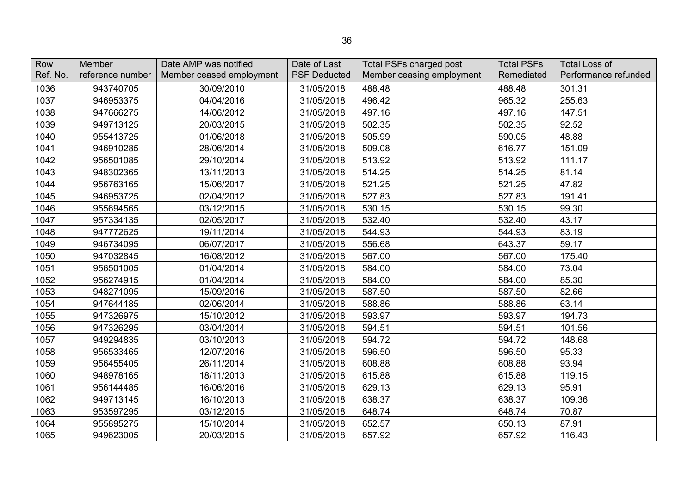| Row<br>Ref. No. | Member<br>reference number | Date AMP was notified<br>Member ceased employment | Date of Last<br><b>PSF Deducted</b> | Total PSFs charged post<br>Member ceasing employment | <b>Total PSFs</b><br>Remediated | <b>Total Loss of</b><br>Performance refunded |
|-----------------|----------------------------|---------------------------------------------------|-------------------------------------|------------------------------------------------------|---------------------------------|----------------------------------------------|
| 1036            | 943740705                  | 30/09/2010                                        | 31/05/2018                          | 488.48                                               | 488.48                          | 301.31                                       |
| 1037            | 946953375                  | 04/04/2016                                        | 31/05/2018                          | 496.42                                               | 965.32                          | 255.63                                       |
| 1038            | 947666275                  | 14/06/2012                                        | 31/05/2018                          | 497.16                                               | 497.16                          | 147.51                                       |
| 1039            | 949713125                  | 20/03/2015                                        | 31/05/2018                          | 502.35                                               | 502.35                          | 92.52                                        |
| 1040            | 955413725                  | 01/06/2018                                        | 31/05/2018                          | 505.99                                               | 590.05                          | 48.88                                        |
| 1041            | 946910285                  | 28/06/2014                                        | 31/05/2018                          | 509.08                                               | 616.77                          | 151.09                                       |
| 1042            | 956501085                  | 29/10/2014                                        | 31/05/2018                          | 513.92                                               | 513.92                          | 111.17                                       |
| 1043            | 948302365                  | 13/11/2013                                        | 31/05/2018                          | 514.25                                               | 514.25                          | 81.14                                        |
| 1044            | 956763165                  | 15/06/2017                                        | 31/05/2018                          | 521.25                                               | 521.25                          | 47.82                                        |
| 1045            | 946953725                  | 02/04/2012                                        | 31/05/2018                          | 527.83                                               | 527.83                          | 191.41                                       |
| 1046            | 955694565                  | 03/12/2015                                        | 31/05/2018                          | 530.15                                               | 530.15                          | 99.30                                        |
| 1047            | 957334135                  | 02/05/2017                                        | 31/05/2018                          | 532.40                                               | 532.40                          | 43.17                                        |
| 1048            | 947772625                  | 19/11/2014                                        | 31/05/2018                          | 544.93                                               | 544.93                          | 83.19                                        |
| 1049            | 946734095                  | 06/07/2017                                        | 31/05/2018                          | 556.68                                               | 643.37                          | 59.17                                        |
| 1050            | 947032845                  | 16/08/2012                                        | 31/05/2018                          | 567.00                                               | 567.00                          | 175.40                                       |
| 1051            | 956501005                  | 01/04/2014                                        | 31/05/2018                          | 584.00                                               | 584.00                          | 73.04                                        |
| 1052            | 956274915                  | 01/04/2014                                        | 31/05/2018                          | 584.00                                               | 584.00                          | 85.30                                        |
| 1053            | 948271095                  | 15/09/2016                                        | 31/05/2018                          | 587.50                                               | 587.50                          | 82.66                                        |
| 1054            | 947644185                  | 02/06/2014                                        | 31/05/2018                          | 588.86                                               | 588.86                          | 63.14                                        |
| 1055            | 947326975                  | 15/10/2012                                        | 31/05/2018                          | 593.97                                               | 593.97                          | 194.73                                       |
| 1056            | 947326295                  | 03/04/2014                                        | 31/05/2018                          | 594.51                                               | 594.51                          | 101.56                                       |
| 1057            | 949294835                  | 03/10/2013                                        | 31/05/2018                          | 594.72                                               | 594.72                          | 148.68                                       |
| 1058            | 956533465                  | 12/07/2016                                        | 31/05/2018                          | 596.50                                               | 596.50                          | 95.33                                        |
| 1059            | 956455405                  | 26/11/2014                                        | 31/05/2018                          | 608.88                                               | 608.88                          | 93.94                                        |
| 1060            | 948978165                  | 18/11/2013                                        | 31/05/2018                          | 615.88                                               | 615.88                          | 119.15                                       |
| 1061            | 956144485                  | 16/06/2016                                        | 31/05/2018                          | 629.13                                               | 629.13                          | 95.91                                        |
| 1062            | 949713145                  | 16/10/2013                                        | 31/05/2018                          | 638.37                                               | 638.37                          | 109.36                                       |
| 1063            | 953597295                  | 03/12/2015                                        | 31/05/2018                          | 648.74                                               | 648.74                          | 70.87                                        |
| 1064            | 955895275                  | 15/10/2014                                        | 31/05/2018                          | 652.57                                               | 650.13                          | 87.91                                        |
| 1065            | 949623005                  | 20/03/2015                                        | 31/05/2018                          | 657.92                                               | 657.92                          | 116.43                                       |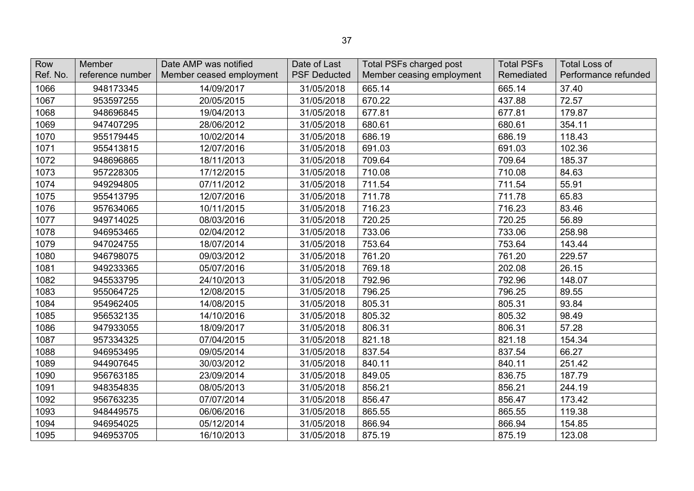| Row<br>Ref. No. | Member<br>reference number | Date AMP was notified<br>Member ceased employment | Date of Last<br><b>PSF Deducted</b> | <b>Total PSFs charged post</b><br>Member ceasing employment | <b>Total PSFs</b><br>Remediated | <b>Total Loss of</b><br>Performance refunded |
|-----------------|----------------------------|---------------------------------------------------|-------------------------------------|-------------------------------------------------------------|---------------------------------|----------------------------------------------|
| 1066            | 948173345                  | 14/09/2017                                        | 31/05/2018                          | 665.14                                                      | 665.14                          | 37.40                                        |
| 1067            | 953597255                  | 20/05/2015                                        | 31/05/2018                          | 670.22                                                      | 437.88                          | 72.57                                        |
| 1068            | 948696845                  | 19/04/2013                                        | 31/05/2018                          | 677.81                                                      | 677.81                          | 179.87                                       |
| 1069            | 947407295                  | 28/06/2012                                        | 31/05/2018                          | 680.61                                                      | 680.61                          | 354.11                                       |
| 1070            | 955179445                  | 10/02/2014                                        | 31/05/2018                          | 686.19                                                      | 686.19                          | 118.43                                       |
| 1071            | 955413815                  | 12/07/2016                                        | 31/05/2018                          | 691.03                                                      | 691.03                          | 102.36                                       |
| 1072            | 948696865                  | 18/11/2013                                        | 31/05/2018                          | 709.64                                                      | 709.64                          | 185.37                                       |
| 1073            | 957228305                  | 17/12/2015                                        | 31/05/2018                          | 710.08                                                      | 710.08                          | 84.63                                        |
| 1074            | 949294805                  | 07/11/2012                                        | 31/05/2018                          | 711.54                                                      | 711.54                          | 55.91                                        |
| 1075            | 955413795                  | 12/07/2016                                        | 31/05/2018                          | 711.78                                                      | 711.78                          | 65.83                                        |
| 1076            | 957634065                  | 10/11/2015                                        | 31/05/2018                          | 716.23                                                      | 716.23                          | 83.46                                        |
| 1077            | 949714025                  | 08/03/2016                                        | 31/05/2018                          | 720.25                                                      | 720.25                          | 56.89                                        |
| 1078            | 946953465                  | 02/04/2012                                        | 31/05/2018                          | 733.06                                                      | 733.06                          | 258.98                                       |
| 1079            | 947024755                  | 18/07/2014                                        | 31/05/2018                          | 753.64                                                      | 753.64                          | 143.44                                       |
| 1080            | 946798075                  | 09/03/2012                                        | 31/05/2018                          | 761.20                                                      | 761.20                          | 229.57                                       |
| 1081            | 949233365                  | 05/07/2016                                        | 31/05/2018                          | 769.18                                                      | 202.08                          | 26.15                                        |
| 1082            | 945533795                  | 24/10/2013                                        | 31/05/2018                          | 792.96                                                      | 792.96                          | 148.07                                       |
| 1083            | 955064725                  | 12/08/2015                                        | 31/05/2018                          | 796.25                                                      | 796.25                          | 89.55                                        |
| 1084            | 954962405                  | 14/08/2015                                        | 31/05/2018                          | 805.31                                                      | 805.31                          | 93.84                                        |
| 1085            | 956532135                  | 14/10/2016                                        | 31/05/2018                          | 805.32                                                      | 805.32                          | 98.49                                        |
| 1086            | 947933055                  | 18/09/2017                                        | 31/05/2018                          | 806.31                                                      | 806.31                          | 57.28                                        |
| 1087            | 957334325                  | 07/04/2015                                        | 31/05/2018                          | 821.18                                                      | 821.18                          | 154.34                                       |
| 1088            | 946953495                  | 09/05/2014                                        | 31/05/2018                          | 837.54                                                      | 837.54                          | 66.27                                        |
| 1089            | 944907645                  | 30/03/2012                                        | 31/05/2018                          | 840.11                                                      | 840.11                          | 251.42                                       |
| 1090            | 956763185                  | 23/09/2014                                        | 31/05/2018                          | 849.05                                                      | 836.75                          | 187.79                                       |
| 1091            | 948354835                  | 08/05/2013                                        | 31/05/2018                          | 856.21                                                      | 856.21                          | 244.19                                       |
| 1092            | 956763235                  | 07/07/2014                                        | 31/05/2018                          | 856.47                                                      | 856.47                          | 173.42                                       |
| 1093            | 948449575                  | 06/06/2016                                        | 31/05/2018                          | 865.55                                                      | 865.55                          | 119.38                                       |
| 1094            | 946954025                  | 05/12/2014                                        | 31/05/2018                          | 866.94                                                      | 866.94                          | 154.85                                       |
| 1095            | 946953705                  | 16/10/2013                                        | 31/05/2018                          | 875.19                                                      | 875.19                          | 123.08                                       |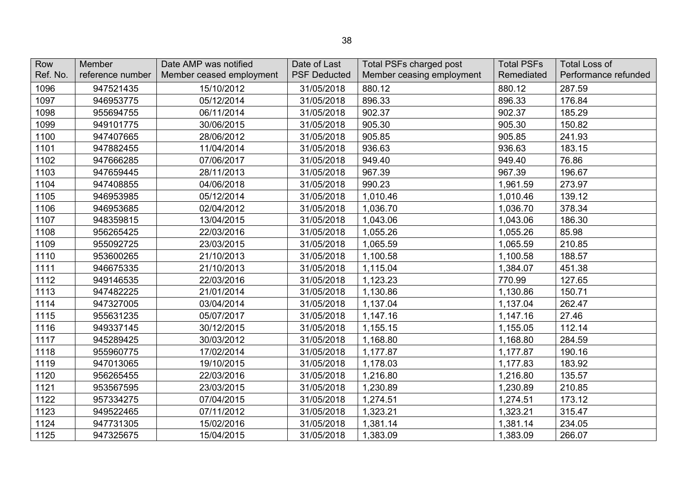| Row<br>Ref. No. | Member<br>reference number | Date AMP was notified<br>Member ceased employment | Date of Last<br><b>PSF Deducted</b> | Total PSFs charged post<br>Member ceasing employment | <b>Total PSFs</b><br>Remediated | <b>Total Loss of</b><br>Performance refunded |
|-----------------|----------------------------|---------------------------------------------------|-------------------------------------|------------------------------------------------------|---------------------------------|----------------------------------------------|
| 1096            | 947521435                  | 15/10/2012                                        | 31/05/2018                          | 880.12                                               | 880.12                          | 287.59                                       |
| 1097            | 946953775                  | 05/12/2014                                        | 31/05/2018                          | 896.33                                               | 896.33                          | 176.84                                       |
| 1098            | 955694755                  | 06/11/2014                                        | 31/05/2018                          | 902.37                                               | 902.37                          | 185.29                                       |
| 1099            | 949101775                  | 30/06/2015                                        | 31/05/2018                          | 905.30                                               | 905.30                          | 150.82                                       |
| 1100            | 947407665                  | 28/06/2012                                        | 31/05/2018                          | 905.85                                               | 905.85                          | 241.93                                       |
| 1101            | 947882455                  | 11/04/2014                                        | 31/05/2018                          | 936.63                                               | 936.63                          | 183.15                                       |
| 1102            | 947666285                  | 07/06/2017                                        | 31/05/2018                          | 949.40                                               | 949.40                          | 76.86                                        |
| 1103            | 947659445                  | 28/11/2013                                        | 31/05/2018                          | 967.39                                               | 967.39                          | 196.67                                       |
| 1104            | 947408855                  | 04/06/2018                                        | 31/05/2018                          | 990.23                                               | 1,961.59                        | 273.97                                       |
| 1105            | 946953985                  | 05/12/2014                                        | 31/05/2018                          | 1,010.46                                             | 1,010.46                        | 139.12                                       |
| 1106            | 946953685                  | 02/04/2012                                        | 31/05/2018                          | 1,036.70                                             | 1,036.70                        | 378.34                                       |
| 1107            | 948359815                  | 13/04/2015                                        | 31/05/2018                          | 1,043.06                                             | 1,043.06                        | 186.30                                       |
| 1108            | 956265425                  | 22/03/2016                                        | 31/05/2018                          | 1,055.26                                             | 1,055.26                        | 85.98                                        |
| 1109            | 955092725                  | 23/03/2015                                        | 31/05/2018                          | 1,065.59                                             | 1,065.59                        | 210.85                                       |
| 1110            | 953600265                  | 21/10/2013                                        | 31/05/2018                          | 1,100.58                                             | 1,100.58                        | 188.57                                       |
| 1111            | 946675335                  | 21/10/2013                                        | 31/05/2018                          | 1,115.04                                             | 1,384.07                        | 451.38                                       |
| 1112            | 949146535                  | 22/03/2016                                        | 31/05/2018                          | 1,123.23                                             | 770.99                          | 127.65                                       |
| 1113            | 947482225                  | 21/01/2014                                        | 31/05/2018                          | 1,130.86                                             | 1,130.86                        | 150.71                                       |
| 1114            | 947327005                  | 03/04/2014                                        | 31/05/2018                          | 1,137.04                                             | 1,137.04                        | 262.47                                       |
| 1115            | 955631235                  | 05/07/2017                                        | 31/05/2018                          | 1,147.16                                             | 1,147.16                        | 27.46                                        |
| 1116            | 949337145                  | 30/12/2015                                        | 31/05/2018                          | 1,155.15                                             | 1,155.05                        | 112.14                                       |
| 1117            | 945289425                  | 30/03/2012                                        | 31/05/2018                          | 1,168.80                                             | 1,168.80                        | 284.59                                       |
| 1118            | 955960775                  | 17/02/2014                                        | 31/05/2018                          | 1,177.87                                             | 1,177.87                        | 190.16                                       |
| 1119            | 947013065                  | 19/10/2015                                        | 31/05/2018                          | 1,178.03                                             | 1,177.83                        | 183.92                                       |
| 1120            | 956265455                  | 22/03/2016                                        | 31/05/2018                          | 1,216.80                                             | 1,216.80                        | 135.57                                       |
| 1121            | 953567595                  | 23/03/2015                                        | 31/05/2018                          | 1,230.89                                             | 1,230.89                        | 210.85                                       |
| 1122            | 957334275                  | 07/04/2015                                        | 31/05/2018                          | 1,274.51                                             | 1,274.51                        | 173.12                                       |
| 1123            | 949522465                  | 07/11/2012                                        | 31/05/2018                          | 1,323.21                                             | 1,323.21                        | 315.47                                       |
| 1124            | 947731305                  | 15/02/2016                                        | 31/05/2018                          | 1,381.14                                             | 1,381.14                        | 234.05                                       |
| 1125            | 947325675                  | 15/04/2015                                        | 31/05/2018                          | 1,383.09                                             | 1,383.09                        | 266.07                                       |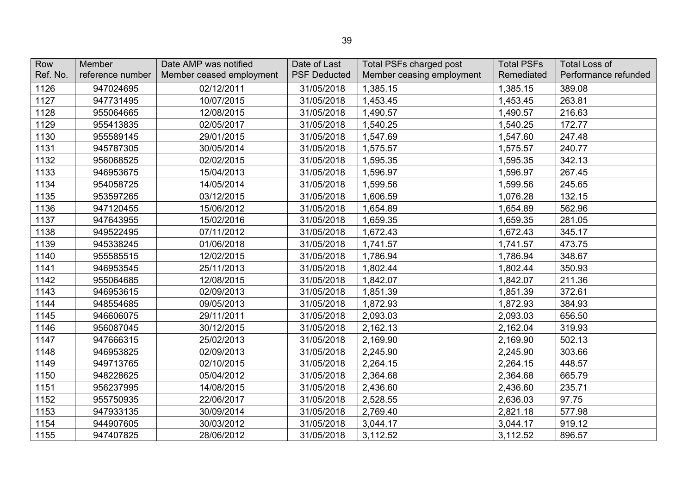| Row<br>Ref. No. | Member<br>reference number | Date AMP was notified<br>Member ceased employment | Date of Last<br><b>PSF Deducted</b> | <b>Total PSFs charged post</b><br>Member ceasing employment | <b>Total PSFs</b><br>Remediated | <b>Total Loss of</b><br>Performance refunded |
|-----------------|----------------------------|---------------------------------------------------|-------------------------------------|-------------------------------------------------------------|---------------------------------|----------------------------------------------|
| 1126            | 947024695                  | 02/12/2011                                        | 31/05/2018                          | 1,385.15                                                    | 1,385.15                        | 389.08                                       |
| 1127            | 947731495                  | 10/07/2015                                        | 31/05/2018                          | 1,453.45                                                    | 1,453.45                        | 263.81                                       |
| 1128            | 955064665                  | 12/08/2015                                        | 31/05/2018                          | 1,490.57                                                    | 1,490.57                        | 216.63                                       |
| 1129            | 955413835                  | 02/05/2017                                        | 31/05/2018                          | 1,540.25                                                    | 1,540.25                        | 172.77                                       |
| 1130            | 955589145                  | 29/01/2015                                        | 31/05/2018                          | 1,547.69                                                    | 1,547.60                        | 247.48                                       |
| 1131            | 945787305                  | 30/05/2014                                        | 31/05/2018                          | 1,575.57                                                    | 1,575.57                        | 240.77                                       |
| 1132            | 956068525                  | 02/02/2015                                        | 31/05/2018                          | 1,595.35                                                    | 1,595.35                        | 342.13                                       |
| 1133            | 946953675                  | 15/04/2013                                        | 31/05/2018                          | 1,596.97                                                    | 1,596.97                        | 267.45                                       |
| 1134            | 954058725                  | 14/05/2014                                        | 31/05/2018                          | 1,599.56                                                    | 1,599.56                        | 245.65                                       |
| 1135            | 953597265                  | 03/12/2015                                        | 31/05/2018                          | 1,606.59                                                    | 1,076.28                        | 132.15                                       |
| 1136            | 947120455                  | 15/06/2012                                        | 31/05/2018                          | 1,654.89                                                    | 1,654.89                        | 562.96                                       |
| 1137            | 947643955                  | 15/02/2016                                        | 31/05/2018                          | 1,659.35                                                    | 1,659.35                        | 281.05                                       |
| 1138            | 949522495                  | 07/11/2012                                        | 31/05/2018                          | 1,672.43                                                    | 1,672.43                        | 345.17                                       |
| 1139            | 945338245                  | 01/06/2018                                        | 31/05/2018                          | 1,741.57                                                    | 1,741.57                        | 473.75                                       |
| 1140            | 955585515                  | 12/02/2015                                        | 31/05/2018                          | 1,786.94                                                    | 1,786.94                        | 348.67                                       |
| 1141            | 946953545                  | 25/11/2013                                        | 31/05/2018                          | 1,802.44                                                    | 1,802.44                        | 350.93                                       |
| 1142            | 955064685                  | 12/08/2015                                        | 31/05/2018                          | 1,842.07                                                    | 1,842.07                        | 211.36                                       |
| 1143            | 946953615                  | 02/09/2013                                        | 31/05/2018                          | 1,851.39                                                    | 1,851.39                        | 372.61                                       |
| 1144            | 948554685                  | 09/05/2013                                        | 31/05/2018                          | 1,872.93                                                    | 1,872.93                        | 384.93                                       |
| 1145            | 946606075                  | 29/11/2011                                        | 31/05/2018                          | 2,093.03                                                    | 2,093.03                        | 656.50                                       |
| 1146            | 956087045                  | 30/12/2015                                        | 31/05/2018                          | 2,162.13                                                    | 2,162.04                        | 319.93                                       |
| 1147            | 947666315                  | 25/02/2013                                        | 31/05/2018                          | 2,169.90                                                    | 2,169.90                        | 502.13                                       |
| 1148            | 946953825                  | 02/09/2013                                        | 31/05/2018                          | 2,245.90                                                    | 2,245.90                        | 303.66                                       |
| 1149            | 949713765                  | 02/10/2015                                        | 31/05/2018                          | 2,264.15                                                    | 2,264.15                        | 448.57                                       |
| 1150            | 948228625                  | 05/04/2012                                        | 31/05/2018                          | 2,364.68                                                    | 2,364.68                        | 665.79                                       |
| 1151            | 956237995                  | 14/08/2015                                        | 31/05/2018                          | 2,436.60                                                    | 2,436.60                        | 235.71                                       |
| 1152            | 955750935                  | 22/06/2017                                        | 31/05/2018                          | 2,528.55                                                    | 2,636.03                        | 97.75                                        |
| 1153            | 947933135                  | 30/09/2014                                        | 31/05/2018                          | 2,769.40                                                    | 2,821.18                        | 577.98                                       |
| 1154            | 944907605                  | 30/03/2012                                        | 31/05/2018                          | 3,044.17                                                    | 3,044.17                        | 919.12                                       |
| 1155            | 947407825                  | 28/06/2012                                        | 31/05/2018                          | 3,112.52                                                    | 3,112.52                        | 896.57                                       |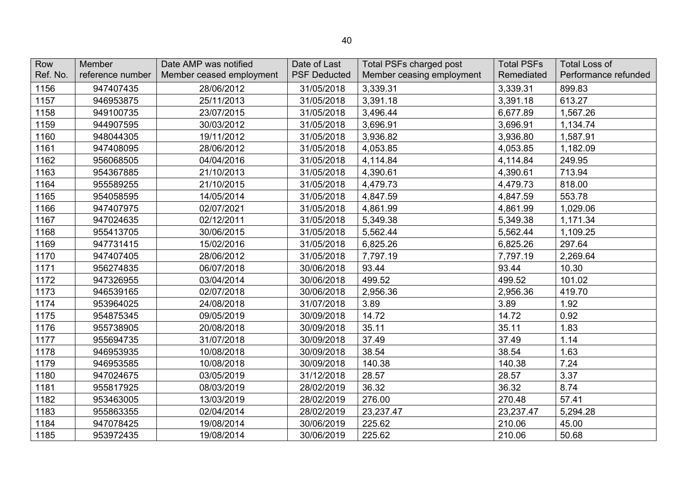| Row      | Member           | Date AMP was notified    | Date of Last        | <b>Total PSFs charged post</b> | <b>Total PSFs</b> | <b>Total Loss of</b> |
|----------|------------------|--------------------------|---------------------|--------------------------------|-------------------|----------------------|
| Ref. No. | reference number | Member ceased employment | <b>PSF Deducted</b> | Member ceasing employment      | Remediated        | Performance refunded |
| 1156     | 947407435        | 28/06/2012               | 31/05/2018          | 3,339.31                       | 3,339.31          | 899.83               |
| 1157     | 946953875        | 25/11/2013               | 31/05/2018          | 3,391.18                       | 3,391.18          | 613.27               |
| 1158     | 949100735        | 23/07/2015               | 31/05/2018          | 3,496.44                       | 6,677.89          | 1,567.26             |
| 1159     | 944907595        | 30/03/2012               | 31/05/2018          | 3,696.91                       | 3,696.91          | 1,134.74             |
| 1160     | 948044305        | 19/11/2012               | 31/05/2018          | 3,936.82                       | 3,936.80          | 1,587.91             |
| 1161     | 947408095        | 28/06/2012               | 31/05/2018          | 4,053.85                       | 4,053.85          | 1,182.09             |
| 1162     | 956068505        | 04/04/2016               | 31/05/2018          | 4,114.84                       | 4,114.84          | 249.95               |
| 1163     | 954367885        | 21/10/2013               | 31/05/2018          | 4,390.61                       | 4,390.61          | 713.94               |
| 1164     | 955589255        | 21/10/2015               | 31/05/2018          | 4,479.73                       | 4,479.73          | 818.00               |
| 1165     | 954058595        | 14/05/2014               | 31/05/2018          | 4,847.59                       | 4,847.59          | 553.78               |
| 1166     | 947407975        | 02/07/2021               | 31/05/2018          | 4,861.99                       | 4,861.99          | 1,029.06             |
| 1167     | 947024635        | 02/12/2011               | 31/05/2018          | 5,349.38                       | 5,349.38          | 1,171.34             |
| 1168     | 955413705        | 30/06/2015               | 31/05/2018          | 5,562.44                       | 5,562.44          | 1,109.25             |
| 1169     | 947731415        | 15/02/2016               | 31/05/2018          | 6,825.26                       | 6,825.26          | 297.64               |
| 1170     | 947407405        | 28/06/2012               | 31/05/2018          | 7,797.19                       | 7,797.19          | 2,269.64             |
| 1171     | 956274835        | 06/07/2018               | 30/06/2018          | 93.44                          | 93.44             | 10.30                |
| 1172     | 947326955        | 03/04/2014               | 30/06/2018          | 499.52                         | 499.52            | 101.02               |
| 1173     | 946539165        | 02/07/2018               | 30/06/2018          | 2,956.36                       | 2,956.36          | 419.70               |
| 1174     | 953964025        | 24/08/2018               | 31/07/2018          | 3.89                           | 3.89              | 1.92                 |
| 1175     | 954875345        | 09/05/2019               | 30/09/2018          | 14.72                          | 14.72             | 0.92                 |
| 1176     | 955738905        | 20/08/2018               | 30/09/2018          | 35.11                          | 35.11             | 1.83                 |
| 1177     | 955694735        | 31/07/2018               | 30/09/2018          | 37.49                          | 37.49             | 1.14                 |
| 1178     | 946953935        | 10/08/2018               | 30/09/2018          | 38.54                          | 38.54             | 1.63                 |
| 1179     | 946953585        | 10/08/2018               | 30/09/2018          | 140.38                         | 140.38            | 7.24                 |
| 1180     | 947024675        | 03/05/2019               | 31/12/2018          | 28.57                          | 28.57             | 3.37                 |
| 1181     | 955817925        | 08/03/2019               | 28/02/2019          | 36.32                          | 36.32             | 8.74                 |
| 1182     | 953463005        | 13/03/2019               | 28/02/2019          | 276.00                         | 270.48            | 57.41                |
| 1183     | 955863355        | 02/04/2014               | 28/02/2019          | 23,237.47                      | 23,237.47         | 5,294.28             |
| 1184     | 947078425        | 19/08/2014               | 30/06/2019          | 225.62                         | 210.06            | 45.00                |
| 1185     | 953972435        | 19/08/2014               | 30/06/2019          | 225.62                         | 210.06            | 50.68                |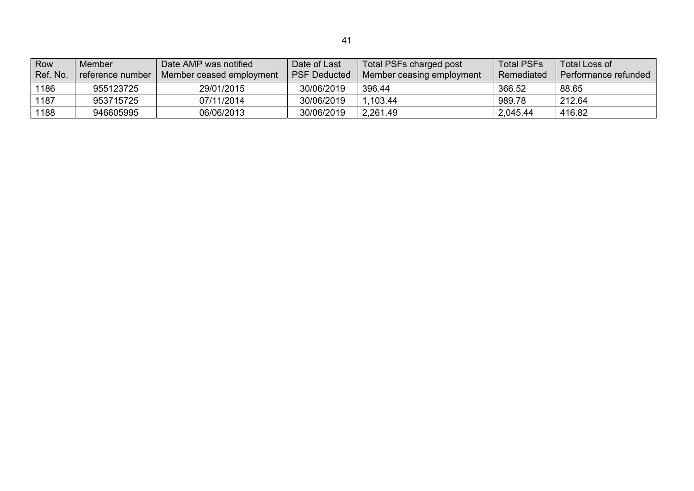| Row<br>Ref. No. | Member<br>reference number | Date AMP was notified<br>Member ceased employment | Date of Last<br><b>PSF Deducted</b> | Total PSFs charged post<br>Member ceasing employment | Total PSFs<br>Remediated | Total Loss of<br>Performance refunded |
|-----------------|----------------------------|---------------------------------------------------|-------------------------------------|------------------------------------------------------|--------------------------|---------------------------------------|
| 1186            | 955123725                  | 29/01/2015                                        | 30/06/2019                          | 396.44                                               | 366.52                   | 88.65                                 |
| 1187            | 953715725                  | 07/11/2014                                        | 30/06/2019                          | .103.44                                              | 989.78                   | 212.64                                |
| 1188            | 946605995                  | 06/06/2013                                        | 30/06/2019                          | 2,261.49                                             | 2,045.44                 | 416.82                                |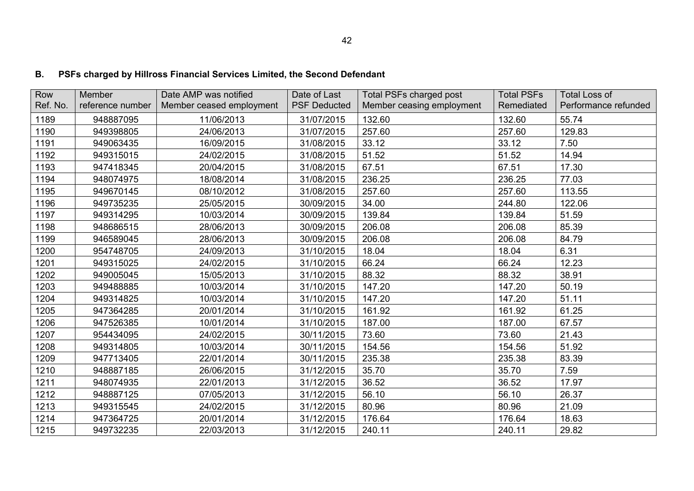# **B. PSFs charged by Hillross Financial Services Limited, the Second Defendant**

| Row      | Member           | Date AMP was notified    | Date of Last        | Total PSFs charged post   | <b>Total PSFs</b> | <b>Total Loss of</b> |
|----------|------------------|--------------------------|---------------------|---------------------------|-------------------|----------------------|
| Ref. No. | reference number | Member ceased employment | <b>PSF Deducted</b> | Member ceasing employment | Remediated        | Performance refunded |
| 1189     | 948887095        | 11/06/2013               | 31/07/2015          | 132.60                    | 132.60            | 55.74                |
| 1190     | 949398805        | 24/06/2013               | 31/07/2015          | 257.60                    | 257.60            | 129.83               |
| 1191     | 949063435        | 16/09/2015               | 31/08/2015          | 33.12                     | 33.12             | 7.50                 |
| 1192     | 949315015        | 24/02/2015               | 31/08/2015          | 51.52                     | 51.52             | 14.94                |
| 1193     | 947418345        | 20/04/2015               | 31/08/2015          | 67.51                     | 67.51             | 17.30                |
| 1194     | 948074975        | 18/08/2014               | 31/08/2015          | 236.25                    | 236.25            | 77.03                |
| 1195     | 949670145        | 08/10/2012               | 31/08/2015          | 257.60                    | 257.60            | 113.55               |
| 1196     | 949735235        | 25/05/2015               | 30/09/2015          | 34.00                     | 244.80            | 122.06               |
| 1197     | 949314295        | 10/03/2014               | 30/09/2015          | 139.84                    | 139.84            | 51.59                |
| 1198     | 948686515        | 28/06/2013               | 30/09/2015          | 206.08                    | 206.08            | 85.39                |
| 1199     | 946589045        | 28/06/2013               | 30/09/2015          | 206.08                    | 206.08            | 84.79                |
| 1200     | 954748705        | 24/09/2013               | 31/10/2015          | 18.04                     | 18.04             | 6.31                 |
| 1201     | 949315025        | 24/02/2015               | 31/10/2015          | 66.24                     | 66.24             | 12.23                |
| 1202     | 949005045        | 15/05/2013               | 31/10/2015          | 88.32                     | 88.32             | 38.91                |
| 1203     | 949488885        | 10/03/2014               | 31/10/2015          | 147.20                    | 147.20            | 50.19                |
| 1204     | 949314825        | 10/03/2014               | 31/10/2015          | 147.20                    | 147.20            | 51.11                |
| 1205     | 947364285        | 20/01/2014               | 31/10/2015          | 161.92                    | 161.92            | 61.25                |
| 1206     | 947526385        | 10/01/2014               | 31/10/2015          | 187.00                    | 187.00            | 67.57                |
| 1207     | 954434095        | 24/02/2015               | 30/11/2015          | 73.60                     | 73.60             | 21.43                |
| 1208     | 949314805        | 10/03/2014               | 30/11/2015          | 154.56                    | 154.56            | 51.92                |
| 1209     | 947713405        | 22/01/2014               | 30/11/2015          | 235.38                    | 235.38            | 83.39                |
| 1210     | 948887185        | 26/06/2015               | 31/12/2015          | 35.70                     | 35.70             | 7.59                 |
| 1211     | 948074935        | 22/01/2013               | 31/12/2015          | 36.52                     | 36.52             | 17.97                |
| 1212     | 948887125        | 07/05/2013               | 31/12/2015          | 56.10                     | 56.10             | 26.37                |
| 1213     | 949315545        | 24/02/2015               | 31/12/2015          | 80.96                     | 80.96             | 21.09                |
| 1214     | 947364725        | 20/01/2014               | 31/12/2015          | 176.64                    | 176.64            | 18.63                |
| 1215     | 949732235        | 22/03/2013               | 31/12/2015          | 240.11                    | 240.11            | 29.82                |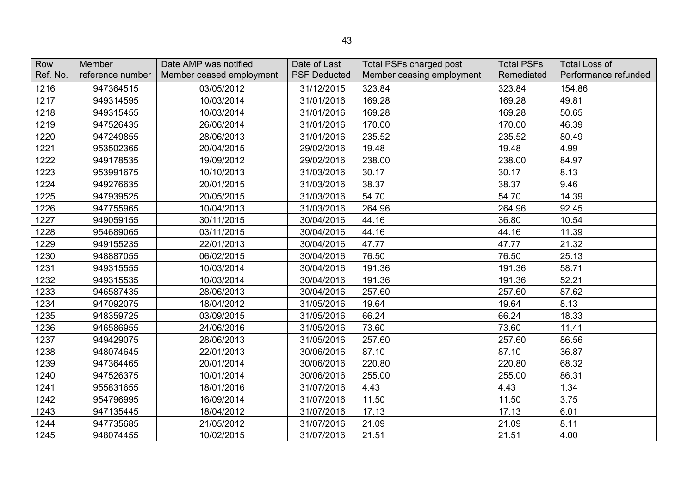| Row<br>Ref. No. | <b>Member</b><br>reference number | Date AMP was notified<br>Member ceased employment | Date of Last<br><b>PSF Deducted</b> | Total PSFs charged post<br>Member ceasing employment | <b>Total PSFs</b><br>Remediated | <b>Total Loss of</b><br>Performance refunded |
|-----------------|-----------------------------------|---------------------------------------------------|-------------------------------------|------------------------------------------------------|---------------------------------|----------------------------------------------|
| 1216            | 947364515                         | 03/05/2012                                        | 31/12/2015                          | 323.84                                               | 323.84                          | 154.86                                       |
| 1217            | 949314595                         | 10/03/2014                                        | 31/01/2016                          | 169.28                                               | 169.28                          | 49.81                                        |
| 1218            | 949315455                         | 10/03/2014                                        | 31/01/2016                          | 169.28                                               | 169.28                          | 50.65                                        |
| 1219            | 947526435                         | 26/06/2014                                        | 31/01/2016                          | 170.00                                               | 170.00                          | 46.39                                        |
| 1220            | 947249855                         | 28/06/2013                                        | 31/01/2016                          | 235.52                                               | 235.52                          | 80.49                                        |
| 1221            | 953502365                         | 20/04/2015                                        | 29/02/2016                          | 19.48                                                | 19.48                           | 4.99                                         |
| 1222            | 949178535                         | 19/09/2012                                        | 29/02/2016                          | 238.00                                               | 238.00                          | 84.97                                        |
| 1223            | 953991675                         | 10/10/2013                                        | 31/03/2016                          | 30.17                                                | 30.17                           | 8.13                                         |
| 1224            | 949276635                         | 20/01/2015                                        | 31/03/2016                          | 38.37                                                | 38.37                           | 9.46                                         |
| 1225            | 947939525                         | 20/05/2015                                        | 31/03/2016                          | 54.70                                                | 54.70                           | 14.39                                        |
| 1226            | 947755965                         | 10/04/2013                                        | 31/03/2016                          | 264.96                                               | 264.96                          | 92.45                                        |
| 1227            | 949059155                         | 30/11/2015                                        | 30/04/2016                          | 44.16                                                | 36.80                           | 10.54                                        |
| 1228            | 954689065                         | 03/11/2015                                        | 30/04/2016                          | 44.16                                                | 44.16                           | 11.39                                        |
| 1229            | 949155235                         | 22/01/2013                                        | 30/04/2016                          | 47.77                                                | 47.77                           | 21.32                                        |
| 1230            | 948887055                         | 06/02/2015                                        | 30/04/2016                          | 76.50                                                | 76.50                           | 25.13                                        |
| 1231            | 949315555                         | 10/03/2014                                        | 30/04/2016                          | 191.36                                               | 191.36                          | 58.71                                        |
| 1232            | 949315535                         | 10/03/2014                                        | 30/04/2016                          | 191.36                                               | 191.36                          | 52.21                                        |
| 1233            | 946587435                         | 28/06/2013                                        | 30/04/2016                          | 257.60                                               | 257.60                          | 87.62                                        |
| 1234            | 947092075                         | 18/04/2012                                        | 31/05/2016                          | 19.64                                                | 19.64                           | 8.13                                         |
| 1235            | 948359725                         | 03/09/2015                                        | 31/05/2016                          | 66.24                                                | 66.24                           | 18.33                                        |
| 1236            | 946586955                         | 24/06/2016                                        | 31/05/2016                          | 73.60                                                | 73.60                           | 11.41                                        |
| 1237            | 949429075                         | 28/06/2013                                        | 31/05/2016                          | 257.60                                               | 257.60                          | 86.56                                        |
| 1238            | 948074645                         | 22/01/2013                                        | 30/06/2016                          | 87.10                                                | 87.10                           | 36.87                                        |
| 1239            | 947364465                         | 20/01/2014                                        | 30/06/2016                          | 220.80                                               | 220.80                          | 68.32                                        |
| 1240            | 947526375                         | 10/01/2014                                        | 30/06/2016                          | 255.00                                               | 255.00                          | 86.31                                        |
| 1241            | 955831655                         | 18/01/2016                                        | 31/07/2016                          | 4.43                                                 | 4.43                            | 1.34                                         |
| 1242            | 954796995                         | 16/09/2014                                        | 31/07/2016                          | 11.50                                                | 11.50                           | 3.75                                         |
| 1243            | 947135445                         | 18/04/2012                                        | 31/07/2016                          | 17.13                                                | 17.13                           | 6.01                                         |
| 1244            | 947735685                         | 21/05/2012                                        | 31/07/2016                          | 21.09                                                | 21.09                           | 8.11                                         |
| 1245            | 948074455                         | 10/02/2015                                        | 31/07/2016                          | 21.51                                                | 21.51                           | 4.00                                         |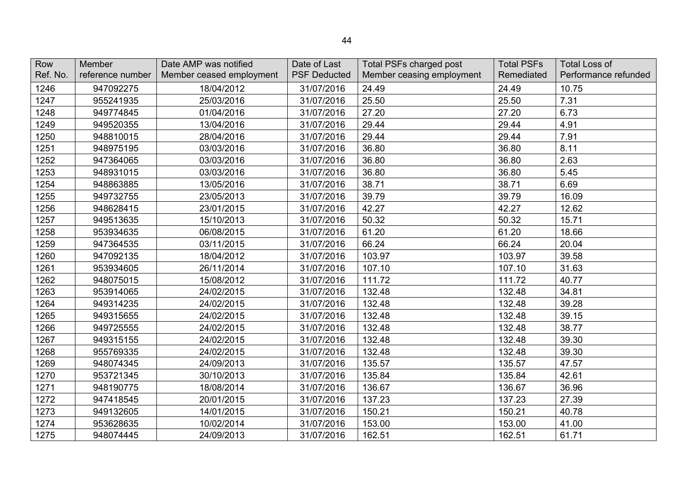| Row<br>Ref. No. | Member<br>reference number | Date AMP was notified<br>Member ceased employment | Date of Last<br><b>PSF Deducted</b> | <b>Total PSFs charged post</b><br>Member ceasing employment | <b>Total PSFs</b><br>Remediated | <b>Total Loss of</b><br>Performance refunded |
|-----------------|----------------------------|---------------------------------------------------|-------------------------------------|-------------------------------------------------------------|---------------------------------|----------------------------------------------|
| 1246            | 947092275                  | 18/04/2012                                        | 31/07/2016                          | 24.49                                                       | 24.49                           | 10.75                                        |
| 1247            | 955241935                  | 25/03/2016                                        | 31/07/2016                          | 25.50                                                       | 25.50                           | 7.31                                         |
| 1248            | 949774845                  | 01/04/2016                                        | 31/07/2016                          | 27.20                                                       | 27.20                           | 6.73                                         |
| 1249            | 949520355                  | 13/04/2016                                        | 31/07/2016                          | 29.44                                                       | 29.44                           | 4.91                                         |
| 1250            | 948810015                  | 28/04/2016                                        | 31/07/2016                          | 29.44                                                       | 29.44                           | 7.91                                         |
| 1251            | 948975195                  | 03/03/2016                                        | 31/07/2016                          | 36.80                                                       | 36.80                           | 8.11                                         |
| 1252            | 947364065                  | 03/03/2016                                        | 31/07/2016                          | 36.80                                                       | 36.80                           | 2.63                                         |
| 1253            | 948931015                  | 03/03/2016                                        | 31/07/2016                          | 36.80                                                       | 36.80                           | 5.45                                         |
| 1254            | 948863885                  | 13/05/2016                                        | 31/07/2016                          | 38.71                                                       | 38.71                           | 6.69                                         |
| 1255            | 949732755                  | 23/05/2013                                        | 31/07/2016                          | 39.79                                                       | 39.79                           | 16.09                                        |
| 1256            | 948628415                  | 23/01/2015                                        | 31/07/2016                          | 42.27                                                       | 42.27                           | 12.62                                        |
| 1257            | 949513635                  | 15/10/2013                                        | 31/07/2016                          | 50.32                                                       | 50.32                           | 15.71                                        |
| 1258            | 953934635                  | 06/08/2015                                        | 31/07/2016                          | 61.20                                                       | 61.20                           | 18.66                                        |
| 1259            | 947364535                  | 03/11/2015                                        | 31/07/2016                          | 66.24                                                       | 66.24                           | 20.04                                        |
| 1260            | 947092135                  | 18/04/2012                                        | 31/07/2016                          | 103.97                                                      | 103.97                          | 39.58                                        |
| 1261            | 953934605                  | 26/11/2014                                        | 31/07/2016                          | 107.10                                                      | 107.10                          | 31.63                                        |
| 1262            | 948075015                  | 15/08/2012                                        | 31/07/2016                          | 111.72                                                      | 111.72                          | 40.77                                        |
| 1263            | 953914065                  | 24/02/2015                                        | 31/07/2016                          | 132.48                                                      | 132.48                          | 34.81                                        |
| 1264            | 949314235                  | 24/02/2015                                        | 31/07/2016                          | 132.48                                                      | 132.48                          | 39.28                                        |
| 1265            | 949315655                  | 24/02/2015                                        | 31/07/2016                          | 132.48                                                      | 132.48                          | 39.15                                        |
| 1266            | 949725555                  | 24/02/2015                                        | 31/07/2016                          | 132.48                                                      | 132.48                          | 38.77                                        |
| 1267            | 949315155                  | 24/02/2015                                        | 31/07/2016                          | 132.48                                                      | 132.48                          | 39.30                                        |
| 1268            | 955769335                  | 24/02/2015                                        | 31/07/2016                          | 132.48                                                      | 132.48                          | 39.30                                        |
| 1269            | 948074345                  | 24/09/2013                                        | 31/07/2016                          | 135.57                                                      | 135.57                          | 47.57                                        |
| 1270            | 953721345                  | 30/10/2013                                        | 31/07/2016                          | 135.84                                                      | 135.84                          | 42.61                                        |
| 1271            | 948190775                  | 18/08/2014                                        | 31/07/2016                          | 136.67                                                      | 136.67                          | 36.96                                        |
| 1272            | 947418545                  | 20/01/2015                                        | 31/07/2016                          | 137.23                                                      | 137.23                          | 27.39                                        |
| 1273            | 949132605                  | 14/01/2015                                        | 31/07/2016                          | 150.21                                                      | 150.21                          | 40.78                                        |
| 1274            | 953628635                  | 10/02/2014                                        | 31/07/2016                          | 153.00                                                      | 153.00                          | 41.00                                        |
| 1275            | 948074445                  | 24/09/2013                                        | 31/07/2016                          | 162.51                                                      | 162.51                          | 61.71                                        |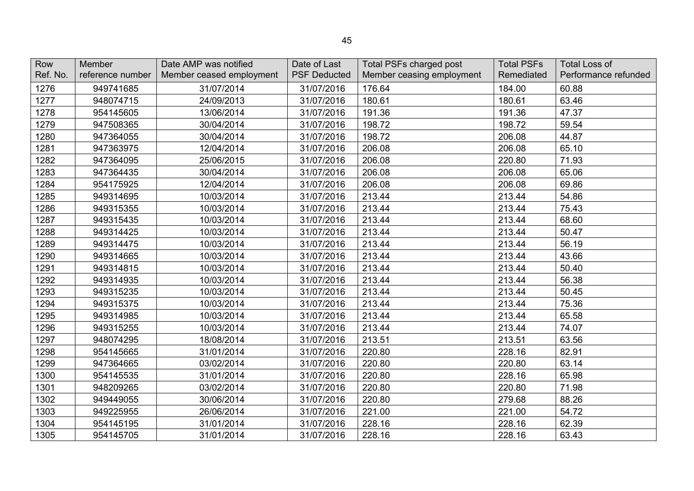| Row<br>Ref. No. | Member<br>reference number | Date AMP was notified<br>Member ceased employment | Date of Last<br><b>PSF Deducted</b> | Total PSFs charged post<br>Member ceasing employment | <b>Total PSFs</b><br>Remediated | <b>Total Loss of</b><br>Performance refunded |
|-----------------|----------------------------|---------------------------------------------------|-------------------------------------|------------------------------------------------------|---------------------------------|----------------------------------------------|
| 1276            | 949741685                  | 31/07/2014                                        | 31/07/2016                          | 176.64                                               | 184.00                          | 60.88                                        |
| 1277            | 948074715                  | 24/09/2013                                        | 31/07/2016                          | 180.61                                               | 180.61                          | 63.46                                        |
| 1278            | 954145605                  | 13/06/2014                                        | 31/07/2016                          | 191.36                                               | 191.36                          | 47.37                                        |
| 1279            | 947508365                  | 30/04/2014                                        | 31/07/2016                          | 198.72                                               | 198.72                          | 59.54                                        |
| 1280            | 947364055                  | 30/04/2014                                        | 31/07/2016                          | 198.72                                               | 206.08                          | 44.87                                        |
| 1281            | 947363975                  | 12/04/2014                                        | 31/07/2016                          | 206.08                                               | 206.08                          | 65.10                                        |
| 1282            | 947364095                  | 25/06/2015                                        | 31/07/2016                          | 206.08                                               | 220.80                          | 71.93                                        |
| 1283            | 947364435                  | 30/04/2014                                        | 31/07/2016                          | 206.08                                               | 206.08                          | 65.06                                        |
| 1284            | 954175925                  | 12/04/2014                                        | 31/07/2016                          | 206.08                                               | 206.08                          | 69.86                                        |
| 1285            | 949314695                  | 10/03/2014                                        | 31/07/2016                          | 213.44                                               | 213.44                          | 54.86                                        |
| 1286            | 949315355                  | 10/03/2014                                        | 31/07/2016                          | 213.44                                               | 213.44                          | 75.43                                        |
| 1287            | 949315435                  | 10/03/2014                                        | 31/07/2016                          | 213.44                                               | 213.44                          | 68.60                                        |
| 1288            | 949314425                  | 10/03/2014                                        | 31/07/2016                          | 213.44                                               | 213.44                          | 50.47                                        |
| 1289            | 949314475                  | 10/03/2014                                        | 31/07/2016                          | 213.44                                               | 213.44                          | 56.19                                        |
| 1290            | 949314665                  | 10/03/2014                                        | 31/07/2016                          | 213.44                                               | 213.44                          | 43.66                                        |
| 1291            | 949314815                  | 10/03/2014                                        | 31/07/2016                          | 213.44                                               | 213.44                          | 50.40                                        |
| 1292            | 949314935                  | 10/03/2014                                        | 31/07/2016                          | 213.44                                               | 213.44                          | 56.38                                        |
| 1293            | 949315235                  | 10/03/2014                                        | 31/07/2016                          | 213.44                                               | 213.44                          | 50.45                                        |
| 1294            | 949315375                  | 10/03/2014                                        | 31/07/2016                          | 213.44                                               | 213.44                          | 75.36                                        |
| 1295            | 949314985                  | 10/03/2014                                        | 31/07/2016                          | 213.44                                               | 213.44                          | 65.58                                        |
| 1296            | 949315255                  | 10/03/2014                                        | 31/07/2016                          | 213.44                                               | 213.44                          | 74.07                                        |
| 1297            | 948074295                  | 18/08/2014                                        | 31/07/2016                          | 213.51                                               | 213.51                          | 63.56                                        |
| 1298            | 954145665                  | 31/01/2014                                        | 31/07/2016                          | 220.80                                               | 228.16                          | 82.91                                        |
| 1299            | 947364665                  | 03/02/2014                                        | 31/07/2016                          | 220.80                                               | 220.80                          | 63.14                                        |
| 1300            | 954145535                  | 31/01/2014                                        | 31/07/2016                          | 220.80                                               | 228.16                          | 65.98                                        |
| 1301            | 948209265                  | 03/02/2014                                        | 31/07/2016                          | 220.80                                               | 220.80                          | 71.98                                        |
| 1302            | 949449055                  | 30/06/2014                                        | 31/07/2016                          | 220.80                                               | 279.68                          | 88.26                                        |
| 1303            | 949225955                  | 26/06/2014                                        | 31/07/2016                          | 221.00                                               | 221.00                          | 54.72                                        |
| 1304            | 954145195                  | 31/01/2014                                        | 31/07/2016                          | 228.16                                               | 228.16                          | 62.39                                        |
| 1305            | 954145705                  | 31/01/2014                                        | 31/07/2016                          | 228.16                                               | 228.16                          | 63.43                                        |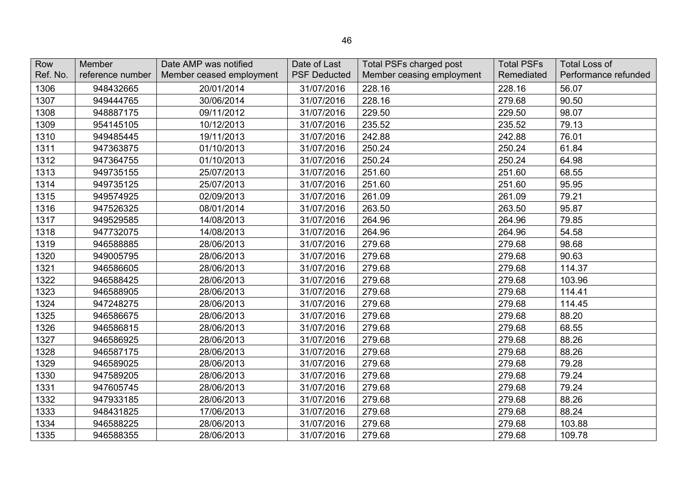| Row<br>Ref. No. | Member<br>reference number | Date AMP was notified<br>Member ceased employment | Date of Last<br><b>PSF Deducted</b> | Total PSFs charged post<br>Member ceasing employment | <b>Total PSFs</b><br>Remediated | <b>Total Loss of</b><br>Performance refunded |
|-----------------|----------------------------|---------------------------------------------------|-------------------------------------|------------------------------------------------------|---------------------------------|----------------------------------------------|
| 1306            | 948432665                  | 20/01/2014                                        | 31/07/2016                          | 228.16                                               | 228.16                          | 56.07                                        |
| 1307            | 949444765                  | 30/06/2014                                        | 31/07/2016                          | 228.16                                               | 279.68                          | 90.50                                        |
| 1308            | 948887175                  | 09/11/2012                                        | 31/07/2016                          | 229.50                                               | 229.50                          | 98.07                                        |
| 1309            | 954145105                  | 10/12/2013                                        | 31/07/2016                          | 235.52                                               | 235.52                          | 79.13                                        |
| 1310            | 949485445                  | 19/11/2013                                        | 31/07/2016                          | 242.88                                               | 242.88                          | 76.01                                        |
| 1311            | 947363875                  | 01/10/2013                                        | 31/07/2016                          | 250.24                                               | 250.24                          | 61.84                                        |
| 1312            | 947364755                  | 01/10/2013                                        | 31/07/2016                          | 250.24                                               | 250.24                          | 64.98                                        |
| 1313            | 949735155                  | 25/07/2013                                        | 31/07/2016                          | 251.60                                               | 251.60                          | 68.55                                        |
| 1314            | 949735125                  | 25/07/2013                                        | 31/07/2016                          | 251.60                                               | 251.60                          | 95.95                                        |
| 1315            | 949574925                  | 02/09/2013                                        | 31/07/2016                          | 261.09                                               | 261.09                          | 79.21                                        |
| 1316            | 947526325                  | 08/01/2014                                        | 31/07/2016                          | 263.50                                               | 263.50                          | 95.87                                        |
| 1317            | 949529585                  | 14/08/2013                                        | 31/07/2016                          | 264.96                                               | 264.96                          | 79.85                                        |
| 1318            | 947732075                  | 14/08/2013                                        | 31/07/2016                          | 264.96                                               | 264.96                          | 54.58                                        |
| 1319            | 946588885                  | 28/06/2013                                        | 31/07/2016                          | 279.68                                               | 279.68                          | 98.68                                        |
| 1320            | 949005795                  | 28/06/2013                                        | 31/07/2016                          | 279.68                                               | 279.68                          | 90.63                                        |
| 1321            | 946586605                  | 28/06/2013                                        | 31/07/2016                          | 279.68                                               | 279.68                          | 114.37                                       |
| 1322            | 946588425                  | 28/06/2013                                        | 31/07/2016                          | 279.68                                               | 279.68                          | 103.96                                       |
| 1323            | 946588905                  | 28/06/2013                                        | 31/07/2016                          | 279.68                                               | 279.68                          | 114.41                                       |
| 1324            | 947248275                  | 28/06/2013                                        | 31/07/2016                          | 279.68                                               | 279.68                          | 114.45                                       |
| 1325            | 946586675                  | 28/06/2013                                        | 31/07/2016                          | 279.68                                               | 279.68                          | 88.20                                        |
| 1326            | 946586815                  | 28/06/2013                                        | 31/07/2016                          | 279.68                                               | 279.68                          | 68.55                                        |
| 1327            | 946586925                  | 28/06/2013                                        | 31/07/2016                          | 279.68                                               | 279.68                          | 88.26                                        |
| 1328            | 946587175                  | 28/06/2013                                        | 31/07/2016                          | 279.68                                               | 279.68                          | 88.26                                        |
| 1329            | 946589025                  | 28/06/2013                                        | 31/07/2016                          | 279.68                                               | 279.68                          | 79.28                                        |
| 1330            | 947589205                  | 28/06/2013                                        | 31/07/2016                          | 279.68                                               | 279.68                          | 79.24                                        |
| 1331            | 947605745                  | 28/06/2013                                        | 31/07/2016                          | 279.68                                               | 279.68                          | 79.24                                        |
| 1332            | 947933185                  | 28/06/2013                                        | 31/07/2016                          | 279.68                                               | 279.68                          | 88.26                                        |
| 1333            | 948431825                  | 17/06/2013                                        | 31/07/2016                          | 279.68                                               | 279.68                          | 88.24                                        |
| 1334            | 946588225                  | 28/06/2013                                        | 31/07/2016                          | 279.68                                               | 279.68                          | 103.88                                       |
| 1335            | 946588355                  | 28/06/2013                                        | 31/07/2016                          | 279.68                                               | 279.68                          | 109.78                                       |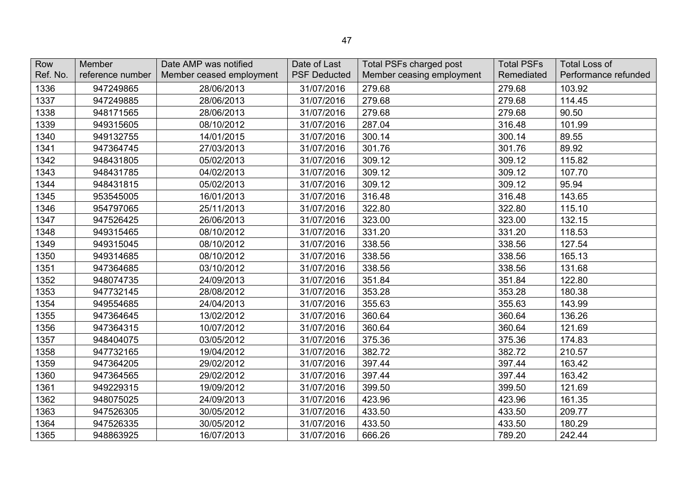| Row<br>Ref. No. | Member<br>reference number | Date AMP was notified<br>Member ceased employment | Date of Last<br><b>PSF Deducted</b> | <b>Total PSFs charged post</b><br>Member ceasing employment | <b>Total PSFs</b><br>Remediated | <b>Total Loss of</b><br>Performance refunded |
|-----------------|----------------------------|---------------------------------------------------|-------------------------------------|-------------------------------------------------------------|---------------------------------|----------------------------------------------|
| 1336            | 947249865                  | 28/06/2013                                        | 31/07/2016                          | 279.68                                                      | 279.68                          | 103.92                                       |
| 1337            | 947249885                  | 28/06/2013                                        | 31/07/2016                          | 279.68                                                      | 279.68                          | 114.45                                       |
| 1338            | 948171565                  | 28/06/2013                                        | 31/07/2016                          | 279.68                                                      | 279.68                          | 90.50                                        |
| 1339            | 949315605                  | 08/10/2012                                        | 31/07/2016                          | 287.04                                                      | 316.48                          | 101.99                                       |
| 1340            | 949132755                  | 14/01/2015                                        | 31/07/2016                          | 300.14                                                      | 300.14                          | 89.55                                        |
| 1341            | 947364745                  | 27/03/2013                                        | 31/07/2016                          | 301.76                                                      | 301.76                          | 89.92                                        |
| 1342            | 948431805                  | 05/02/2013                                        | 31/07/2016                          | 309.12                                                      | 309.12                          | 115.82                                       |
| 1343            | 948431785                  | 04/02/2013                                        | 31/07/2016                          | 309.12                                                      | 309.12                          | 107.70                                       |
| 1344            | 948431815                  | 05/02/2013                                        | 31/07/2016                          | 309.12                                                      | 309.12                          | 95.94                                        |
| 1345            | 953545005                  | 16/01/2013                                        | 31/07/2016                          | 316.48                                                      | 316.48                          | 143.65                                       |
| 1346            | 954797065                  | 25/11/2013                                        | 31/07/2016                          | 322.80                                                      | 322.80                          | 115.10                                       |
| 1347            | 947526425                  | 26/06/2013                                        | 31/07/2016                          | 323.00                                                      | 323.00                          | 132.15                                       |
| 1348            | 949315465                  | 08/10/2012                                        | 31/07/2016                          | 331.20                                                      | 331.20                          | 118.53                                       |
| 1349            | 949315045                  | 08/10/2012                                        | 31/07/2016                          | 338.56                                                      | 338.56                          | 127.54                                       |
| 1350            | 949314685                  | 08/10/2012                                        | 31/07/2016                          | 338.56                                                      | 338.56                          | 165.13                                       |
| 1351            | 947364685                  | 03/10/2012                                        | 31/07/2016                          | 338.56                                                      | 338.56                          | 131.68                                       |
| 1352            | 948074735                  | 24/09/2013                                        | 31/07/2016                          | 351.84                                                      | 351.84                          | 122.80                                       |
| 1353            | 947732145                  | 28/08/2012                                        | 31/07/2016                          | 353.28                                                      | 353.28                          | 180.38                                       |
| 1354            | 949554685                  | 24/04/2013                                        | 31/07/2016                          | 355.63                                                      | 355.63                          | 143.99                                       |
| 1355            | 947364645                  | 13/02/2012                                        | 31/07/2016                          | 360.64                                                      | 360.64                          | 136.26                                       |
| 1356            | 947364315                  | 10/07/2012                                        | 31/07/2016                          | 360.64                                                      | 360.64                          | 121.69                                       |
| 1357            | 948404075                  | 03/05/2012                                        | 31/07/2016                          | 375.36                                                      | 375.36                          | 174.83                                       |
| 1358            | 947732165                  | 19/04/2012                                        | 31/07/2016                          | 382.72                                                      | 382.72                          | 210.57                                       |
| 1359            | 947364205                  | 29/02/2012                                        | 31/07/2016                          | 397.44                                                      | 397.44                          | 163.42                                       |
| 1360            | 947364565                  | 29/02/2012                                        | 31/07/2016                          | 397.44                                                      | 397.44                          | 163.42                                       |
| 1361            | 949229315                  | 19/09/2012                                        | 31/07/2016                          | 399.50                                                      | 399.50                          | 121.69                                       |
| 1362            | 948075025                  | 24/09/2013                                        | 31/07/2016                          | 423.96                                                      | 423.96                          | 161.35                                       |
| 1363            | 947526305                  | 30/05/2012                                        | 31/07/2016                          | 433.50                                                      | 433.50                          | 209.77                                       |
| 1364            | 947526335                  | 30/05/2012                                        | 31/07/2016                          | 433.50                                                      | 433.50                          | 180.29                                       |
| 1365            | 948863925                  | 16/07/2013                                        | 31/07/2016                          | 666.26                                                      | 789.20                          | 242.44                                       |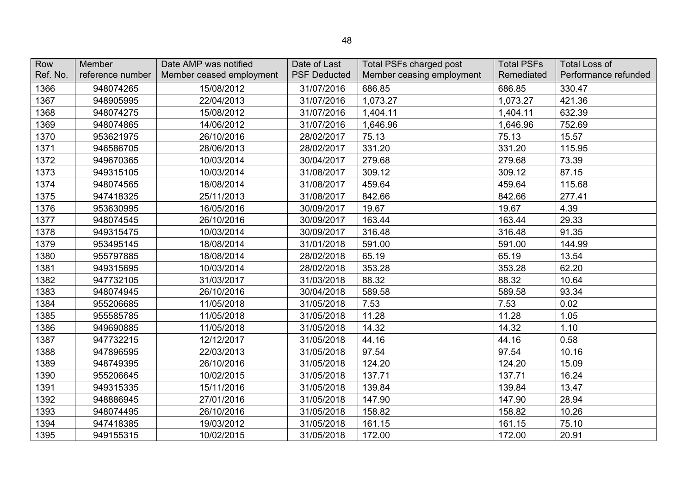| Row<br>Ref. No. | Member           | Date AMP was notified    | Date of Last<br><b>PSF Deducted</b> | <b>Total PSFs charged post</b> | <b>Total PSFs</b> | <b>Total Loss of</b> |
|-----------------|------------------|--------------------------|-------------------------------------|--------------------------------|-------------------|----------------------|
|                 | reference number | Member ceased employment |                                     | Member ceasing employment      | Remediated        | Performance refunded |
| 1366            | 948074265        | 15/08/2012               | 31/07/2016                          | 686.85                         | 686.85            | 330.47               |
| 1367            | 948905995        | 22/04/2013               | 31/07/2016                          | 1,073.27                       | 1,073.27          | 421.36               |
| 1368            | 948074275        | 15/08/2012               | 31/07/2016                          | 1,404.11                       | 1,404.11          | 632.39               |
| 1369            | 948074865        | 14/06/2012               | 31/07/2016                          | 1,646.96                       | 1,646.96          | 752.69               |
| 1370            | 953621975        | 26/10/2016               | 28/02/2017                          | 75.13                          | 75.13             | 15.57                |
| 1371            | 946586705        | 28/06/2013               | 28/02/2017                          | 331.20                         | 331.20            | 115.95               |
| 1372            | 949670365        | 10/03/2014               | 30/04/2017                          | 279.68                         | 279.68            | 73.39                |
| 1373            | 949315105        | 10/03/2014               | 31/08/2017                          | 309.12                         | 309.12            | 87.15                |
| 1374            | 948074565        | 18/08/2014               | 31/08/2017                          | 459.64                         | 459.64            | 115.68               |
| 1375            | 947418325        | 25/11/2013               | 31/08/2017                          | 842.66                         | 842.66            | 277.41               |
| 1376            | 953630995        | 16/05/2016               | 30/09/2017                          | 19.67                          | 19.67             | 4.39                 |
| 1377            | 948074545        | 26/10/2016               | 30/09/2017                          | 163.44                         | 163.44            | 29.33                |
| 1378            | 949315475        | 10/03/2014               | 30/09/2017                          | 316.48                         | 316.48            | 91.35                |
| 1379            | 953495145        | 18/08/2014               | 31/01/2018                          | 591.00                         | 591.00            | 144.99               |
| 1380            | 955797885        | 18/08/2014               | 28/02/2018                          | 65.19                          | 65.19             | 13.54                |
| 1381            | 949315695        | 10/03/2014               | 28/02/2018                          | 353.28                         | 353.28            | 62.20                |
| 1382            | 947732105        | 31/03/2017               | 31/03/2018                          | 88.32                          | 88.32             | 10.64                |
| 1383            | 948074945        | 26/10/2016               | 30/04/2018                          | 589.58                         | 589.58            | 93.34                |
| 1384            | 955206685        | 11/05/2018               | 31/05/2018                          | 7.53                           | 7.53              | 0.02                 |
| 1385            | 955585785        | 11/05/2018               | 31/05/2018                          | 11.28                          | 11.28             | 1.05                 |
| 1386            | 949690885        | 11/05/2018               | 31/05/2018                          | 14.32                          | 14.32             | 1.10                 |
| 1387            | 947732215        | 12/12/2017               | 31/05/2018                          | 44.16                          | 44.16             | 0.58                 |
| 1388            | 947896595        | 22/03/2013               | 31/05/2018                          | 97.54                          | 97.54             | 10.16                |
| 1389            | 948749395        | 26/10/2016               | 31/05/2018                          | 124.20                         | 124.20            | 15.09                |
| 1390            | 955206645        | 10/02/2015               | 31/05/2018                          | 137.71                         | 137.71            | 16.24                |
| 1391            | 949315335        | 15/11/2016               | 31/05/2018                          | 139.84                         | 139.84            | 13.47                |
| 1392            | 948886945        | 27/01/2016               | 31/05/2018                          | 147.90                         | 147.90            | 28.94                |
| 1393            | 948074495        | 26/10/2016               | 31/05/2018                          | 158.82                         | 158.82            | 10.26                |
| 1394            | 947418385        | 19/03/2012               | 31/05/2018                          | 161.15                         | 161.15            | 75.10                |
| 1395            | 949155315        | 10/02/2015               | 31/05/2018                          | 172.00                         | 172.00            | 20.91                |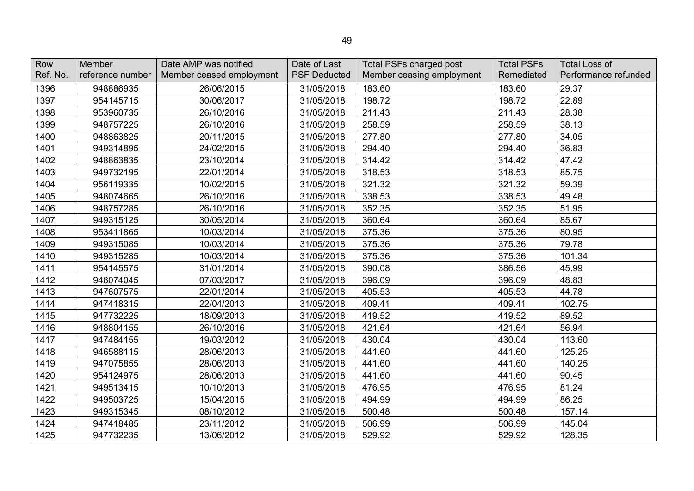| Row<br>Ref. No. | Member<br>reference number | Date AMP was notified<br>Member ceased employment | Date of Last<br><b>PSF Deducted</b> | <b>Total PSFs charged post</b><br>Member ceasing employment | <b>Total PSFs</b><br>Remediated | <b>Total Loss of</b><br>Performance refunded |
|-----------------|----------------------------|---------------------------------------------------|-------------------------------------|-------------------------------------------------------------|---------------------------------|----------------------------------------------|
| 1396            | 948886935                  | 26/06/2015                                        | 31/05/2018                          | 183.60                                                      | 183.60                          | 29.37                                        |
| 1397            | 954145715                  | 30/06/2017                                        | 31/05/2018                          | 198.72                                                      | 198.72                          | 22.89                                        |
| 1398            | 953960735                  | 26/10/2016                                        | 31/05/2018                          | 211.43                                                      | 211.43                          | 28.38                                        |
| 1399            | 948757225                  | 26/10/2016                                        | 31/05/2018                          | 258.59                                                      | 258.59                          | 38.13                                        |
| 1400            | 948863825                  | 20/11/2015                                        | 31/05/2018                          | 277.80                                                      | 277.80                          | 34.05                                        |
| 1401            | 949314895                  | 24/02/2015                                        | 31/05/2018                          | 294.40                                                      | 294.40                          | 36.83                                        |
| 1402            | 948863835                  | 23/10/2014                                        | 31/05/2018                          | 314.42                                                      | 314.42                          | 47.42                                        |
| 1403            | 949732195                  | 22/01/2014                                        | 31/05/2018                          | 318.53                                                      | 318.53                          | 85.75                                        |
| 1404            | 956119335                  | 10/02/2015                                        | 31/05/2018                          | 321.32                                                      | 321.32                          | 59.39                                        |
| 1405            | 948074665                  | 26/10/2016                                        | 31/05/2018                          | 338.53                                                      | 338.53                          | 49.48                                        |
| 1406            | 948757285                  | 26/10/2016                                        | 31/05/2018                          | 352.35                                                      | 352.35                          | 51.95                                        |
| 1407            | 949315125                  | 30/05/2014                                        | 31/05/2018                          | 360.64                                                      | 360.64                          | 85.67                                        |
| 1408            | 953411865                  | 10/03/2014                                        | 31/05/2018                          | 375.36                                                      | 375.36                          | 80.95                                        |
| 1409            | 949315085                  | 10/03/2014                                        | 31/05/2018                          | 375.36                                                      | 375.36                          | 79.78                                        |
| 1410            | 949315285                  | 10/03/2014                                        | 31/05/2018                          | 375.36                                                      | 375.36                          | 101.34                                       |
| 1411            | 954145575                  | 31/01/2014                                        | 31/05/2018                          | 390.08                                                      | 386.56                          | 45.99                                        |
| 1412            | 948074045                  | 07/03/2017                                        | 31/05/2018                          | 396.09                                                      | 396.09                          | 48.83                                        |
| 1413            | 947607575                  | 22/01/2014                                        | 31/05/2018                          | 405.53                                                      | 405.53                          | 44.78                                        |
| 1414            | 947418315                  | 22/04/2013                                        | 31/05/2018                          | 409.41                                                      | 409.41                          | 102.75                                       |
| 1415            | 947732225                  | 18/09/2013                                        | 31/05/2018                          | 419.52                                                      | 419.52                          | 89.52                                        |
| 1416            | 948804155                  | 26/10/2016                                        | 31/05/2018                          | 421.64                                                      | 421.64                          | 56.94                                        |
| 1417            | 947484155                  | 19/03/2012                                        | 31/05/2018                          | 430.04                                                      | 430.04                          | 113.60                                       |
| 1418            | 946588115                  | 28/06/2013                                        | 31/05/2018                          | 441.60                                                      | 441.60                          | 125.25                                       |
| 1419            | 947075855                  | 28/06/2013                                        | 31/05/2018                          | 441.60                                                      | 441.60                          | 140.25                                       |
| 1420            | 954124975                  | 28/06/2013                                        | 31/05/2018                          | 441.60                                                      | 441.60                          | 90.45                                        |
| 1421            | 949513415                  | 10/10/2013                                        | 31/05/2018                          | 476.95                                                      | 476.95                          | 81.24                                        |
| 1422            | 949503725                  | 15/04/2015                                        | 31/05/2018                          | 494.99                                                      | 494.99                          | 86.25                                        |
| 1423            | 949315345                  | 08/10/2012                                        | 31/05/2018                          | 500.48                                                      | 500.48                          | 157.14                                       |
| 1424            | 947418485                  | 23/11/2012                                        | 31/05/2018                          | 506.99                                                      | 506.99                          | 145.04                                       |
| 1425            | 947732235                  | 13/06/2012                                        | 31/05/2018                          | 529.92                                                      | 529.92                          | 128.35                                       |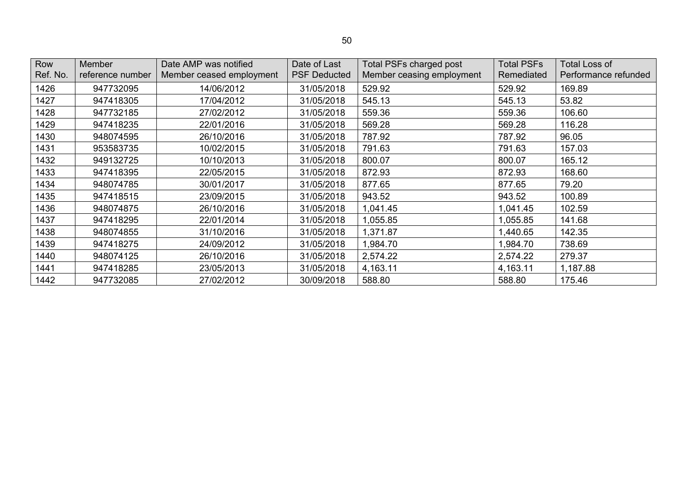| Row<br>Ref. No. | <b>Member</b><br>reference number | Date AMP was notified<br>Member ceased employment | Date of Last<br><b>PSF Deducted</b> | Total PSFs charged post<br>Member ceasing employment | <b>Total PSFs</b><br>Remediated | <b>Total Loss of</b><br>Performance refunded |
|-----------------|-----------------------------------|---------------------------------------------------|-------------------------------------|------------------------------------------------------|---------------------------------|----------------------------------------------|
| 1426            | 947732095                         | 14/06/2012                                        | 31/05/2018                          | 529.92                                               | 529.92                          | 169.89                                       |
| 1427            | 947418305                         | 17/04/2012                                        | 31/05/2018                          | 545.13                                               | 545.13                          | 53.82                                        |
| 1428            | 947732185                         | 27/02/2012                                        | 31/05/2018                          | 559.36                                               | 559.36                          | 106.60                                       |
| 1429            | 947418235                         | 22/01/2016                                        | 31/05/2018                          | 569.28                                               | 569.28                          | 116.28                                       |
| 1430            | 948074595                         | 26/10/2016                                        | 31/05/2018                          | 787.92                                               | 787.92                          | 96.05                                        |
| 1431            | 953583735                         | 10/02/2015                                        | 31/05/2018                          | 791.63                                               | 791.63                          | 157.03                                       |
| 1432            | 949132725                         | 10/10/2013                                        | 31/05/2018                          | 800.07                                               | 800.07                          | 165.12                                       |
| 1433            | 947418395                         | 22/05/2015                                        | 31/05/2018                          | 872.93                                               | 872.93                          | 168.60                                       |
| 1434            | 948074785                         | 30/01/2017                                        | 31/05/2018                          | 877.65                                               | 877.65                          | 79.20                                        |
| 1435            | 947418515                         | 23/09/2015                                        | 31/05/2018                          | 943.52                                               | 943.52                          | 100.89                                       |
| 1436            | 948074875                         | 26/10/2016                                        | 31/05/2018                          | 1,041.45                                             | 1,041.45                        | 102.59                                       |
| 1437            | 947418295                         | 22/01/2014                                        | 31/05/2018                          | 1,055.85                                             | ,055.85                         | 141.68                                       |
| 1438            | 948074855                         | 31/10/2016                                        | 31/05/2018                          | 1,371.87                                             | ,440.65                         | 142.35                                       |
| 1439            | 947418275                         | 24/09/2012                                        | 31/05/2018                          | 1,984.70                                             | ,984.70                         | 738.69                                       |
| 1440            | 948074125                         | 26/10/2016                                        | 31/05/2018                          | 2,574.22                                             | 2,574.22                        | 279.37                                       |
| 1441            | 947418285                         | 23/05/2013                                        | 31/05/2018                          | 4,163.11                                             | 4,163.11                        | 1,187.88                                     |
| 1442            | 947732085                         | 27/02/2012                                        | 30/09/2018                          | 588.80                                               | 588.80                          | 175.46                                       |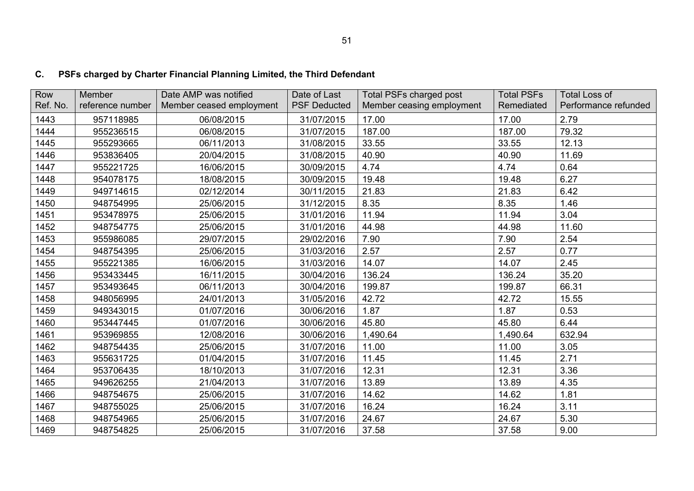# **C. PSFs charged by Charter Financial Planning Limited, the Third Defendant**

| Row      | Member           | Date AMP was notified    | Date of Last        | <b>Total PSFs charged post</b> | <b>Total PSFs</b> | <b>Total Loss of</b> |
|----------|------------------|--------------------------|---------------------|--------------------------------|-------------------|----------------------|
| Ref. No. | reference number | Member ceased employment | <b>PSF Deducted</b> | Member ceasing employment      | Remediated        | Performance refunded |
| 1443     | 957118985        | 06/08/2015               | 31/07/2015          | 17.00                          | 17.00             | 2.79                 |
| 1444     | 955236515        | 06/08/2015               | 31/07/2015          | 187.00                         | 187.00            | 79.32                |
| 1445     | 955293665        | 06/11/2013               | 31/08/2015          | 33.55                          | 33.55             | 12.13                |
| 1446     | 953836405        | 20/04/2015               | 31/08/2015          | 40.90                          | 40.90             | 11.69                |
| 1447     | 955221725        | 16/06/2015               | 30/09/2015          | 4.74                           | 4.74              | 0.64                 |
| 1448     | 954078175        | 18/08/2015               | 30/09/2015          | 19.48                          | 19.48             | 6.27                 |
| 1449     | 949714615        | 02/12/2014               | 30/11/2015          | 21.83                          | 21.83             | 6.42                 |
| 1450     | 948754995        | 25/06/2015               | 31/12/2015          | 8.35                           | 8.35              | 1.46                 |
| 1451     | 953478975        | 25/06/2015               | 31/01/2016          | 11.94                          | 11.94             | 3.04                 |
| 1452     | 948754775        | 25/06/2015               | 31/01/2016          | 44.98                          | 44.98             | 11.60                |
| 1453     | 955986085        | 29/07/2015               | 29/02/2016          | 7.90                           | 7.90              | 2.54                 |
| 1454     | 948754395        | 25/06/2015               | 31/03/2016          | 2.57                           | 2.57              | 0.77                 |
| 1455     | 955221385        | 16/06/2015               | 31/03/2016          | 14.07                          | 14.07             | 2.45                 |
| 1456     | 953433445        | 16/11/2015               | 30/04/2016          | 136.24                         | 136.24            | 35.20                |
| 1457     | 953493645        | 06/11/2013               | 30/04/2016          | 199.87                         | 199.87            | 66.31                |
| 1458     | 948056995        | 24/01/2013               | 31/05/2016          | 42.72                          | 42.72             | 15.55                |
| 1459     | 949343015        | 01/07/2016               | 30/06/2016          | 1.87                           | 1.87              | 0.53                 |
| 1460     | 953447445        | 01/07/2016               | 30/06/2016          | 45.80                          | 45.80             | 6.44                 |
| 1461     | 953969855        | 12/08/2016               | 30/06/2016          | 1,490.64                       | 1,490.64          | 632.94               |
| 1462     | 948754435        | 25/06/2015               | 31/07/2016          | 11.00                          | 11.00             | 3.05                 |
| 1463     | 955631725        | 01/04/2015               | 31/07/2016          | 11.45                          | 11.45             | 2.71                 |
| 1464     | 953706435        | 18/10/2013               | 31/07/2016          | 12.31                          | 12.31             | 3.36                 |
| 1465     | 949626255        | 21/04/2013               | 31/07/2016          | 13.89                          | 13.89             | 4.35                 |
| 1466     | 948754675        | 25/06/2015               | 31/07/2016          | 14.62                          | 14.62             | 1.81                 |
| 1467     | 948755025        | 25/06/2015               | 31/07/2016          | 16.24                          | 16.24             | 3.11                 |
| 1468     | 948754965        | 25/06/2015               | 31/07/2016          | 24.67                          | 24.67             | 5.30                 |
| 1469     | 948754825        | 25/06/2015               | 31/07/2016          | 37.58                          | 37.58             | 9.00                 |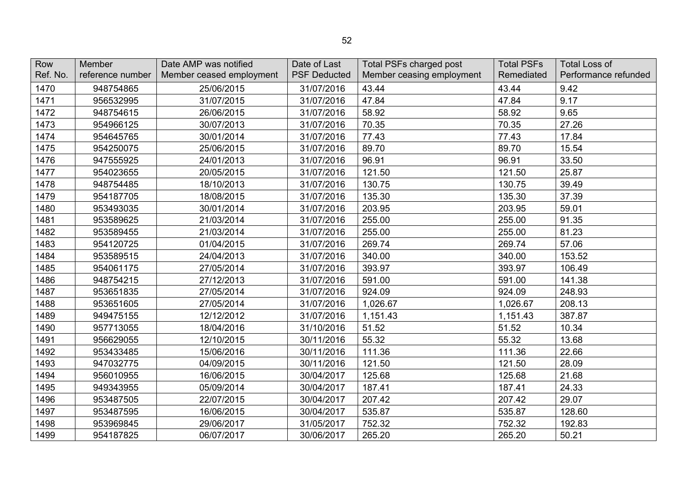| Row      | Member           | Date AMP was notified    | Date of Last        | <b>Total PSFs charged post</b> | <b>Total PSFs</b> | <b>Total Loss of</b> |
|----------|------------------|--------------------------|---------------------|--------------------------------|-------------------|----------------------|
| Ref. No. | reference number | Member ceased employment | <b>PSF Deducted</b> | Member ceasing employment      | Remediated        | Performance refunded |
| 1470     | 948754865        | 25/06/2015               | 31/07/2016          | 43.44                          | 43.44             | 9.42                 |
| 1471     | 956532995        | 31/07/2015               | 31/07/2016          | 47.84                          | 47.84             | 9.17                 |
| 1472     | 948754615        | 26/06/2015               | 31/07/2016          | 58.92                          | 58.92             | 9.65                 |
| 1473     | 954966125        | 30/07/2013               | 31/07/2016          | 70.35                          | 70.35             | 27.26                |
| 1474     | 954645765        | 30/01/2014               | 31/07/2016          | 77.43                          | 77.43             | 17.84                |
| 1475     | 954250075        | 25/06/2015               | 31/07/2016          | 89.70                          | 89.70             | 15.54                |
| 1476     | 947555925        | 24/01/2013               | 31/07/2016          | 96.91                          | 96.91             | 33.50                |
| 1477     | 954023655        | 20/05/2015               | 31/07/2016          | 121.50                         | 121.50            | 25.87                |
| 1478     | 948754485        | 18/10/2013               | 31/07/2016          | 130.75                         | 130.75            | 39.49                |
| 1479     | 954187705        | 18/08/2015               | 31/07/2016          | 135.30                         | 135.30            | 37.39                |
| 1480     | 953493035        | 30/01/2014               | 31/07/2016          | 203.95                         | 203.95            | 59.01                |
| 1481     | 953589625        | 21/03/2014               | 31/07/2016          | 255.00                         | 255.00            | 91.35                |
| 1482     | 953589455        | 21/03/2014               | 31/07/2016          | 255.00                         | 255.00            | 81.23                |
| 1483     | 954120725        | 01/04/2015               | 31/07/2016          | 269.74                         | 269.74            | 57.06                |
| 1484     | 953589515        | 24/04/2013               | 31/07/2016          | 340.00                         | 340.00            | 153.52               |
| 1485     | 954061175        | 27/05/2014               | 31/07/2016          | 393.97                         | 393.97            | 106.49               |
| 1486     | 948754215        | 27/12/2013               | 31/07/2016          | 591.00                         | 591.00            | 141.38               |
| 1487     | 953651835        | 27/05/2014               | 31/07/2016          | 924.09                         | 924.09            | 248.93               |
| 1488     | 953651605        | 27/05/2014               | 31/07/2016          | 1,026.67                       | 1,026.67          | 208.13               |
| 1489     | 949475155        | 12/12/2012               | 31/07/2016          | 1,151.43                       | 1,151.43          | 387.87               |
| 1490     | 957713055        | 18/04/2016               | 31/10/2016          | 51.52                          | 51.52             | 10.34                |
| 1491     | 956629055        | 12/10/2015               | 30/11/2016          | 55.32                          | 55.32             | 13.68                |
| 1492     | 953433485        | 15/06/2016               | 30/11/2016          | 111.36                         | 111.36            | 22.66                |
| 1493     | 947032775        | 04/09/2015               | 30/11/2016          | 121.50                         | 121.50            | 28.09                |
| 1494     | 956010955        | 16/06/2015               | 30/04/2017          | 125.68                         | 125.68            | 21.68                |
| 1495     | 949343955        | 05/09/2014               | 30/04/2017          | 187.41                         | 187.41            | 24.33                |
| 1496     | 953487505        | 22/07/2015               | 30/04/2017          | 207.42                         | 207.42            | 29.07                |
| 1497     | 953487595        | 16/06/2015               | 30/04/2017          | 535.87                         | 535.87            | 128.60               |
| 1498     | 953969845        | 29/06/2017               | 31/05/2017          | 752.32                         | 752.32            | 192.83               |
| 1499     | 954187825        | 06/07/2017               | 30/06/2017          | 265.20                         | 265.20            | 50.21                |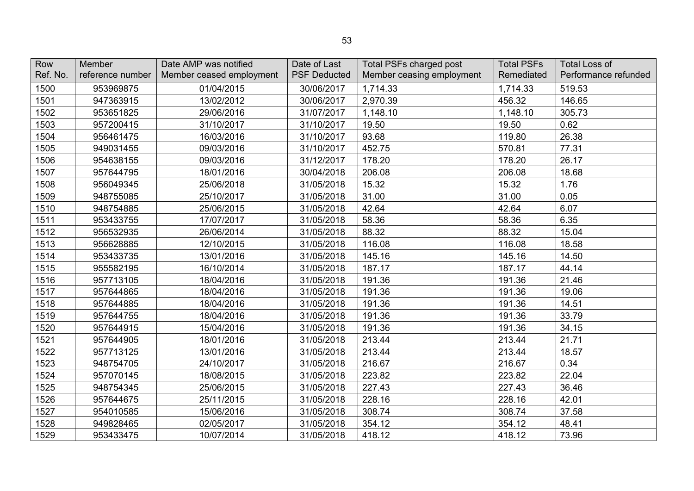| Row<br>Ref. No. | Member<br>reference number | Date AMP was notified<br>Member ceased employment | Date of Last<br><b>PSF Deducted</b> | <b>Total PSFs charged post</b><br>Member ceasing employment | <b>Total PSFs</b><br>Remediated | <b>Total Loss of</b><br>Performance refunded |
|-----------------|----------------------------|---------------------------------------------------|-------------------------------------|-------------------------------------------------------------|---------------------------------|----------------------------------------------|
|                 |                            |                                                   |                                     |                                                             |                                 |                                              |
| 1500            | 953969875                  | 01/04/2015                                        | 30/06/2017                          | 1,714.33                                                    | 1,714.33                        | 519.53                                       |
| 1501            | 947363915                  | 13/02/2012                                        | 30/06/2017                          | 2,970.39                                                    | 456.32                          | 146.65                                       |
| 1502            | 953651825                  | 29/06/2016                                        | 31/07/2017                          | 1,148.10                                                    | 1,148.10                        | 305.73                                       |
| 1503            | 957200415                  | 31/10/2017                                        | 31/10/2017                          | 19.50                                                       | 19.50                           | 0.62                                         |
| 1504            | 956461475                  | 16/03/2016                                        | 31/10/2017                          | 93.68                                                       | 119.80                          | 26.38                                        |
| 1505            | 949031455                  | 09/03/2016                                        | 31/10/2017                          | 452.75                                                      | 570.81                          | 77.31                                        |
| 1506            | 954638155                  | 09/03/2016                                        | 31/12/2017                          | 178.20                                                      | 178.20                          | 26.17                                        |
| 1507            | 957644795                  | 18/01/2016                                        | 30/04/2018                          | 206.08                                                      | 206.08                          | 18.68                                        |
| 1508            | 956049345                  | 25/06/2018                                        | 31/05/2018                          | 15.32                                                       | 15.32                           | 1.76                                         |
| 1509            | 948755085                  | 25/10/2017                                        | 31/05/2018                          | 31.00                                                       | 31.00                           | 0.05                                         |
| 1510            | 948754885                  | 25/06/2015                                        | 31/05/2018                          | 42.64                                                       | 42.64                           | 6.07                                         |
| 1511            | 953433755                  | 17/07/2017                                        | 31/05/2018                          | 58.36                                                       | 58.36                           | 6.35                                         |
| 1512            | 956532935                  | 26/06/2014                                        | 31/05/2018                          | 88.32                                                       | 88.32                           | 15.04                                        |
| 1513            | 956628885                  | 12/10/2015                                        | 31/05/2018                          | 116.08                                                      | 116.08                          | 18.58                                        |
| 1514            | 953433735                  | 13/01/2016                                        | 31/05/2018                          | 145.16                                                      | 145.16                          | 14.50                                        |
| 1515            | 955582195                  | 16/10/2014                                        | 31/05/2018                          | 187.17                                                      | 187.17                          | 44.14                                        |
| 1516            | 957713105                  | 18/04/2016                                        | 31/05/2018                          | 191.36                                                      | 191.36                          | 21.46                                        |
| 1517            | 957644865                  | 18/04/2016                                        | 31/05/2018                          | 191.36                                                      | 191.36                          | 19.06                                        |
| 1518            | 957644885                  | 18/04/2016                                        | 31/05/2018                          | 191.36                                                      | 191.36                          | 14.51                                        |
| 1519            | 957644755                  | 18/04/2016                                        | 31/05/2018                          | 191.36                                                      | 191.36                          | 33.79                                        |
| 1520            | 957644915                  | 15/04/2016                                        | 31/05/2018                          | 191.36                                                      | 191.36                          | 34.15                                        |
| 1521            | 957644905                  | 18/01/2016                                        | 31/05/2018                          | 213.44                                                      | 213.44                          | 21.71                                        |
| 1522            | 957713125                  | 13/01/2016                                        | 31/05/2018                          | 213.44                                                      | 213.44                          | 18.57                                        |
| 1523            | 948754705                  | 24/10/2017                                        | 31/05/2018                          | 216.67                                                      | 216.67                          | 0.34                                         |
| 1524            | 957070145                  | 18/08/2015                                        | 31/05/2018                          | 223.82                                                      | 223.82                          | 22.04                                        |
| 1525            | 948754345                  | 25/06/2015                                        | 31/05/2018                          | 227.43                                                      | 227.43                          | 36.46                                        |
| 1526            | 957644675                  | 25/11/2015                                        | 31/05/2018                          | 228.16                                                      | 228.16                          | 42.01                                        |
| 1527            | 954010585                  | 15/06/2016                                        | 31/05/2018                          | 308.74                                                      | 308.74                          | 37.58                                        |
| 1528            | 949828465                  | 02/05/2017                                        | 31/05/2018                          | 354.12                                                      | 354.12                          | 48.41                                        |
| 1529            | 953433475                  | 10/07/2014                                        | 31/05/2018                          | 418.12                                                      | 418.12                          | 73.96                                        |